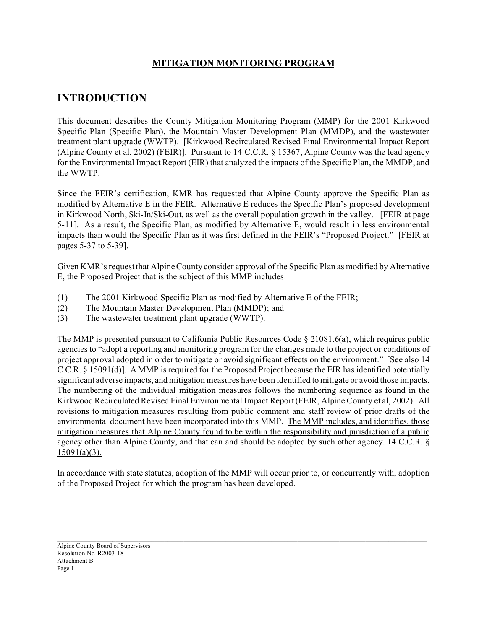## **MITIGATION MONITORING PROGRAM**

# **INTRODUCTION**

This document describes the County Mitigation Monitoring Program (MMP) for the 2001 Kirkwood Specific Plan (Specific Plan), the Mountain Master Development Plan (MMDP), and the wastewater treatment plant upgrade (WWTP). [Kirkwood Recirculated Revised Final Environmental Impact Report (Alpine County et al, 2002) (FEIR)]. Pursuant to 14 C.C.R. § 15367, Alpine County was the lead agency for the Environmental Impact Report (EIR) that analyzed the impacts of the Specific Plan, the MMDP, and the WWTP.

Since the FEIR's certification, KMR has requested that Alpine County approve the Specific Plan as modified by Alternative E in the FEIR. Alternative E reduces the Specific Plan's proposed development in Kirkwood North, Ski-In/Ski-Out, as well as the overall population growth in the valley. [FEIR at page 5-11]. As a result, the Specific Plan, as modified by Alternative E, would result in less environmental impacts than would the Specific Plan as it was first defined in the FEIR's "Proposed Project." [FEIR at pages 5-37 to 5-39].

Given KMR's request that Alpine County consider approval of the Specific Plan as modified by Alternative E, the Proposed Project that is the subject of this MMP includes:

- (1) The 2001 Kirkwood Specific Plan as modified by Alternative E of the FEIR;
- (2) The Mountain Master Development Plan (MMDP); and
- (3) The wastewater treatment plant upgrade (WWTP).

The MMP is presented pursuant to California Public Resources Code § 21081.6(a), which requires public agencies to "adopt a reporting and monitoring program for the changes made to the project or conditions of project approval adopted in order to mitigate or avoid significant effects on the environment." [See also 14 C.C.R. § 15091(d)]. A MMP is required for the Proposed Project because the EIR has identified potentially significant adverse impacts, and mitigation measures have been identified to mitigate or avoid those impacts. The numbering of the individual mitigation measures follows the numbering sequence as found in the Kirkwood Recirculated Revised Final Environmental Impact Report (FEIR, Alpine County et al, 2002). All revisions to mitigation measures resulting from public comment and staff review of prior drafts of the environmental document have been incorporated into this MMP. The MMP includes, and identifies, those mitigation measures that Alpine County found to be within the responsibility and jurisdiction of a public agency other than Alpine County, and that can and should be adopted by such other agency. 14 C.C.R. §  $15091(a)(3)$ .

In accordance with state statutes, adoption of the MMP will occur prior to, or concurrently with, adoption of the Proposed Project for which the program has been developed.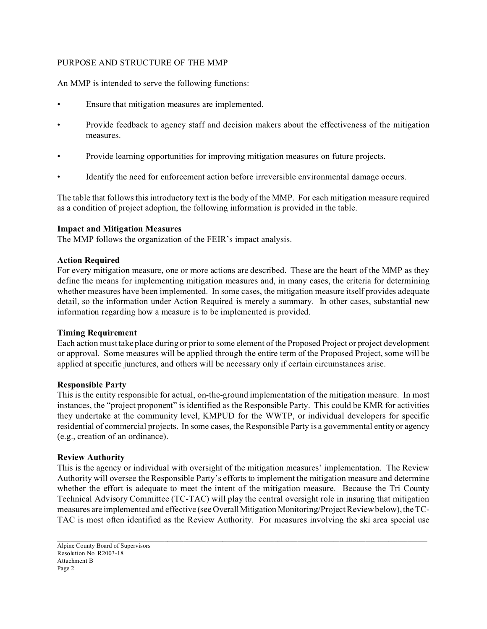## PURPOSE AND STRUCTURE OF THE MMP

An MMP is intended to serve the following functions:

- Ensure that mitigation measures are implemented.
- Provide feedback to agency staff and decision makers about the effectiveness of the mitigation measures.
- Provide learning opportunities for improving mitigation measures on future projects.
- Identify the need for enforcement action before irreversible environmental damage occurs.

The table that follows this introductory text is the body of the MMP. For each mitigation measure required as a condition of project adoption, the following information is provided in the table.

## **Impact and Mitigation Measures**

The MMP follows the organization of the FEIR's impact analysis.

#### **Action Required**

For every mitigation measure, one or more actions are described. These are the heart of the MMP as they define the means for implementing mitigation measures and, in many cases, the criteria for determining whether measures have been implemented. In some cases, the mitigation measure itself provides adequate detail, so the information under Action Required is merely a summary. In other cases, substantial new information regarding how a measure is to be implemented is provided.

## **Timing Requirement**

Each action must take place during or prior to some element of the Proposed Project or project development or approval. Some measures will be applied through the entire term of the Proposed Project, some will be applied at specific junctures, and others will be necessary only if certain circumstances arise.

#### **Responsible Party**

This is the entity responsible for actual, on-the-ground implementation of the mitigation measure. In most instances, the "project proponent" is identified as the Responsible Party. This could be KMR for activities they undertake at the community level, KMPUD for the WWTP, or individual developers for specific residential of commercial projects. In some cases, the Responsible Party is a governmental entity or agency (e.g., creation of an ordinance).

## **Review Authority**

This is the agency or individual with oversight of the mitigation measures' implementation. The Review Authority will oversee the Responsible Party's efforts to implement the mitigation measure and determine whether the effort is adequate to meet the intent of the mitigation measure. Because the Tri County Technical Advisory Committee (TC-TAC) will play the central oversight role in insuring that mitigation measures are implemented and effective (see OverallMitigation Monitoring/Project Review below), the TC-TAC is most often identified as the Review Authority. For measures involving the ski area special use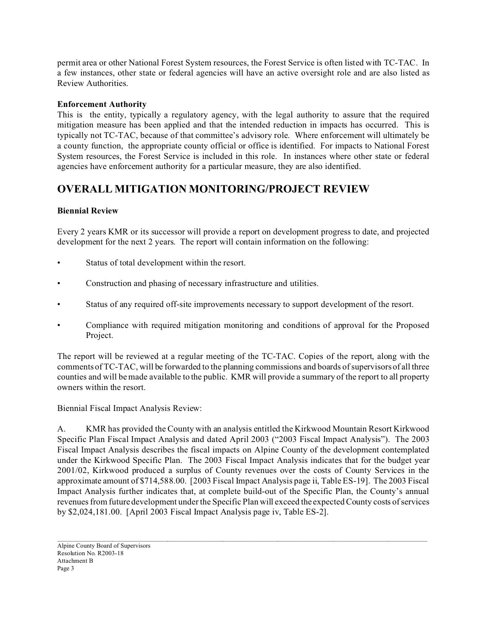permit area or other National Forest System resources, the Forest Service is often listed with TC-TAC. In a few instances, other state or federal agencies will have an active oversight role and are also listed as Review Authorities.

## **Enforcement Authority**

This is the entity, typically a regulatory agency, with the legal authority to assure that the required mitigation measure has been applied and that the intended reduction in impacts has occurred. This is typically not TC-TAC, because of that committee's advisory role. Where enforcement will ultimately be a county function, the appropriate county official or office is identified. For impacts to National Forest System resources, the Forest Service is included in this role. In instances where other state or federal agencies have enforcement authority for a particular measure, they are also identified.

# **OVERALL MITIGATION MONITORING/PROJECT REVIEW**

## **Biennial Review**

Every 2 years KMR or its successor will provide a report on development progress to date, and projected development for the next 2 years. The report will contain information on the following:

- Status of total development within the resort.
- Construction and phasing of necessary infrastructure and utilities.
- Status of any required off-site improvements necessary to support development of the resort.
- Compliance with required mitigation monitoring and conditions of approval for the Proposed Project.

The report will be reviewed at a regular meeting of the TC-TAC. Copies of the report, along with the comments of TC-TAC, will be forwarded to the planning commissions and boards of supervisors of all three counties and will be made available to the public. KMR will provide a summary of the report to all property owners within the resort.

Biennial Fiscal Impact Analysis Review:

A. KMR has provided the County with an analysis entitled the Kirkwood Mountain Resort Kirkwood Specific Plan Fiscal Impact Analysis and dated April 2003 ("2003 Fiscal Impact Analysis"). The 2003 Fiscal Impact Analysis describes the fiscal impacts on Alpine County of the development contemplated under the Kirkwood Specific Plan. The 2003 Fiscal Impact Analysis indicates that for the budget year 2001/02, Kirkwood produced a surplus of County revenues over the costs of County Services in the approximate amount of \$714,588.00. [2003 Fiscal Impact Analysis page ii, Table ES-19]. The 2003 Fiscal Impact Analysis further indicates that, at complete build-out of the Specific Plan, the County's annual revenues from future development under the Specific Plan will exceed the expected County costs of services by \$2,024,181.00. [April 2003 Fiscal Impact Analysis page iv, Table ES-2].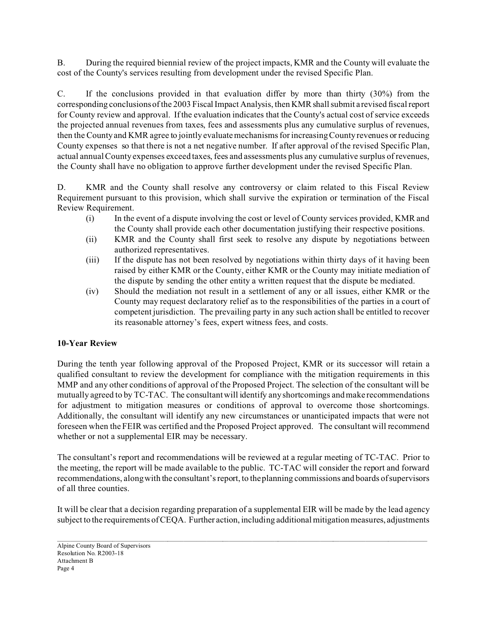B. During the required biennial review of the project impacts, KMR and the County will evaluate the cost of the County's services resulting from development under the revised Specific Plan.

C. If the conclusions provided in that evaluation differ by more than thirty (30%) from the corresponding conclusions of the 2003 Fiscal Impact Analysis, then KMR shall submit a revised fiscal report for County review and approval. If the evaluation indicates that the County's actual cost of service exceeds the projected annual revenues from taxes, fees and assessments plus any cumulative surplus of revenues, then the County and KMR agree to jointly evaluate mechanisms for increasing County revenues or reducing County expenses so that there is not a net negative number. If after approval of the revised Specific Plan, actual annual County expenses exceed taxes, fees and assessments plus any cumulative surplus of revenues, the County shall have no obligation to approve further development under the revised Specific Plan.

D. KMR and the County shall resolve any controversy or claim related to this Fiscal Review Requirement pursuant to this provision, which shall survive the expiration or termination of the Fiscal Review Requirement.

- (i) In the event of a dispute involving the cost or level of County services provided, KMR and the County shall provide each other documentation justifying their respective positions.
- (ii) KMR and the County shall first seek to resolve any dispute by negotiations between authorized representatives.
- (iii) If the dispute has not been resolved by negotiations within thirty days of it having been raised by either KMR or the County, either KMR or the County may initiate mediation of the dispute by sending the other entity a written request that the dispute be mediated.
- (iv) Should the mediation not result in a settlement of any or all issues, either KMR or the County may request declaratory relief as to the responsibilities of the parties in a court of competent jurisdiction. The prevailing party in any such action shall be entitled to recover its reasonable attorney's fees, expert witness fees, and costs.

## **10-Year Review**

During the tenth year following approval of the Proposed Project, KMR or its successor will retain a qualified consultant to review the development for compliance with the mitigation requirements in this MMP and any other conditions of approval of the Proposed Project. The selection of the consultant will be mutually agreed to by TC-TAC. The consultant will identify any shortcomings and make recommendations for adjustment to mitigation measures or conditions of approval to overcome those shortcomings. Additionally, the consultant will identify any new circumstances or unanticipated impacts that were not foreseen when the FEIR was certified and the Proposed Project approved. The consultant will recommend whether or not a supplemental EIR may be necessary.

The consultant's report and recommendations will be reviewed at a regular meeting of TC-TAC. Prior to the meeting, the report will be made available to the public. TC-TAC will consider the report and forward recommendations, along with the consultant's report, to the planning commissions and boards of supervisors of all three counties.

It will be clear that a decision regarding preparation of a supplemental EIR will be made by the lead agency subject to the requirements of CEQA. Further action, including additional mitigation measures, adjustments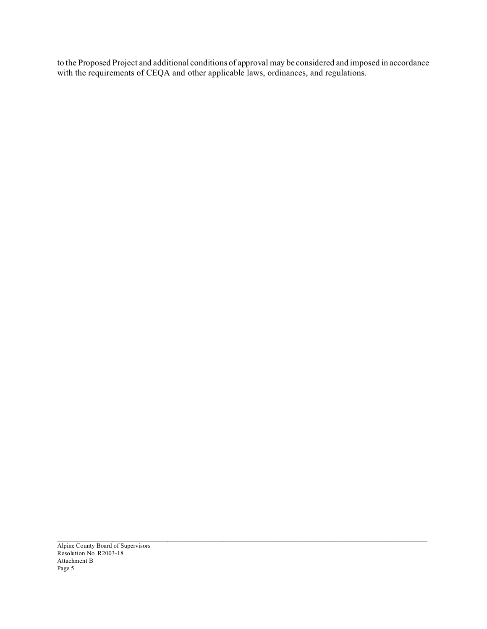to the Proposed Project and additional conditions of approval may be considered and imposed in accordance with the requirements of CEQA and other applicable laws, ordinances, and regulations.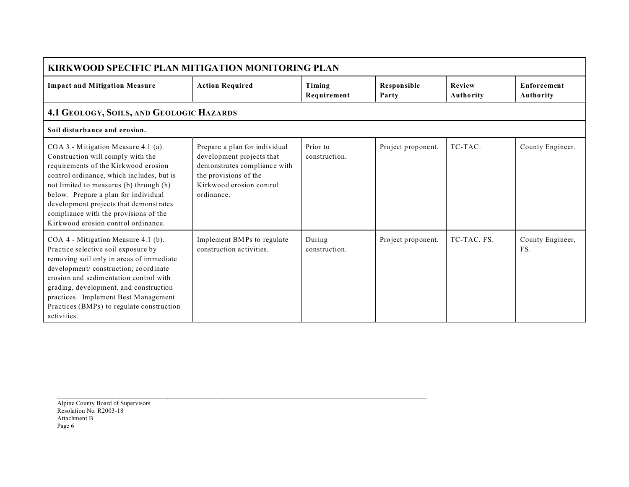| <b>KIRKWOOD SPECIFIC PLAN MITIGATION MONITORING PLAN</b>                                                                                                                                                                                                                                                                                                                   |                                                                                                                                                               |                           |                             |                            |                                 |  |  |  |  |
|----------------------------------------------------------------------------------------------------------------------------------------------------------------------------------------------------------------------------------------------------------------------------------------------------------------------------------------------------------------------------|---------------------------------------------------------------------------------------------------------------------------------------------------------------|---------------------------|-----------------------------|----------------------------|---------------------------------|--|--|--|--|
| <b>Impact and Mitigation Measure</b>                                                                                                                                                                                                                                                                                                                                       | <b>Action Required</b>                                                                                                                                        | Timing<br>Requirement     | <b>Responsible</b><br>Party | Review<br><b>Authority</b> | <b>Enforcement</b><br>Authority |  |  |  |  |
| 4.1 GEOLOGY, SOILS, AND GEOLOGIC HAZARDS                                                                                                                                                                                                                                                                                                                                   |                                                                                                                                                               |                           |                             |                            |                                 |  |  |  |  |
| Soil disturbance and erosion.                                                                                                                                                                                                                                                                                                                                              |                                                                                                                                                               |                           |                             |                            |                                 |  |  |  |  |
| COA 3 - Mitigation Measure 4.1 (a).<br>Construction will comply with the<br>requirements of the Kirkwood erosion<br>control ordinance, which includes, but is<br>not limited to measures (b) through (h)<br>below. Prepare a plan for individual<br>development projects that demonstrates<br>compliance with the provisions of the<br>Kirkwood erosion control ordinance. | Prepare a plan for individual<br>development projects that<br>demonstrates compliance with<br>the provisions of the<br>Kirkwood erosion control<br>ordinance. | Prior to<br>construction. | Project proponent.          | TC-TAC.                    | County Engineer.                |  |  |  |  |
| COA 4 - Mitigation Measure 4.1 (b).<br>Practice selective soil exposure by<br>removing soil only in areas of immediate<br>development/construction; coordinate<br>erosion and sedimentation control with<br>grading, development, and construction<br>practices. Implement Best Management<br>Practices (BMPs) to regulate construction<br>activities.                     | Implement BMPs to regulate<br>construction activities.                                                                                                        | During<br>construction.   | Project proponent.          | TC-TAC, FS.                | County Engineer,<br>FS.         |  |  |  |  |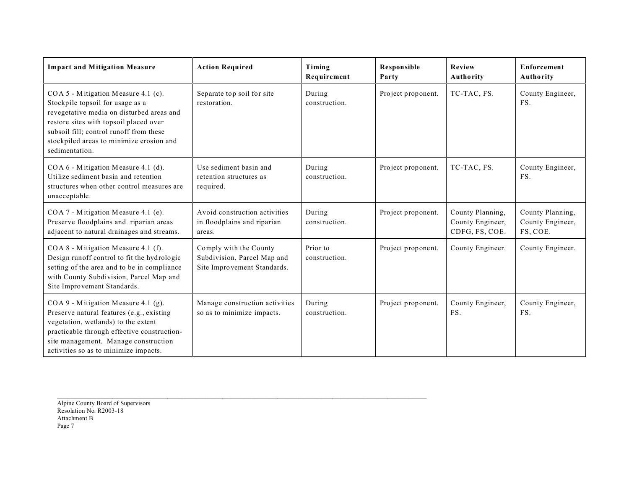| <b>Impact and Mitigation Measure</b>                                                                                                                                                                                                                                    | <b>Action Required</b>                                                               | Timing<br>Requirement     | <b>Responsible</b><br>Party | Review<br>Authority                                    | <b>Enforcement</b><br>Authority                  |
|-------------------------------------------------------------------------------------------------------------------------------------------------------------------------------------------------------------------------------------------------------------------------|--------------------------------------------------------------------------------------|---------------------------|-----------------------------|--------------------------------------------------------|--------------------------------------------------|
| COA 5 - Mitigation Measure 4.1 (c).<br>Stockpile topsoil for usage as a<br>revegetative media on disturbed areas and<br>restore sites with topsoil placed over<br>subsoil fill; control runoff from these<br>stockpiled areas to minimize erosion and<br>sedimentation. | Separate top soil for site<br>restoration.                                           | During<br>construction.   | Project proponent.          | TC-TAC, FS.                                            | County Engineer,<br>FS.                          |
| COA 6 - Mitigation Measure 4.1 (d).<br>Utilize sediment basin and retention<br>structures when other control measures are<br>unacceptable.                                                                                                                              | Use sediment basin and<br>retention structures as<br>required.                       | During<br>construction.   | Project proponent.          | TC-TAC, FS.                                            | County Engineer,<br>FS.                          |
| COA 7 - Mitigation Measure 4.1 (e).<br>Preserve floodplains and riparian areas<br>adjacent to natural drainages and streams.                                                                                                                                            | Avoid construction activities<br>in floodplains and riparian<br>areas.               | During<br>construction.   | Project proponent.          | County Planning,<br>County Engineer,<br>CDFG, FS, COE. | County Planning,<br>County Engineer,<br>FS, COE. |
| COA 8 - Mitigation Measure 4.1 (f).<br>Design runoff control to fit the hydrologic<br>setting of the area and to be in compliance<br>with County Subdivision, Parcel Map and<br>Site Improvement Standards.                                                             | Comply with the County<br>Subdivision, Parcel Map and<br>Site Improvement Standards. | Prior to<br>construction. | Project proponent.          | County Engineer.                                       | County Engineer.                                 |
| COA 9 - Mitigation Measure 4.1 (g).<br>Preserve natural features (e.g., existing<br>vegetation, wetlands) to the extent<br>practicable through effective construction-<br>site management. Manage construction<br>activities so as to minimize impacts.                 | Manage construction activities<br>so as to minimize impacts.                         | During<br>construction.   | Project proponent.          | County Engineer,<br>FS.                                | County Engineer,<br>FS.                          |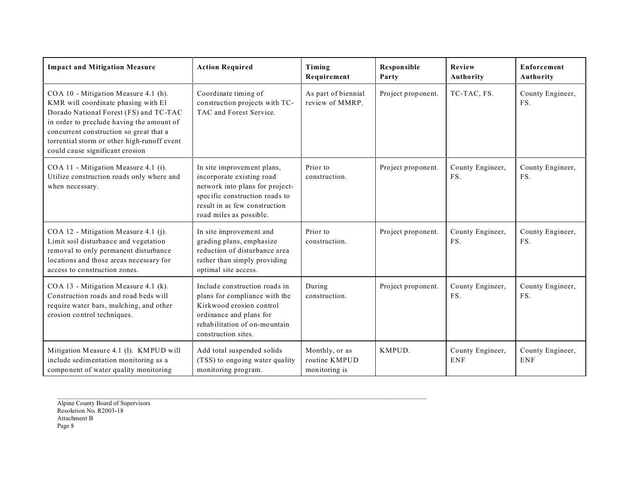| <b>Impact and Mitigation Measure</b>                                                                                                                                                                                                                                                            | <b>Action Required</b>                                                                                                                                                                   | Timing<br>Requirement                            | <b>Responsible</b><br>Party | Review<br>Authority            | <b>Enforcement</b><br>Authority |
|-------------------------------------------------------------------------------------------------------------------------------------------------------------------------------------------------------------------------------------------------------------------------------------------------|------------------------------------------------------------------------------------------------------------------------------------------------------------------------------------------|--------------------------------------------------|-----------------------------|--------------------------------|---------------------------------|
| COA 10 - Mitigation Measure 4.1 (h).<br>KMR will coordinate phasing with El<br>Dorado National Forest (FS) and TC-TAC<br>in order to preclude having the amount of<br>concurrent construction so great that a<br>torrential storm or other high-runoff event<br>could cause significant erosion | Coordinate timing of<br>construction projects with TC-<br>TAC and Forest Service.                                                                                                        | As part of biennial<br>review of MMRP.           | Project proponent.          | TC-TAC, FS.                    | County Engineer,<br>FS.         |
| COA 11 - Mitigation Measure 4.1 (i).<br>Utilize construction roads only where and<br>when necessary.                                                                                                                                                                                            | In site improvement plans,<br>incorporate existing road<br>network into plans for project-<br>specific construction roads to<br>result in as few construction<br>road miles as possible. | Prior to<br>construction.                        | Project proponent.          | County Engineer,<br>FS.        | County Engineer,<br>FS.         |
| COA 12 - Mitigation Measure 4.1 (j).<br>Limit soil disturbance and vegetation<br>removal to only permanent disturbance<br>locations and those areas necessary for<br>access to construction zones.                                                                                              | In site improvement and<br>grading plans, emphasize<br>reduction of disturbance area<br>rather than simply providing<br>optimal site access.                                             | Prior to<br>construction.                        | Project proponent.          | County Engineer,<br>FS.        | County Engineer,<br>FS.         |
| COA 13 - Mitigation Measure 4.1 (k).<br>Construction roads and road beds will<br>require water bars, mulching, and other<br>erosion control techniques.                                                                                                                                         | Include construction roads in<br>plans for compliance with the<br>Kirkwood erosion control<br>ordinance and plans for<br>rehabilitation of on-mountain<br>construction sites.            | During<br>construction.                          | Project proponent.          | County Engineer,<br>FS.        | County Engineer,<br>FS.         |
| Mitigation Measure 4.1 (l). KMPUD will<br>include sedimentation monitoring as a<br>component of water quality monitoring                                                                                                                                                                        | Add total suspended solids<br>(TSS) to ongoing water quality<br>monitoring program.                                                                                                      | Monthly, or as<br>routine KMPUD<br>monitoring is | KMPUD.                      | County Engineer,<br><b>ENF</b> | County Engineer,<br><b>ENF</b>  |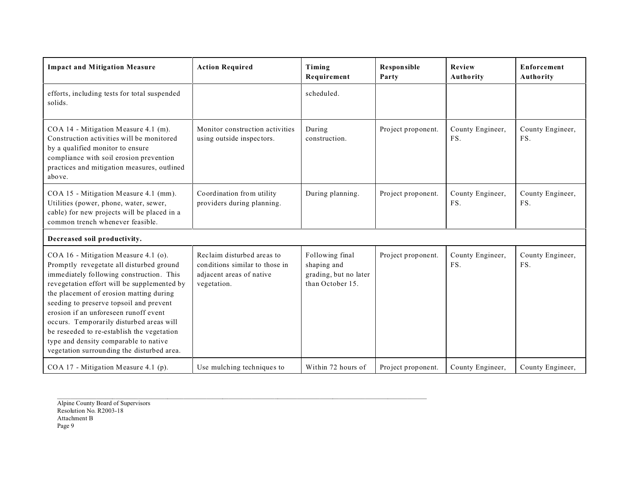| <b>Impact and Mitigation Measure</b>                                                                                                                                                                                                                                                                                                                                                                                                                                                        | <b>Action Required</b>                                                                                  | Timing<br>Requirement                                                       | <b>Responsible</b><br>Party | Review<br>Authority     | <b>Enforcement</b><br>Authority |
|---------------------------------------------------------------------------------------------------------------------------------------------------------------------------------------------------------------------------------------------------------------------------------------------------------------------------------------------------------------------------------------------------------------------------------------------------------------------------------------------|---------------------------------------------------------------------------------------------------------|-----------------------------------------------------------------------------|-----------------------------|-------------------------|---------------------------------|
| efforts, including tests for total suspended<br>solids.                                                                                                                                                                                                                                                                                                                                                                                                                                     |                                                                                                         | scheduled.                                                                  |                             |                         |                                 |
| COA 14 - Mitigation Measure 4.1 (m).<br>Construction activities will be monitored<br>by a qualified monitor to ensure<br>compliance with soil erosion prevention<br>practices and mitigation measures, outlined<br>above.                                                                                                                                                                                                                                                                   | Monitor construction activities<br>using outside inspectors.                                            | During<br>construction.                                                     | Project proponent.          | County Engineer,<br>FS. | County Engineer,<br>FS.         |
| COA 15 - Mitigation Measure 4.1 (mm).<br>Utilities (power, phone, water, sewer,<br>cable) for new projects will be placed in a<br>common trench whenever feasible.                                                                                                                                                                                                                                                                                                                          | Coordination from utility<br>providers during planning.                                                 | During planning.                                                            | Project proponent.          | County Engineer,<br>FS. | County Engineer,<br>FS.         |
| Decreased soil productivity.                                                                                                                                                                                                                                                                                                                                                                                                                                                                |                                                                                                         |                                                                             |                             |                         |                                 |
| COA 16 - Mitigation Measure 4.1 (o).<br>Promptly revegetate all disturbed ground<br>immediately following construction. This<br>revegetation effort will be supplemented by<br>the placement of erosion matting during<br>seeding to preserve topsoil and prevent<br>erosion if an unforeseen runoff event<br>occurs. Temporarily disturbed areas will<br>be reseeded to re-establish the vegetation<br>type and density comparable to native<br>vegetation surrounding the disturbed area. | Reclaim disturbed areas to<br>conditions similar to those in<br>adjacent areas of native<br>vegetation. | Following final<br>shaping and<br>grading, but no later<br>than October 15. | Project proponent.          | County Engineer,<br>FS. | County Engineer,<br>FS.         |
| COA 17 - Mitigation Measure 4.1 (p).                                                                                                                                                                                                                                                                                                                                                                                                                                                        | Use mulching techniques to                                                                              | Within 72 hours of                                                          | Project proponent.          | County Engineer,        | County Engineer,                |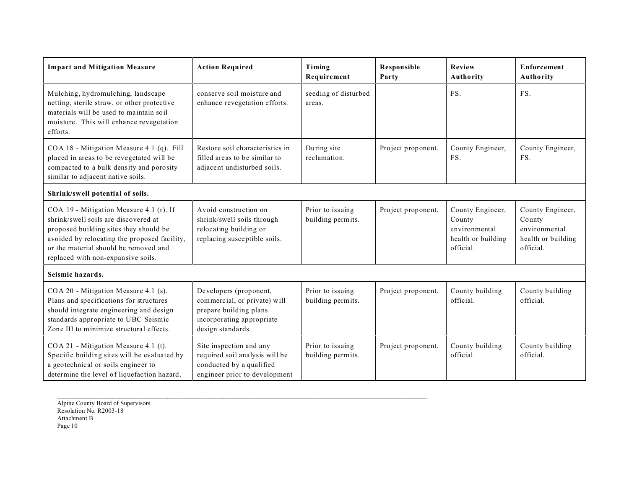| <b>Impact and Mitigation Measure</b>                                                                                                                                                                                                                     | <b>Action Required</b>                                                                                                             | Timing<br>Requirement                 | <b>Responsible</b><br>Party | <b>Review</b><br>Authority                                                     | Enforcement<br>Authority                                                       |
|----------------------------------------------------------------------------------------------------------------------------------------------------------------------------------------------------------------------------------------------------------|------------------------------------------------------------------------------------------------------------------------------------|---------------------------------------|-----------------------------|--------------------------------------------------------------------------------|--------------------------------------------------------------------------------|
| Mulching, hydromulching, landscape<br>netting, sterile straw, or other protective<br>materials will be used to maintain soil<br>moisture. This will enhance revegetation<br>efforts.                                                                     | conserve soil moisture and<br>enhance revegetation efforts.                                                                        | seeding of disturbed<br>areas.        |                             | FS.                                                                            | FS.                                                                            |
| COA 18 - Mitigation Measure 4.1 (q). Fill<br>placed in areas to be revegetated will be<br>compacted to a bulk density and porosity<br>similar to adjacent native soils.                                                                                  | Restore soil characteristics in<br>filled areas to be similar to<br>adjacent undisturbed soils.                                    | During site<br>reclamation.           | Project proponent.          | County Engineer,<br>FS.                                                        | County Engineer,<br>FS.                                                        |
| Shrink/swell potential of soils.                                                                                                                                                                                                                         |                                                                                                                                    |                                       |                             |                                                                                |                                                                                |
| COA 19 - Mitigation Measure 4.1 (r). If<br>shrink/swell soils are discovered at<br>proposed building sites they should be<br>avoided by relocating the proposed facility,<br>or the material should be removed and<br>replaced with non-expansive soils. | Avoid construction on<br>shrink/swell soils through<br>relocating building or<br>replacing susceptible soils.                      | Prior to issuing<br>building permits. | Project proponent.          | County Engineer,<br>County<br>environmental<br>health or building<br>official. | County Engineer,<br>County<br>environmental<br>health or building<br>official. |
| Seismic hazards.                                                                                                                                                                                                                                         |                                                                                                                                    |                                       |                             |                                                                                |                                                                                |
| COA 20 - Mitigation Measure 4.1 (s).<br>Plans and specifications for structures<br>should integrate engineering and design<br>standards appropriate to UBC Seismic<br>Zone III to minimize structural effects.                                           | Developers (proponent,<br>commercial, or private) will<br>prepare building plans<br>incorporating appropriate<br>design standards. | Prior to issuing<br>building permits. | Project proponent.          | County building<br>official.                                                   | County building<br>official.                                                   |
| COA 21 - Mitigation Measure 4.1 (t).<br>Specific building sites will be evaluated by<br>a geotechnical or soils engineer to<br>determine the level of liquefaction hazard.                                                                               | Site inspection and any<br>required soil analysis will be<br>conducted by a qualified<br>engineer prior to development             | Prior to issuing<br>building permits. | Project proponent.          | County building<br>official.                                                   | County building<br>official.                                                   |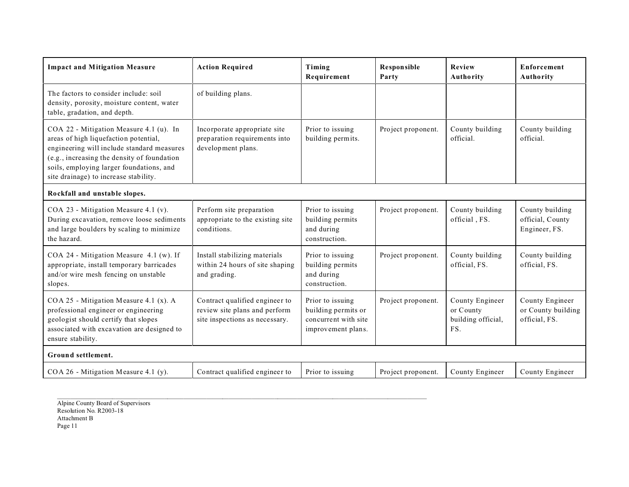| <b>Impact and Mitigation Measure</b>                                                                                                                                                                                                                               | <b>Action Required</b>                                                                            | Timing<br>Requirement                                                                 | <b>Responsible</b><br>Party | Review<br>Authority                                       | Enforcement<br>Authority                               |
|--------------------------------------------------------------------------------------------------------------------------------------------------------------------------------------------------------------------------------------------------------------------|---------------------------------------------------------------------------------------------------|---------------------------------------------------------------------------------------|-----------------------------|-----------------------------------------------------------|--------------------------------------------------------|
| The factors to consider include: soil<br>density, porosity, moisture content, water<br>table, gradation, and depth.                                                                                                                                                | of building plans.                                                                                |                                                                                       |                             |                                                           |                                                        |
| COA 22 - Mitigation Measure 4.1 (u). In<br>areas of high liquefaction potential,<br>engineering will include standard measures<br>(e.g., increasing the density of foundation<br>soils, employing larger foundations, and<br>site drainage) to increase stability. | Incorporate appropriate site<br>preparation requirements into<br>development plans.               | Prior to issuing<br>building permits.                                                 | Project proponent.          | County building<br>official.                              | County building<br>official.                           |
| Rockfall and unstable slopes.                                                                                                                                                                                                                                      |                                                                                                   |                                                                                       |                             |                                                           |                                                        |
| COA 23 - Mitigation Measure 4.1 (v).<br>During excavation, remove loose sediments<br>and large boulders by scaling to minimize<br>the hazard.                                                                                                                      | Perform site preparation<br>appropriate to the existing site<br>conditions.                       | Prior to issuing<br>building permits<br>and during<br>construction.                   | Project proponent.          | County building<br>official, FS.                          | County building<br>official, County<br>Engineer, FS.   |
| COA 24 - Mitigation Measure 4.1 (w). If<br>appropriate, install temporary barricades<br>and/or wire mesh fencing on unstable<br>slopes.                                                                                                                            | Install stabilizing materials<br>within 24 hours of site shaping<br>and grading.                  | Prior to issuing<br>building permits<br>and during<br>construction.                   | Project proponent.          | County building<br>official, FS.                          | County building<br>official, FS.                       |
| COA 25 - Mitigation Measure 4.1 (x). A<br>professional engineer or engineering<br>geologist should certify that slopes<br>associated with excavation are designed to<br>ensure stability.                                                                          | Contract qualified engineer to<br>review site plans and perform<br>site inspections as necessary. | Prior to issuing<br>building permits or<br>concurrent with site<br>improvement plans. | Project proponent.          | County Engineer<br>or County<br>building official,<br>FS. | County Engineer<br>or County building<br>official, FS. |
| Ground settlement.                                                                                                                                                                                                                                                 |                                                                                                   |                                                                                       |                             |                                                           |                                                        |
| COA 26 - Mitigation Measure 4.1 (y).                                                                                                                                                                                                                               | Contract qualified engineer to                                                                    | Prior to issuing                                                                      | Project proponent.          | County Engineer                                           | County Engineer                                        |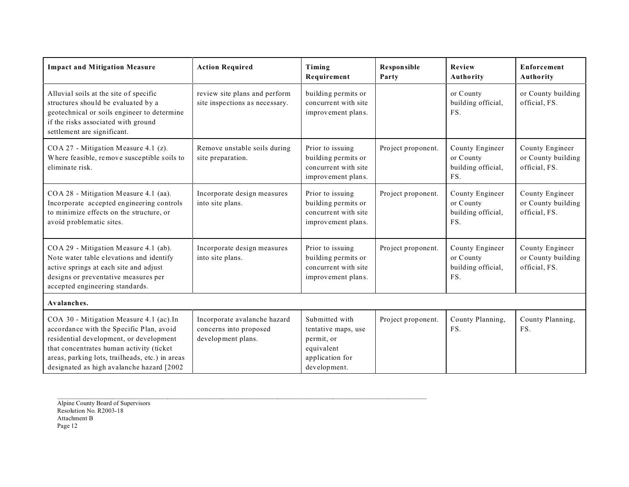| <b>Impact and Mitigation Measure</b>                                                                                                                                                                                                                                       | <b>Action Required</b>                                                       | Timing<br>Requirement                                                                                | <b>Responsible</b><br>Party | Review<br>Authority                                       | Enforcement<br><b>Authority</b>                        |
|----------------------------------------------------------------------------------------------------------------------------------------------------------------------------------------------------------------------------------------------------------------------------|------------------------------------------------------------------------------|------------------------------------------------------------------------------------------------------|-----------------------------|-----------------------------------------------------------|--------------------------------------------------------|
| Alluvial soils at the site of specific<br>structures should be evaluated by a<br>geotechnical or soils engineer to determine<br>if the risks associated with ground<br>settlement are significant.                                                                         | review site plans and perform<br>site inspections as necessary.              | building permits or<br>concurrent with site<br>improvement plans.                                    |                             | or County<br>building official,<br>FS.                    | or County building<br>official, FS.                    |
| COA 27 - Mitigation Measure 4.1 (z).<br>Where feasible, remove susceptible soils to<br>eliminate risk.                                                                                                                                                                     | Remove unstable soils during<br>site preparation.                            | Prior to issuing<br>building permits or<br>concurrent with site<br>improvement plans.                | Project proponent.          | County Engineer<br>or County<br>building official,<br>FS. | County Engineer<br>or County building<br>official, FS. |
| COA 28 - Mitigation Measure 4.1 (aa).<br>Incorporate accepted engineering controls<br>to minimize effects on the structure, or<br>avoid problematic sites.                                                                                                                 | Incorporate design measures<br>into site plans.                              | Prior to issuing<br>building permits or<br>concurrent with site<br>improvement plans.                | Project proponent.          | County Engineer<br>or County<br>building official,<br>FS. | County Engineer<br>or County building<br>official, FS. |
| COA 29 - Mitigation Measure 4.1 (ab).<br>Note water table elevations and identify<br>active springs at each site and adjust<br>designs or preventative measures per<br>accepted engineering standards.                                                                     | Incorporate design measures<br>into site plans.                              | Prior to issuing<br>building permits or<br>concurrent with site<br>improvement plans.                | Project proponent.          | County Engineer<br>or County<br>building official,<br>FS. | County Engineer<br>or County building<br>official, FS. |
| Avalanches.                                                                                                                                                                                                                                                                |                                                                              |                                                                                                      |                             |                                                           |                                                        |
| COA 30 - Mitigation Measure 4.1 (ac).In<br>accordance with the Specific Plan, avoid<br>residential development, or development<br>that concentrates human activity (ticket<br>areas, parking lots, trailheads, etc.) in areas<br>designated as high avalanche hazard [2002 | Incorporate avalanche hazard<br>concerns into proposed<br>development plans. | Submitted with<br>tentative maps, use<br>permit, or<br>equivalent<br>application for<br>development. | Project proponent.          | County Planning,<br>FS.                                   | County Planning,<br>FS.                                |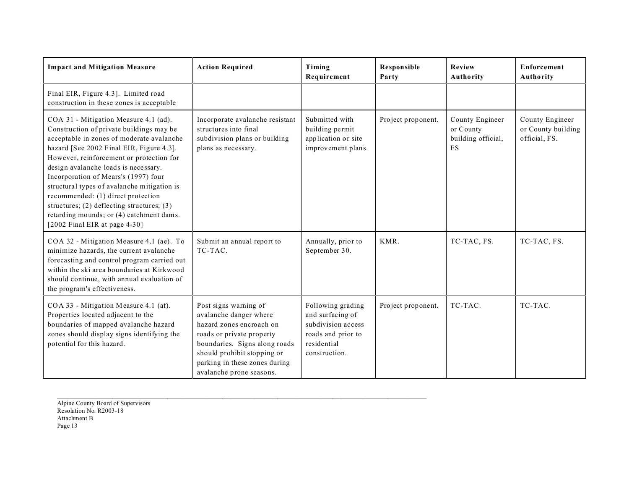| <b>Impact and Mitigation Measure</b>                                                                                                                                                                                                                                                                                                                                                                                                                                                                                       | <b>Action Required</b>                                                                                                                                                                                                                | Timing<br>Requirement                                                                                             | <b>Responsible</b><br>Party | Review<br>Authority                                             | Enforcement<br><b>Authority</b>                        |
|----------------------------------------------------------------------------------------------------------------------------------------------------------------------------------------------------------------------------------------------------------------------------------------------------------------------------------------------------------------------------------------------------------------------------------------------------------------------------------------------------------------------------|---------------------------------------------------------------------------------------------------------------------------------------------------------------------------------------------------------------------------------------|-------------------------------------------------------------------------------------------------------------------|-----------------------------|-----------------------------------------------------------------|--------------------------------------------------------|
| Final EIR, Figure 4.3]. Limited road<br>construction in these zones is acceptable                                                                                                                                                                                                                                                                                                                                                                                                                                          |                                                                                                                                                                                                                                       |                                                                                                                   |                             |                                                                 |                                                        |
| COA 31 - Mitigation Measure 4.1 (ad).<br>Construction of private buildings may be<br>acceptable in zones of moderate avalanche<br>hazard [See 2002 Final EIR, Figure 4.3].<br>However, reinforcement or protection for<br>design avalanche loads is necessary.<br>Incorporation of Mears's (1997) four<br>structural types of avalanche mitigation is<br>recommended: (1) direct protection<br>structures; $(2)$ deflecting structures; $(3)$<br>retarding mounds; or (4) catchment dams.<br>[2002 Final EIR at page 4-30] | Incorporate avalanche resistant<br>structures into final<br>subdivision plans or building<br>plans as necessary.                                                                                                                      | Submitted with<br>building permit<br>application or site<br>improvement plans.                                    | Project proponent.          | County Engineer<br>or County<br>building official,<br><b>FS</b> | County Engineer<br>or County building<br>official, FS. |
| COA 32 - Mitigation Measure 4.1 (ae). To<br>minimize hazards, the current avalanche<br>forecasting and control program carried out<br>within the ski area boundaries at Kirkwood<br>should continue, with annual evaluation of<br>the program's effectiveness.                                                                                                                                                                                                                                                             | Submit an annual report to<br>TC-TAC.                                                                                                                                                                                                 | Annually, prior to<br>September 30.                                                                               | KMR.                        | TC-TAC, FS.                                                     | TC-TAC, FS.                                            |
| COA 33 - Mitigation Measure 4.1 (af).<br>Properties located adjacent to the<br>boundaries of mapped avalanche hazard<br>zones should display signs identifying the<br>potential for this hazard.                                                                                                                                                                                                                                                                                                                           | Post signs warning of<br>avalanche danger where<br>hazard zones encroach on<br>roads or private property<br>boundaries. Signs along roads<br>should prohibit stopping or<br>parking in these zones during<br>avalanche prone seasons. | Following grading<br>and surfacing of<br>subdivision access<br>roads and prior to<br>residential<br>construction. | Project proponent.          | TC-TAC.                                                         | TC-TAC.                                                |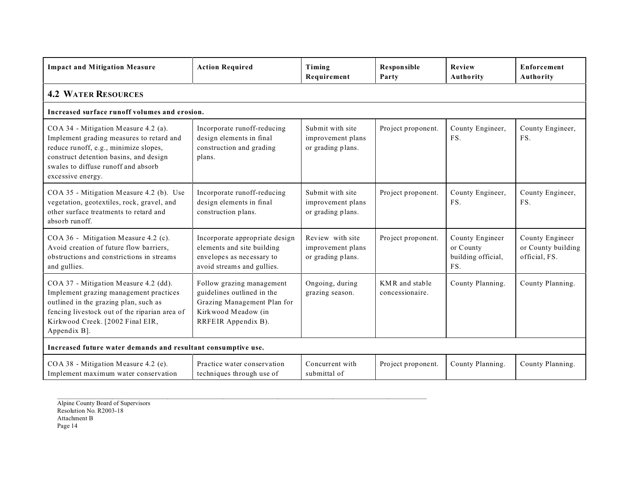| <b>Impact and Mitigation Measure</b>                                                                                                                                                                                            | <b>Action Required</b>                                                                                                               | Timing<br>Requirement                                      | <b>Responsible</b><br>Party       | <b>Review</b><br>Authority                                | Enforcement<br>Authority                               |  |  |  |  |
|---------------------------------------------------------------------------------------------------------------------------------------------------------------------------------------------------------------------------------|--------------------------------------------------------------------------------------------------------------------------------------|------------------------------------------------------------|-----------------------------------|-----------------------------------------------------------|--------------------------------------------------------|--|--|--|--|
| <b>4.2 WATER RESOURCES</b>                                                                                                                                                                                                      |                                                                                                                                      |                                                            |                                   |                                                           |                                                        |  |  |  |  |
| Increased surface runoff volumes and erosion.                                                                                                                                                                                   |                                                                                                                                      |                                                            |                                   |                                                           |                                                        |  |  |  |  |
| COA 34 - Mitigation Measure 4.2 (a).<br>Implement grading measures to retard and<br>reduce runoff, e.g., minimize slopes,<br>construct detention basins, and design<br>swales to diffuse runoff and absorb<br>excessive energy. | Incorporate runoff-reducing<br>design elements in final<br>construction and grading<br>plans.                                        | Submit with site<br>improvement plans<br>or grading plans. | Project proponent.                | County Engineer,<br>FS.                                   | County Engineer,<br>FS.                                |  |  |  |  |
| COA 35 - Mitigation Measure 4.2 (b). Use<br>vegetation, geotextiles, rock, gravel, and<br>other surface treatments to retard and<br>absorb runoff.                                                                              | Incorporate runoff-reducing<br>design elements in final<br>construction plans.                                                       | Submit with site<br>improvement plans<br>or grading plans. | Project proponent.                | County Engineer,<br>FS.                                   | County Engineer,<br>FS.                                |  |  |  |  |
| COA 36 - Mitigation Measure 4.2 (c).<br>Avoid creation of future flow barriers,<br>obstructions and constrictions in streams<br>and gullies.                                                                                    | Incorporate appropriate design<br>elements and site building<br>envelopes as necessary to<br>avoid streams and gullies.              | Review with site<br>improvement plans<br>or grading plans. | Project proponent.                | County Engineer<br>or County<br>building official,<br>FS. | County Engineer<br>or County building<br>official, FS. |  |  |  |  |
| COA 37 - Mitigation Measure 4.2 (dd).<br>Implement grazing management practices<br>outlined in the grazing plan, such as<br>fencing livestock out of the riparian area of<br>Kirkwood Creek. [2002 Final EIR,<br>Appendix B].   | Follow grazing management<br>guidelines outlined in the<br>Grazing Management Plan for<br>Kirkwood Meadow (in<br>RRFEIR Appendix B). | Ongoing, during<br>grazing season.                         | KMR and stable<br>concessionaire. | County Planning.                                          | County Planning.                                       |  |  |  |  |
| Increased future water demands and resultant consumptive use.                                                                                                                                                                   |                                                                                                                                      |                                                            |                                   |                                                           |                                                        |  |  |  |  |
| COA 38 - Mitigation Measure 4.2 (e).<br>Implement maximum water conservation                                                                                                                                                    | Practice water conservation<br>techniques through use of                                                                             | Concurrent with<br>submittal of                            | Project proponent.                | County Planning.                                          | County Planning.                                       |  |  |  |  |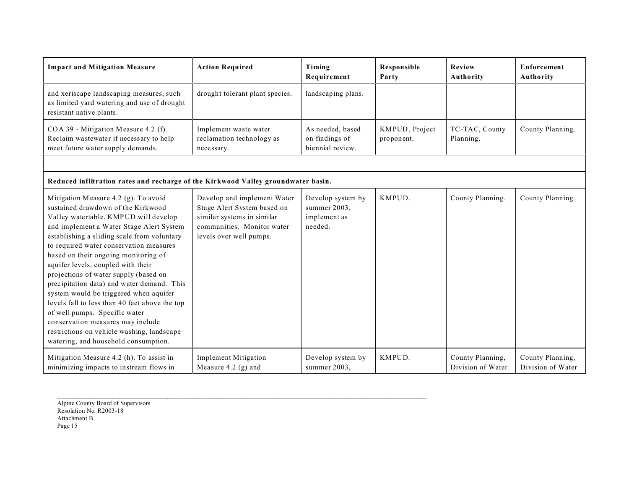| <b>Impact and Mitigation Measure</b>                                                                                                                                                                                                                                                                                                                                                                                                                                                                                                                                                                                                                                                   | <b>Action Required</b>                                                                                                                            | Timing<br>Requirement                                        | Responsible<br>Party         | Review<br>Authority                   | <b>Enforcement</b><br>Authority       |
|----------------------------------------------------------------------------------------------------------------------------------------------------------------------------------------------------------------------------------------------------------------------------------------------------------------------------------------------------------------------------------------------------------------------------------------------------------------------------------------------------------------------------------------------------------------------------------------------------------------------------------------------------------------------------------------|---------------------------------------------------------------------------------------------------------------------------------------------------|--------------------------------------------------------------|------------------------------|---------------------------------------|---------------------------------------|
| and xeriscape landscaping measures, such<br>as limited yard watering and use of drought<br>resistant native plants.                                                                                                                                                                                                                                                                                                                                                                                                                                                                                                                                                                    | drought tolerant plant species.                                                                                                                   | landscaping plans.                                           |                              |                                       |                                       |
| COA 39 - Mitigation Measure 4.2 (f).<br>Reclaim wastewater if necessary to help<br>meet future water supply demands.                                                                                                                                                                                                                                                                                                                                                                                                                                                                                                                                                                   | Implement waste water<br>reclamation technology as<br>necessary.                                                                                  | As needed, based<br>on findings of<br>biennial review.       | KMPUD, Project<br>proponent. | TC-TAC, County<br>Planning.           | County Planning.                      |
|                                                                                                                                                                                                                                                                                                                                                                                                                                                                                                                                                                                                                                                                                        |                                                                                                                                                   |                                                              |                              |                                       |                                       |
| Reduced infiltration rates and recharge of the Kirkwood Valley groundwater basin.                                                                                                                                                                                                                                                                                                                                                                                                                                                                                                                                                                                                      |                                                                                                                                                   |                                                              |                              |                                       |                                       |
| Mitigation Measure 4.2 (g). To avoid<br>sustained drawdown of the Kirkwood<br>Valley watertable, KMPUD will develop<br>and implement a Water Stage Alert System<br>establishing a sliding scale from voluntary<br>to required water conservation measures<br>based on their ongoing monitoring of<br>aquifer levels, coupled with their<br>projections of water supply (based on<br>precipitation data) and water demand. This<br>system would be triggered when aquifer<br>levels fall to less than 40 feet above the top<br>of well pumps. Specific water<br>conservation measures may include<br>restrictions on vehicle washing, landscape<br>watering, and household consumption. | Develop and implement Water<br>Stage Alert System based on<br>similar systems in similar<br>communities. Monitor water<br>levels over well pumps. | Develop system by<br>summer 2003,<br>implement as<br>needed. | KMPUD.                       | County Planning.                      | County Planning.                      |
| Mitigation Measure 4.2 (h). To assist in<br>minimizing impacts to instream flows in                                                                                                                                                                                                                                                                                                                                                                                                                                                                                                                                                                                                    | <b>Implement Mitigation</b><br>Measure 4.2 $(g)$ and                                                                                              | Develop system by<br>summer 2003,                            | KMPUD.                       | County Planning,<br>Division of Water | County Planning,<br>Division of Water |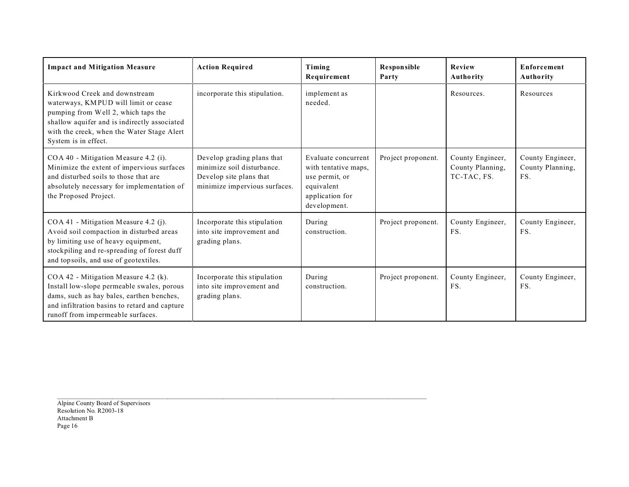| <b>Impact and Mitigation Measure</b>                                                                                                                                                                                               | <b>Action Required</b>                                                                                               | Timing<br>Requirement                                                                                          | Responsible<br>Party | Review<br>Authority                                 | <b>Enforcement</b><br><b>Authority</b>      |
|------------------------------------------------------------------------------------------------------------------------------------------------------------------------------------------------------------------------------------|----------------------------------------------------------------------------------------------------------------------|----------------------------------------------------------------------------------------------------------------|----------------------|-----------------------------------------------------|---------------------------------------------|
| Kirkwood Creek and downstream<br>waterways, KMPUD will limit or cease<br>pumping from Well 2, which taps the<br>shallow aquifer and is indirectly associated<br>with the creek, when the Water Stage Alert<br>System is in effect. | incorporate this stipulation.                                                                                        | implement as<br>needed.                                                                                        |                      | Resources.                                          | Resources                                   |
| COA 40 - Mitigation Measure 4.2 (i).<br>Minimize the extent of impervious surfaces<br>and disturbed soils to those that are<br>absolutely necessary for implementation of<br>the Proposed Project.                                 | Develop grading plans that<br>minimize soil disturbance.<br>Develop site plans that<br>minimize impervious surfaces. | Evaluate concurrent<br>with tentative maps,<br>use permit, or<br>equivalent<br>application for<br>development. | Project proponent.   | County Engineer,<br>County Planning,<br>TC-TAC, FS. | County Engineer,<br>County Planning,<br>FS. |
| COA 41 - Mitigation Measure 4.2 (j).<br>Avoid soil compaction in disturbed areas<br>by limiting use of heavy equipment,<br>stockpiling and re-spreading of forest duff<br>and topsoils, and use of geotextiles.                    | Incorporate this stipulation<br>into site improvement and<br>grading plans.                                          | During<br>construction.                                                                                        | Project proponent.   | County Engineer,<br>FS.                             | County Engineer,<br>FS.                     |
| COA 42 - Mitigation Measure 4.2 (k).<br>Install low-slope permeable swales, porous<br>dams, such as hay bales, earthen benches,<br>and infiltration basins to retard and capture<br>runoff from impermeable surfaces.              | Incorporate this stipulation<br>into site improvement and<br>grading plans.                                          | During<br>construction.                                                                                        | Project proponent.   | County Engineer,<br>FS.                             | County Engineer,<br>FS.                     |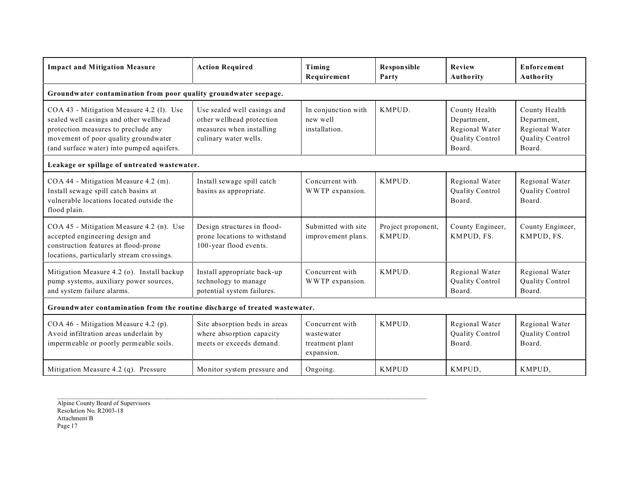| <b>Impact and Mitigation Measure</b>                                                                                                                                                                           | <b>Action Required</b>                                                                                        | Timing<br>Requirement                                          | <b>Responsible</b><br>Party  | <b>Review</b><br>Authority                                                  | Enforcement<br>Authority                                                    |  |  |  |  |  |
|----------------------------------------------------------------------------------------------------------------------------------------------------------------------------------------------------------------|---------------------------------------------------------------------------------------------------------------|----------------------------------------------------------------|------------------------------|-----------------------------------------------------------------------------|-----------------------------------------------------------------------------|--|--|--|--|--|
|                                                                                                                                                                                                                | Groundwater contamination from poor quality groundwater seepage.                                              |                                                                |                              |                                                                             |                                                                             |  |  |  |  |  |
| COA 43 - Mitigation Measure 4.2 (l). Use<br>sealed well casings and other wellhead<br>protection measures to preclude any<br>movement of poor quality groundwater<br>(and surface water) into pumped aquifers. | Use sealed well casings and<br>other wellhead protection<br>measures when installing<br>culinary water wells. | In conjunction with<br>new well<br>installation.               | KMPUD.                       | County Health<br>Department,<br>Regional Water<br>Quality Control<br>Board. | County Health<br>Department,<br>Regional Water<br>Quality Control<br>Board. |  |  |  |  |  |
| Leakage or spillage of untreated wastewater.                                                                                                                                                                   |                                                                                                               |                                                                |                              |                                                                             |                                                                             |  |  |  |  |  |
| COA 44 - Mitigation Measure 4.2 (m).<br>Install sewage spill catch basins at<br>vulnerable locations located outside the<br>flood plain.                                                                       | Install sewage spill catch<br>basins as appropriate.                                                          | Concurrent with<br>WWTP expansion.                             | KMPUD.                       | Regional Water<br>Quality Control<br>Board.                                 | Regional Water<br><b>Quality Control</b><br>Board.                          |  |  |  |  |  |
| COA 45 - Mitigation Measure 4.2 (n). Use<br>accepted engineering design and<br>construction features at flood-prone<br>locations, particularly stream crossings.                                               | Design structures in flood-<br>prone locations to withstand<br>100-year flood events.                         | Submitted with site<br>improvement plans.                      | Project proponent,<br>KMPUD. | County Engineer,<br>KMPUD, FS.                                              | County Engineer,<br>KMPUD, FS.                                              |  |  |  |  |  |
| Mitigation Measure 4.2 (o). Install backup<br>pump systems, auxiliary power sources,<br>and system failure alarms.                                                                                             | Install appropriate back-up<br>technology to manage<br>potential system failures.                             | Concurrent with<br>WWTP expansion.                             | KMPUD.                       | Regional Water<br>Quality Control<br>Board.                                 | Regional Water<br>Quality Control<br>Board.                                 |  |  |  |  |  |
| Groundwater contamination from the routine discharge of treated wastewater.                                                                                                                                    |                                                                                                               |                                                                |                              |                                                                             |                                                                             |  |  |  |  |  |
| COA 46 - Mitigation Measure 4.2 (p).<br>Avoid infiltration areas underlain by<br>impermeable or poorly permeable soils.                                                                                        | Site absorption beds in areas<br>where absorption capacity<br>meets or exceeds demand.                        | Concurrent with<br>wastewater<br>treatment plant<br>expansion. | KMPUD.                       | Regional Water<br>Quality Control<br>Board.                                 | Regional Water<br>Quality Control<br>Board.                                 |  |  |  |  |  |
| Mitigation Measure 4.2 (q). Pressure                                                                                                                                                                           | Monitor system pressure and                                                                                   | Ongoing.                                                       | <b>KMPUD</b>                 | KMPUD,                                                                      | KMPUD,                                                                      |  |  |  |  |  |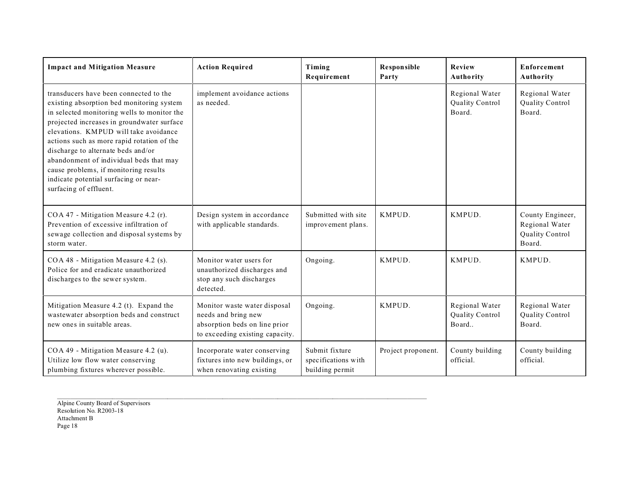| <b>Impact and Mitigation Measure</b>                                                                                                                                                                                                                                                                                                                                                                                                                                 | <b>Action Required</b>                                                                                                  | Timing<br>Requirement                                    | Responsible<br>Party | Review<br>Authority                         | Enforcement<br>Authority                                               |
|----------------------------------------------------------------------------------------------------------------------------------------------------------------------------------------------------------------------------------------------------------------------------------------------------------------------------------------------------------------------------------------------------------------------------------------------------------------------|-------------------------------------------------------------------------------------------------------------------------|----------------------------------------------------------|----------------------|---------------------------------------------|------------------------------------------------------------------------|
| transducers have been connected to the<br>existing absorption bed monitoring system<br>in selected monitoring wells to monitor the<br>projected increases in groundwater surface<br>elevations. KMPUD will take avoidance<br>actions such as more rapid rotation of the<br>discharge to alternate beds and/or<br>abandonment of individual beds that may<br>cause problems, if monitoring results<br>indicate potential surfacing or near-<br>surfacing of effluent. | implement avoidance actions<br>as needed.                                                                               |                                                          |                      | Regional Water<br>Quality Control<br>Board. | Regional Water<br>Quality Control<br>Board.                            |
| COA 47 - Mitigation Measure 4.2 (r).<br>Prevention of excessive infiltration of<br>sewage collection and disposal systems by<br>storm water.                                                                                                                                                                                                                                                                                                                         | Design system in accordance<br>with applicable standards.                                                               | Submitted with site<br>improvement plans.                | KMPUD.               | KMPUD.                                      | County Engineer,<br>Regional Water<br><b>Quality Control</b><br>Board. |
| COA 48 - Mitigation Measure 4.2 (s).<br>Police for and eradicate unauthorized<br>discharges to the sewer system.                                                                                                                                                                                                                                                                                                                                                     | Monitor water users for<br>unauthorized discharges and<br>stop any such discharges<br>detected.                         | Ongoing.                                                 | KMPUD.               | KMPUD.                                      | KMPUD.                                                                 |
| Mitigation Measure 4.2 (t). Expand the<br>wastewater absorption beds and construct<br>new ones in suitable areas.                                                                                                                                                                                                                                                                                                                                                    | Monitor waste water disposal<br>needs and bring new<br>absorption beds on line prior<br>to exceeding existing capacity. | Ongoing.                                                 | KMPUD.               | Regional Water<br>Quality Control<br>Board  | Regional Water<br><b>Quality Control</b><br>Board.                     |
| COA 49 - Mitigation Measure 4.2 (u).<br>Utilize low flow water conserving<br>plumbing fixtures wherever possible.                                                                                                                                                                                                                                                                                                                                                    | Incorporate water conserving<br>fixtures into new buildings, or<br>when renovating existing                             | Submit fixture<br>specifications with<br>building permit | Project proponent.   | County building<br>official.                | County building<br>official.                                           |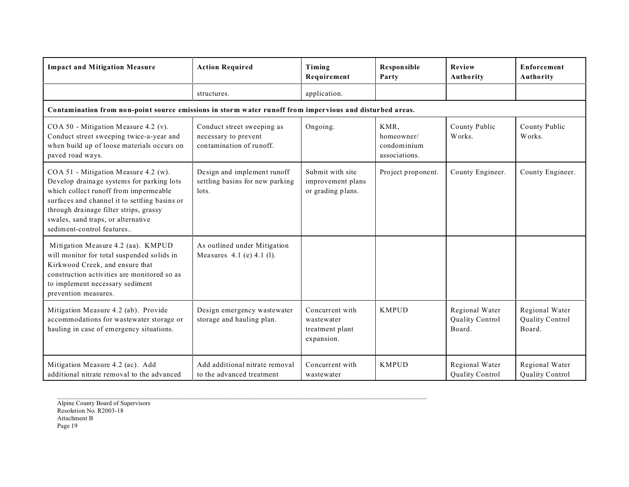| <b>Impact and Mitigation Measure</b>                                                                                                                                                                                                                                                     | <b>Action Required</b>                                                         | Timing<br>Requirement                                          | Responsible<br>Party                               | Review<br>Authority                         | Enforcement<br>Authority                           |
|------------------------------------------------------------------------------------------------------------------------------------------------------------------------------------------------------------------------------------------------------------------------------------------|--------------------------------------------------------------------------------|----------------------------------------------------------------|----------------------------------------------------|---------------------------------------------|----------------------------------------------------|
|                                                                                                                                                                                                                                                                                          | structures.                                                                    | application.                                                   |                                                    |                                             |                                                    |
| Contamination from non-point source emissions in storm water runoff from impervious and disturbed areas.                                                                                                                                                                                 |                                                                                |                                                                |                                                    |                                             |                                                    |
| COA 50 - Mitigation Measure 4.2 (v).<br>Conduct street sweeping twice-a-year and<br>when build up of loose materials occurs on<br>paved road ways.                                                                                                                                       | Conduct street sweeping as<br>necessary to prevent<br>contamination of runoff. | Ongoing.                                                       | KMR,<br>homeowner/<br>condominium<br>associations. | County Public<br>Works.                     | County Public<br>Works.                            |
| COA 51 - Mitigation Measure 4.2 (w).<br>Develop drainage systems for parking lots<br>which collect runoff from impermeable<br>surfaces and channel it to settling basins or<br>through drainage filter strips, grassy<br>swales, sand traps, or alternative<br>sediment-control features | Design and implement runoff<br>settling basins for new parking<br>lots.        | Submit with site<br>improvement plans<br>or grading plans.     | Project proponent.                                 | County Engineer.                            | County Engineer.                                   |
| Mitigation Measure 4.2 (aa). KMPUD<br>will monitor for total suspended solids in<br>Kirkwood Creek, and ensure that<br>construction activities are monitored so as<br>to implement necessary sediment<br>prevention measures.                                                            | As outlined under Mitigation<br>Measures 4.1 (e) 4.1 (l).                      |                                                                |                                                    |                                             |                                                    |
| Mitigation Measure 4.2 (ab). Provide<br>accommodations for wastewater storage or<br>hauling in case of emergency situations.                                                                                                                                                             | Design emergency wastewater<br>storage and hauling plan.                       | Concurrent with<br>wastewater<br>treatment plant<br>expansion. | <b>KMPUD</b>                                       | Regional Water<br>Quality Control<br>Board. | Regional Water<br><b>Quality Control</b><br>Board. |
| Mitigation Measure 4.2 (ac). Add<br>additional nitrate removal to the advanced                                                                                                                                                                                                           | Add additional nitrate removal<br>to the advanced treatment                    | Concurrent with<br>wastewater                                  | <b>KMPUD</b>                                       | Regional Water<br>Quality Control           | Regional Water<br>Quality Control                  |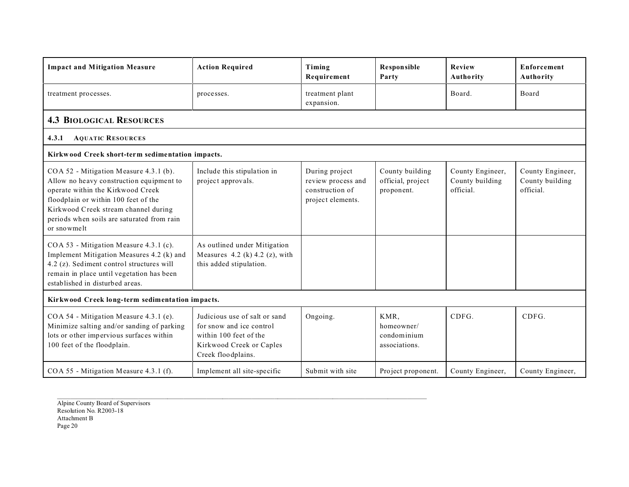| <b>Impact and Mitigation Measure</b>                                                                                                                                                                                                                                 | <b>Action Required</b>                                                                                                                | Timing<br>Requirement                                                        | <b>Responsible</b><br>Party                        | Review<br>Authority                              | Enforcement<br>Authority                         |
|----------------------------------------------------------------------------------------------------------------------------------------------------------------------------------------------------------------------------------------------------------------------|---------------------------------------------------------------------------------------------------------------------------------------|------------------------------------------------------------------------------|----------------------------------------------------|--------------------------------------------------|--------------------------------------------------|
| treatment processes.                                                                                                                                                                                                                                                 | processes.                                                                                                                            | treatment plant<br>expansion.                                                |                                                    | Board.                                           | Board                                            |
| <b>4.3 BIOLOGICAL RESOURCES</b>                                                                                                                                                                                                                                      |                                                                                                                                       |                                                                              |                                                    |                                                  |                                                  |
| <b>AQUATIC RESOURCES</b><br>4.3.1                                                                                                                                                                                                                                    |                                                                                                                                       |                                                                              |                                                    |                                                  |                                                  |
| Kirkwood Creek short-term sedimentation impacts.                                                                                                                                                                                                                     |                                                                                                                                       |                                                                              |                                                    |                                                  |                                                  |
| COA 52 - Mitigation Measure 4.3.1 (b).<br>Allow no heavy construction equipment to<br>operate within the Kirkwood Creek<br>floodplain or within 100 feet of the<br>Kirkwood Creek stream channel during<br>periods when soils are saturated from rain<br>or snowmelt | Include this stipulation in<br>project approvals.                                                                                     | During project<br>review process and<br>construction of<br>project elements. | County building<br>official, project<br>proponent. | County Engineer,<br>County building<br>official. | County Engineer,<br>County building<br>official. |
| COA 53 - Mitigation Measure 4.3.1 (c).<br>Implement Mitigation Measures 4.2 (k) and<br>4.2 (z). Sediment control structures will<br>remain in place until vegetation has been<br>established in disturbed areas.                                                     | As outlined under Mitigation<br>Measures 4.2 (k) 4.2 (z), with<br>this added stipulation.                                             |                                                                              |                                                    |                                                  |                                                  |
| Kirkwood Creek long-term sedimentation impacts.                                                                                                                                                                                                                      |                                                                                                                                       |                                                                              |                                                    |                                                  |                                                  |
| COA 54 - Mitigation Measure 4.3.1 (e).<br>Minimize salting and/or sanding of parking<br>lots or other impervious surfaces within<br>100 feet of the floodplain.                                                                                                      | Judicious use of salt or sand<br>for snow and ice control<br>within 100 feet of the<br>Kirkwood Creek or Caples<br>Creek floodplains. | Ongoing.                                                                     | KMR,<br>homeowner/<br>condominium<br>associations. | CDFG.                                            | CDFG.                                            |
| COA 55 - Mitigation Measure 4.3.1 (f).                                                                                                                                                                                                                               | Implement all site-specific                                                                                                           | Submit with site                                                             | Project proponent.                                 | County Engineer,                                 | County Engineer,                                 |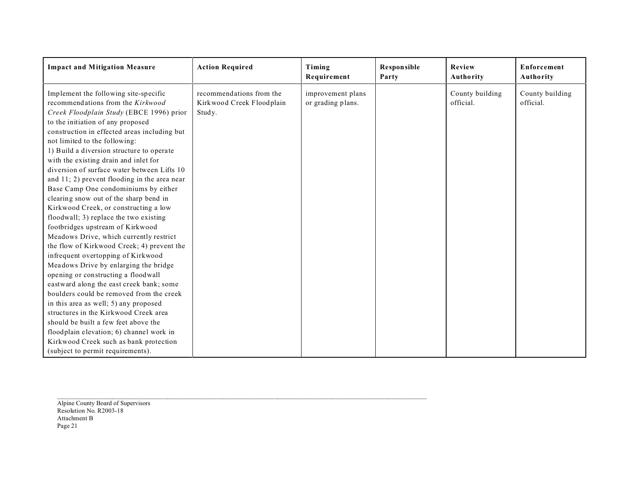| <b>Impact and Mitigation Measure</b>                                                                                                                                                                                                                                                                                                                                                                                                                                                                                                                                                                                                                                                                                                                                                                                                                                                                                                                                                                                                                                                                                    | <b>Action Required</b>                                          | Timing<br>Requirement                  | Responsible<br>Party | Review<br>Authority          | Enforcement<br>Authority     |
|-------------------------------------------------------------------------------------------------------------------------------------------------------------------------------------------------------------------------------------------------------------------------------------------------------------------------------------------------------------------------------------------------------------------------------------------------------------------------------------------------------------------------------------------------------------------------------------------------------------------------------------------------------------------------------------------------------------------------------------------------------------------------------------------------------------------------------------------------------------------------------------------------------------------------------------------------------------------------------------------------------------------------------------------------------------------------------------------------------------------------|-----------------------------------------------------------------|----------------------------------------|----------------------|------------------------------|------------------------------|
| Implement the following site-specific<br>recommendations from the Kirkwood<br>Creek Floodplain Study (EBCE 1996) prior<br>to the initiation of any proposed<br>construction in effected areas including but<br>not limited to the following:<br>1) Build a diversion structure to operate<br>with the existing drain and inlet for<br>diversion of surface water between Lifts 10<br>and 11; 2) prevent flooding in the area near<br>Base Camp One condominiums by either<br>clearing snow out of the sharp bend in<br>Kirkwood Creek, or constructing a low<br>floodwall; 3) replace the two existing<br>footbridges upstream of Kirkwood<br>Meadows Drive, which currently restrict<br>the flow of Kirkwood Creek; 4) prevent the<br>infrequent overtopping of Kirkwood<br>Meadows Drive by enlarging the bridge<br>opening or constructing a floodwall<br>eastward along the east creek bank; some<br>boulders could be removed from the creek<br>in this area as well; 5) any proposed<br>structures in the Kirkwood Creek area<br>should be built a few feet above the<br>floodplain elevation; 6) channel work in | recommendations from the<br>Kirkwood Creek Floodplain<br>Study. | improvement plans<br>or grading plans. |                      | County building<br>official. | County building<br>official. |
| Kirkwood Creek such as bank protection<br>(subject to permit requirements).                                                                                                                                                                                                                                                                                                                                                                                                                                                                                                                                                                                                                                                                                                                                                                                                                                                                                                                                                                                                                                             |                                                                 |                                        |                      |                              |                              |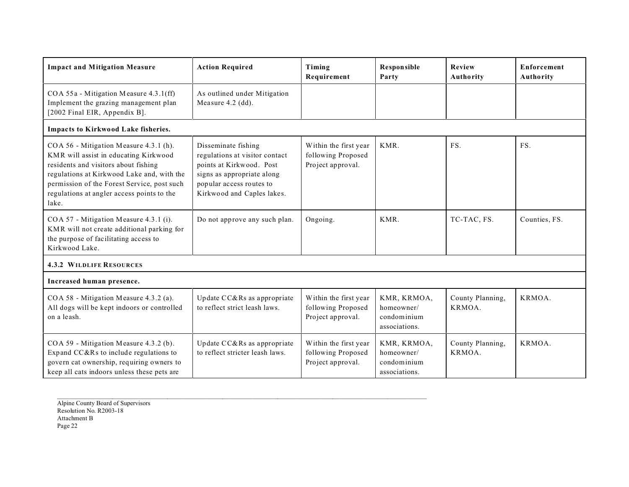| <b>Impact and Mitigation Measure</b>                                                                                                                                                                                                                                        | <b>Action Required</b>                                                                                                                                                    | Timing<br>Requirement                                            | Responsible<br>Party                                      | Review<br>Authority        | Enforcement<br><b>Authority</b> |
|-----------------------------------------------------------------------------------------------------------------------------------------------------------------------------------------------------------------------------------------------------------------------------|---------------------------------------------------------------------------------------------------------------------------------------------------------------------------|------------------------------------------------------------------|-----------------------------------------------------------|----------------------------|---------------------------------|
| COA 55a - Mitigation Measure 4.3.1(ff)<br>Implement the grazing management plan<br>[2002 Final EIR, Appendix B].                                                                                                                                                            | As outlined under Mitigation<br>Measure 4.2 (dd).                                                                                                                         |                                                                  |                                                           |                            |                                 |
| Impacts to Kirkwood Lake fisheries.                                                                                                                                                                                                                                         |                                                                                                                                                                           |                                                                  |                                                           |                            |                                 |
| COA 56 - Mitigation Measure 4.3.1 (h).<br>KMR will assist in educating Kirkwood<br>residents and visitors about fishing<br>regulations at Kirkwood Lake and, with the<br>permission of the Forest Service, post such<br>regulations at angler access points to the<br>lake. | Disseminate fishing<br>regulations at visitor contact<br>points at Kirkwood. Post<br>signs as appropriate along<br>popular access routes to<br>Kirkwood and Caples lakes. | Within the first year<br>following Proposed<br>Project approval. | KMR.                                                      | FS.                        | FS.                             |
| COA 57 - Mitigation Measure 4.3.1 (i).<br>KMR will not create additional parking for<br>the purpose of facilitating access to<br>Kirkwood Lake.                                                                                                                             | Do not approve any such plan.                                                                                                                                             | Ongoing.                                                         | KMR.                                                      | TC-TAC, FS.                | Counties, FS.                   |
| <b>4.3.2 WILDLIFE RESOURCES</b>                                                                                                                                                                                                                                             |                                                                                                                                                                           |                                                                  |                                                           |                            |                                 |
| Increased human presence.                                                                                                                                                                                                                                                   |                                                                                                                                                                           |                                                                  |                                                           |                            |                                 |
| COA 58 - Mitigation Measure 4.3.2 (a).<br>All dogs will be kept indoors or controlled<br>on a leash.                                                                                                                                                                        | Update CC&Rs as appropriate<br>to reflect strict leash laws.                                                                                                              | Within the first year<br>following Proposed<br>Project approval. | KMR, KRMOA,<br>homeowner/<br>condominium<br>associations. | County Planning,<br>KRMOA. | KRMOA.                          |
| COA 59 - Mitigation Measure 4.3.2 (b).<br>Expand CC&Rs to include regulations to<br>govern cat ownership, requiring owners to<br>keep all cats indoors unless these pets are                                                                                                | Update CC&Rs as appropriate<br>to reflect stricter leash laws.                                                                                                            | Within the first year<br>following Proposed<br>Project approval. | KMR, KRMOA,<br>homeowner/<br>condominium<br>associations. | County Planning,<br>KRMOA. | KRMOA.                          |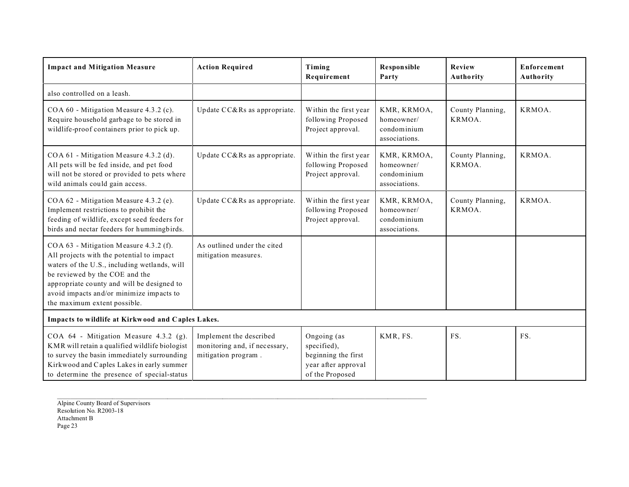| <b>Impact and Mitigation Measure</b>                                                                                                                                                                                                                                                            | <b>Action Required</b>                                                          | Timing<br>Requirement                                                                       | <b>Responsible</b><br>Party                               | Review<br>Authority        | Enforcement<br>Authority |
|-------------------------------------------------------------------------------------------------------------------------------------------------------------------------------------------------------------------------------------------------------------------------------------------------|---------------------------------------------------------------------------------|---------------------------------------------------------------------------------------------|-----------------------------------------------------------|----------------------------|--------------------------|
| also controlled on a leash.                                                                                                                                                                                                                                                                     |                                                                                 |                                                                                             |                                                           |                            |                          |
| COA 60 - Mitigation Measure 4.3.2 (c).<br>Require household garbage to be stored in<br>wildlife-proof containers prior to pick up.                                                                                                                                                              | Update CC&Rs as appropriate.                                                    | Within the first year<br>following Proposed<br>Project approval.                            | KMR, KRMOA,<br>homeowner/<br>condominium<br>associations. | County Planning,<br>KRMOA. | KRMOA.                   |
| COA 61 - Mitigation Measure 4.3.2 (d).<br>All pets will be fed inside, and pet food<br>will not be stored or provided to pets where<br>wild animals could gain access.                                                                                                                          | Update CC&Rs as appropriate.                                                    | Within the first year<br>following Proposed<br>Project approval.                            | KMR, KRMOA,<br>homeowner/<br>condominium<br>associations. | County Planning,<br>KRMOA. | KRMOA.                   |
| COA 62 - Mitigation Measure 4.3.2 (e).<br>Implement restrictions to prohibit the<br>feeding of wildlife, except seed feeders for<br>birds and nectar feeders for hummingbirds.                                                                                                                  | Update CC&Rs as appropriate.                                                    | Within the first year<br>following Proposed<br>Project approval.                            | KMR, KRMOA,<br>homeowner/<br>condominium<br>associations. | County Planning,<br>KRMOA. | KRMOA.                   |
| COA 63 - Mitigation Measure 4.3.2 (f).<br>All projects with the potential to impact<br>waters of the U.S., including wetlands, will<br>be reviewed by the COE and the<br>appropriate county and will be designed to<br>avoid impacts and/or minimize impacts to<br>the maximum extent possible. | As outlined under the cited<br>mitigation measures.                             |                                                                                             |                                                           |                            |                          |
| Impacts to wildlife at Kirkwood and Caples Lakes.                                                                                                                                                                                                                                               |                                                                                 |                                                                                             |                                                           |                            |                          |
| COA 64 - Mitigation Measure 4.3.2 (g).<br>KMR will retain a qualified wildlife biologist<br>to survey the basin immediately surrounding<br>Kirkwood and Caples Lakes in early summer<br>to determine the presence of special-status                                                             | Implement the described<br>monitoring and, if necessary,<br>mitigation program. | Ongoing (as<br>specified),<br>beginning the first<br>year after approval<br>of the Proposed | KMR, FS.                                                  | FS.                        | FS.                      |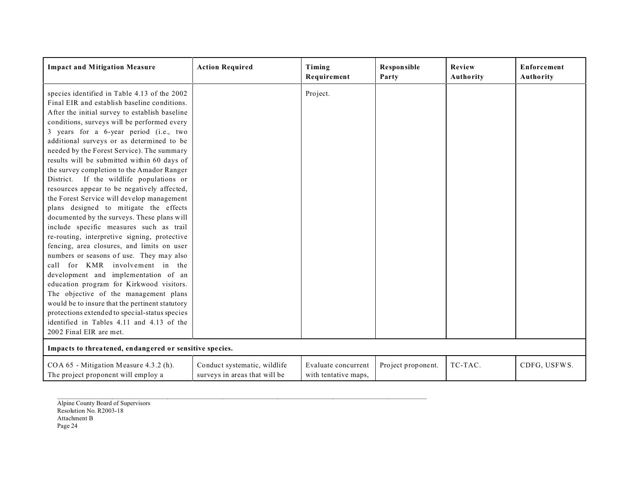| <b>Impact and Mitigation Measure</b>                                                                                                                                                                                                                                                                                                                                                                                                                                                                                                                                                                                                                                                                                                                                                                                                                                                                                                                                                                                                                                                                                                                                                                | <b>Action Required</b>                                        | Timing<br>Requirement                       | <b>Responsible</b><br>Party | Review<br>Authority | <b>Enforcement</b><br>Authority |
|-----------------------------------------------------------------------------------------------------------------------------------------------------------------------------------------------------------------------------------------------------------------------------------------------------------------------------------------------------------------------------------------------------------------------------------------------------------------------------------------------------------------------------------------------------------------------------------------------------------------------------------------------------------------------------------------------------------------------------------------------------------------------------------------------------------------------------------------------------------------------------------------------------------------------------------------------------------------------------------------------------------------------------------------------------------------------------------------------------------------------------------------------------------------------------------------------------|---------------------------------------------------------------|---------------------------------------------|-----------------------------|---------------------|---------------------------------|
| species identified in Table 4.13 of the 2002<br>Final EIR and establish baseline conditions.<br>After the initial survey to establish baseline<br>conditions, surveys will be performed every<br>3 years for a 6-year period (i.e., two<br>additional surveys or as determined to be<br>needed by the Forest Service). The summary<br>results will be submitted within 60 days of<br>the survey completion to the Amador Ranger<br>District. If the wildlife populations or<br>resources appear to be negatively affected,<br>the Forest Service will develop management<br>plans designed to mitigate the effects<br>documented by the surveys. These plans will<br>include specific measures such as trail<br>re-routing, interpretive signing, protective<br>fencing, area closures, and limits on user<br>numbers or seasons of use. They may also<br>call for KMR involvement in the<br>development and implementation of an<br>education program for Kirkwood visitors.<br>The objective of the management plans<br>would be to insure that the pertinent statutory<br>protections extended to special-status species<br>identified in Tables 4.11 and 4.13 of the<br>2002 Final EIR are met. |                                                               | Project.                                    |                             |                     |                                 |
| Impacts to threatened, endangered or sensitive species.                                                                                                                                                                                                                                                                                                                                                                                                                                                                                                                                                                                                                                                                                                                                                                                                                                                                                                                                                                                                                                                                                                                                             |                                                               |                                             |                             |                     |                                 |
| COA 65 - Mitigation Measure 4.3.2 (h).<br>The project proponent will employ a                                                                                                                                                                                                                                                                                                                                                                                                                                                                                                                                                                                                                                                                                                                                                                                                                                                                                                                                                                                                                                                                                                                       | Conduct systematic, wildlife<br>surveys in areas that will be | Evaluate concurrent<br>with tentative maps, | Project proponent.          | TC-TAC.             | CDFG, USFWS.                    |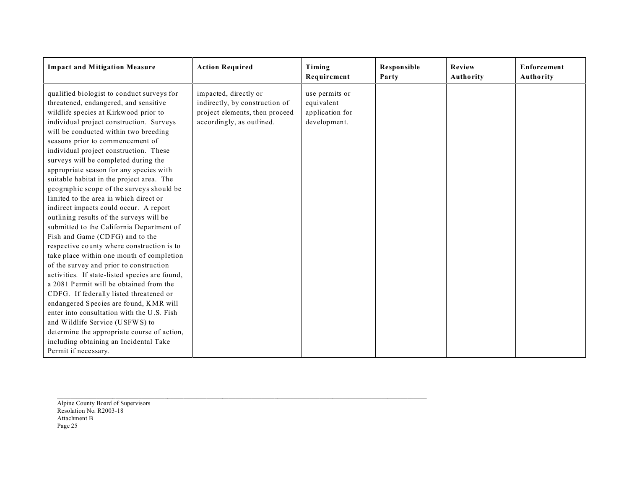| <b>Impact and Mitigation Measure</b>                                                                                                                                                                                                                                                                                                                                                                                                                                                                                                                                                                                                                                                                                                                                                                                                                                                                                                                                                                                                                                                                                                                                                                                   | <b>Action Required</b>                                                                                                 | Timing<br>Requirement                                           | <b>Responsible</b><br>Party | Review<br>Authority | Enforcement<br>Authority |
|------------------------------------------------------------------------------------------------------------------------------------------------------------------------------------------------------------------------------------------------------------------------------------------------------------------------------------------------------------------------------------------------------------------------------------------------------------------------------------------------------------------------------------------------------------------------------------------------------------------------------------------------------------------------------------------------------------------------------------------------------------------------------------------------------------------------------------------------------------------------------------------------------------------------------------------------------------------------------------------------------------------------------------------------------------------------------------------------------------------------------------------------------------------------------------------------------------------------|------------------------------------------------------------------------------------------------------------------------|-----------------------------------------------------------------|-----------------------------|---------------------|--------------------------|
| qualified biologist to conduct surveys for<br>threatened, endangered, and sensitive<br>wildlife species at Kirkwood prior to<br>individual project construction. Surveys<br>will be conducted within two breeding<br>seasons prior to commencement of<br>individual project construction. These<br>surveys will be completed during the<br>appropriate season for any species with<br>suitable habitat in the project area. The<br>geographic scope of the surveys should be<br>limited to the area in which direct or<br>indirect impacts could occur. A report<br>outlining results of the surveys will be<br>submitted to the California Department of<br>Fish and Game (CDFG) and to the<br>respective county where construction is to<br>take place within one month of completion<br>of the survey and prior to construction<br>activities. If state-listed species are found,<br>a 2081 Permit will be obtained from the<br>CDFG. If federally listed threatened or<br>endangered Species are found, KMR will<br>enter into consultation with the U.S. Fish<br>and Wildlife Service (USFWS) to<br>determine the appropriate course of action,<br>including obtaining an Incidental Take<br>Permit if necessary. | impacted, directly or<br>indirectly, by construction of<br>project elements, then proceed<br>accordingly, as outlined. | use permits or<br>equivalent<br>application for<br>development. |                             |                     |                          |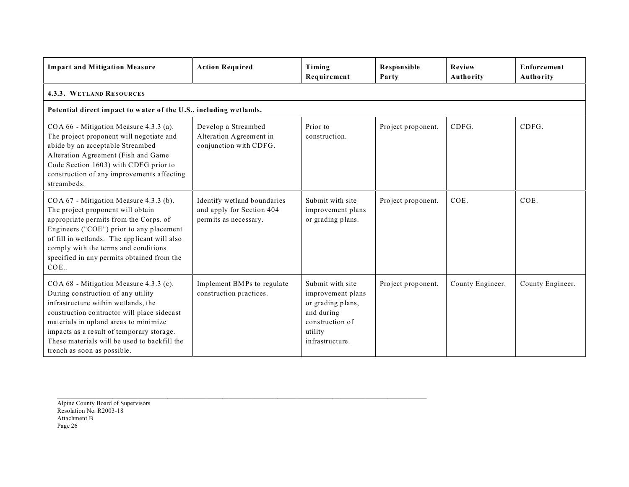| <b>Impact and Mitigation Measure</b>                                                                                                                                                                                                                                                                                                    | <b>Action Required</b>                                                            | Timing<br>Requirement                                                                                                     | Responsible<br>Party | Review<br>Authority | <b>Enforcement</b><br>Authority |
|-----------------------------------------------------------------------------------------------------------------------------------------------------------------------------------------------------------------------------------------------------------------------------------------------------------------------------------------|-----------------------------------------------------------------------------------|---------------------------------------------------------------------------------------------------------------------------|----------------------|---------------------|---------------------------------|
| <b>4.3.3. WETLAND RESOURCES</b>                                                                                                                                                                                                                                                                                                         |                                                                                   |                                                                                                                           |                      |                     |                                 |
| Potential direct impact to water of the U.S., including wetlands.                                                                                                                                                                                                                                                                       |                                                                                   |                                                                                                                           |                      |                     |                                 |
| COA 66 - Mitigation Measure 4.3.3 (a).<br>The project proponent will negotiate and<br>abide by an acceptable Streambed<br>Alteration Agreement (Fish and Game<br>Code Section 1603) with CDFG prior to<br>construction of any improvements affecting<br>streambeds.                                                                     | Develop a Streambed<br>Alteration Agreement in<br>conjunction with CDFG.          | Prior to<br>construction.                                                                                                 | Project proponent.   | CDFG.               | CDFG.                           |
| COA 67 - Mitigation Measure 4.3.3 (b).<br>The project proponent will obtain<br>appropriate permits from the Corps. of<br>Engineers ("COE") prior to any placement<br>of fill in wetlands. The applicant will also<br>comply with the terms and conditions<br>specified in any permits obtained from the<br>COE.                         | Identify wetland boundaries<br>and apply for Section 404<br>permits as necessary. | Submit with site<br>improvement plans<br>or grading plans.                                                                | Project proponent.   | COE.                | COE.                            |
| COA 68 - Mitigation Measure 4.3.3 (c).<br>During construction of any utility<br>infrastructure within wetlands, the<br>construction contractor will place sidecast<br>materials in upland areas to minimize<br>impacts as a result of temporary storage.<br>These materials will be used to backfill the<br>trench as soon as possible. | Implement BMPs to regulate<br>construction practices.                             | Submit with site<br>improvement plans<br>or grading plans,<br>and during<br>construction of<br>utility<br>infrastructure. | Project proponent.   | County Engineer.    | County Engineer.                |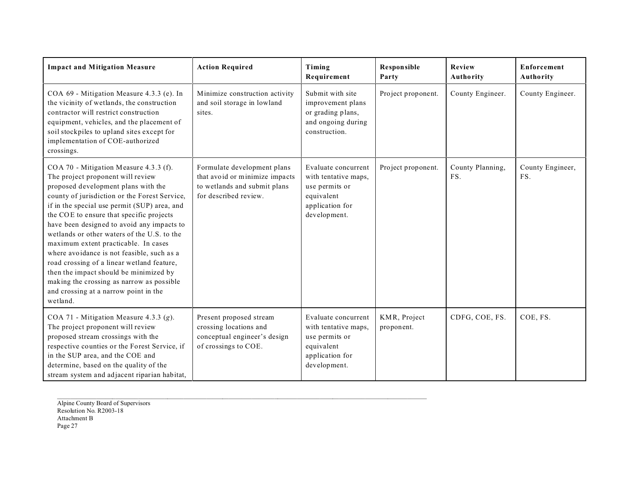| <b>Impact and Mitigation Measure</b>                                                                                                                                                                                                                                                                                                                                                                                                                                                                                                                                                                                                         | <b>Action Required</b>                                                                                                 | Timing<br>Requirement                                                                                          | Responsible<br>Party       | Review<br>Authority     | Enforcement<br>Authority |
|----------------------------------------------------------------------------------------------------------------------------------------------------------------------------------------------------------------------------------------------------------------------------------------------------------------------------------------------------------------------------------------------------------------------------------------------------------------------------------------------------------------------------------------------------------------------------------------------------------------------------------------------|------------------------------------------------------------------------------------------------------------------------|----------------------------------------------------------------------------------------------------------------|----------------------------|-------------------------|--------------------------|
| COA 69 - Mitigation Measure 4.3.3 (e). In<br>the vicinity of wetlands, the construction<br>contractor will restrict construction<br>equipment, vehicles, and the placement of<br>soil stockpiles to upland sites except for<br>implementation of COE-authorized<br>crossings.                                                                                                                                                                                                                                                                                                                                                                | Minimize construction activity<br>and soil storage in lowland<br>sites.                                                | Submit with site<br>improvement plans<br>or grading plans,<br>and ongoing during<br>construction.              | Project proponent.         | County Engineer.        | County Engineer.         |
| COA 70 - Mitigation Measure 4.3.3 (f).<br>The project proponent will review<br>proposed development plans with the<br>county of jurisdiction or the Forest Service,<br>if in the special use permit (SUP) area, and<br>the COE to ensure that specific projects<br>have been designed to avoid any impacts to<br>wetlands or other waters of the U.S. to the<br>maximum extent practicable. In cases<br>where avoidance is not feasible, such as a<br>road crossing of a linear wetland feature,<br>then the impact should be minimized by<br>making the crossing as narrow as possible<br>and crossing at a narrow point in the<br>wetland. | Formulate development plans<br>that avoid or minimize impacts<br>to wetlands and submit plans<br>for described review. | Evaluate concurrent<br>with tentative maps,<br>use permits or<br>equivalent<br>application for<br>development. | Project proponent.         | County Planning,<br>FS. | County Engineer,<br>FS.  |
| COA 71 - Mitigation Measure 4.3.3 (g).<br>The project proponent will review<br>proposed stream crossings with the<br>respective counties or the Forest Service, if<br>in the SUP area, and the COE and<br>determine, based on the quality of the<br>stream system and adjacent riparian habitat,                                                                                                                                                                                                                                                                                                                                             | Present proposed stream<br>crossing locations and<br>conceptual engineer's design<br>of crossings to COE.              | Evaluate concurrent<br>with tentative maps,<br>use permits or<br>equivalent<br>application for<br>development. | KMR, Project<br>proponent. | CDFG, COE, FS.          | COE, FS.                 |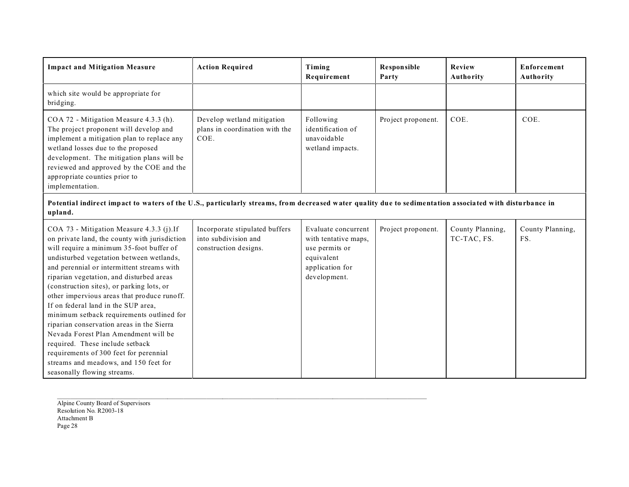| <b>Impact and Mitigation Measure</b>                                                                                                                                                                                                                                                                                                                                                                                                                                                                                                                                                                                                                                                                  | <b>Action Required</b>                                                          | Timing<br>Requirement                                                                                          | <b>Responsible</b><br>Party | Review<br>Authority             | Enforcement<br>Authority |
|-------------------------------------------------------------------------------------------------------------------------------------------------------------------------------------------------------------------------------------------------------------------------------------------------------------------------------------------------------------------------------------------------------------------------------------------------------------------------------------------------------------------------------------------------------------------------------------------------------------------------------------------------------------------------------------------------------|---------------------------------------------------------------------------------|----------------------------------------------------------------------------------------------------------------|-----------------------------|---------------------------------|--------------------------|
| which site would be appropriate for<br>bridging.                                                                                                                                                                                                                                                                                                                                                                                                                                                                                                                                                                                                                                                      |                                                                                 |                                                                                                                |                             |                                 |                          |
| COA 72 - Mitigation Measure 4.3.3 (h).<br>The project proponent will develop and<br>implement a mitigation plan to replace any<br>wetland losses due to the proposed<br>development. The mitigation plans will be<br>reviewed and approved by the COE and the<br>appropriate counties prior to<br>implementation.                                                                                                                                                                                                                                                                                                                                                                                     | Develop wetland mitigation<br>plans in coordination with the<br>COE.            | Following<br>identification of<br>unavoidable<br>wetland impacts.                                              | Project proponent.          | COE.                            | COE.                     |
| Potential indirect impact to waters of the U.S., particularly streams, from decreased water quality due to sedimentation associated with disturbance in<br>upland.                                                                                                                                                                                                                                                                                                                                                                                                                                                                                                                                    |                                                                                 |                                                                                                                |                             |                                 |                          |
| COA 73 - Mitigation Measure 4.3.3 (j).If<br>on private land, the county with jurisdiction<br>will require a minimum 35-foot buffer of<br>undisturbed vegetation between wetlands,<br>and perennial or intermittent streams with<br>riparian vegetation, and disturbed areas<br>(construction sites), or parking lots, or<br>other impervious areas that produce runoff.<br>If on federal land in the SUP area,<br>minimum setback requirements outlined for<br>riparian conservation areas in the Sierra<br>Nevada Forest Plan Amendment will be<br>required. These include setback<br>requirements of 300 feet for perennial<br>streams and meadows, and 150 feet for<br>seasonally flowing streams. | Incorporate stipulated buffers<br>into subdivision and<br>construction designs. | Evaluate concurrent<br>with tentative maps,<br>use permits or<br>equivalent<br>application for<br>development. | Project proponent.          | County Planning,<br>TC-TAC, FS. | County Planning,<br>FS.  |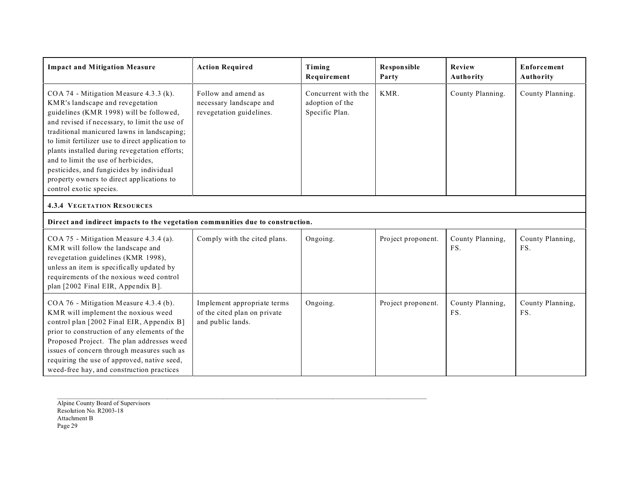| <b>Impact and Mitigation Measure</b>                                                                                                                                                                                                                                                                                                                                                                                                                                                  | <b>Action Required</b>                                                           | Timing<br>Requirement                                    | <b>Responsible</b><br>Party | Review<br>Authority     | <b>Enforcement</b><br>Authority |
|---------------------------------------------------------------------------------------------------------------------------------------------------------------------------------------------------------------------------------------------------------------------------------------------------------------------------------------------------------------------------------------------------------------------------------------------------------------------------------------|----------------------------------------------------------------------------------|----------------------------------------------------------|-----------------------------|-------------------------|---------------------------------|
| COA 74 - Mitigation Measure 4.3.3 (k).<br>KMR's landscape and revegetation<br>guidelines (KMR 1998) will be followed,<br>and revised if necessary, to limit the use of<br>traditional manicured lawns in landscaping;<br>to limit fertilizer use to direct application to<br>plants installed during revegetation efforts;<br>and to limit the use of herbicides,<br>pesticides, and fungicides by individual<br>property owners to direct applications to<br>control exotic species. | Follow and amend as<br>necessary landscape and<br>revegetation guidelines.       | Concurrent with the<br>adoption of the<br>Specific Plan. | KMR.                        | County Planning.        | County Planning.                |
| <b>4.3.4 VEGETATION RESOURCES</b>                                                                                                                                                                                                                                                                                                                                                                                                                                                     |                                                                                  |                                                          |                             |                         |                                 |
| Direct and indirect impacts to the vegetation communities due to construction.                                                                                                                                                                                                                                                                                                                                                                                                        |                                                                                  |                                                          |                             |                         |                                 |
| COA 75 - Mitigation Measure 4.3.4 (a).<br>KMR will follow the landscape and<br>revegetation guidelines (KMR 1998),<br>unless an item is specifically updated by<br>requirements of the noxious weed control<br>plan [2002 Final EIR, Appendix B].                                                                                                                                                                                                                                     | Comply with the cited plans.                                                     | Ongoing.                                                 | Project proponent.          | County Planning,<br>FS. | County Planning,<br>FS.         |
| COA 76 - Mitigation Measure 4.3.4 (b).<br>KMR will implement the noxious weed<br>control plan [2002 Final EIR, Appendix B]<br>prior to construction of any elements of the<br>Proposed Project. The plan addresses weed<br>issues of concern through measures such as<br>requiring the use of approved, native seed,<br>weed-free hay, and construction practices                                                                                                                     | Implement appropriate terms<br>of the cited plan on private<br>and public lands. | Ongoing.                                                 | Project proponent.          | County Planning,<br>FS. | County Planning,<br>FS.         |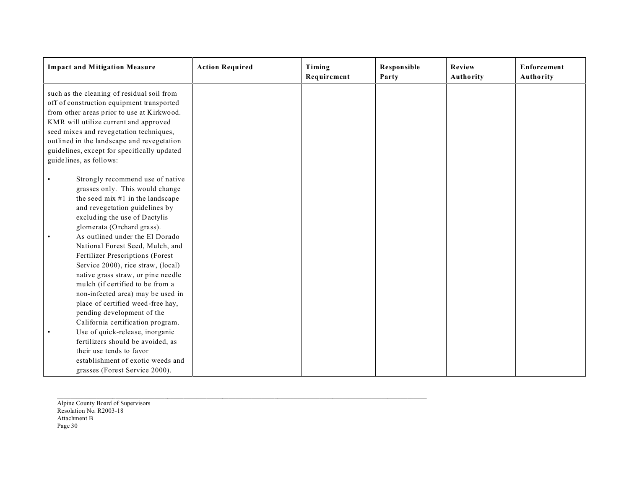| <b>Impact and Mitigation Measure</b>                                                                                                                                                                                                                                                                                                                                                                                                  | <b>Action Required</b> | Timing<br>Requirement | <b>Responsible</b><br>Party | Review<br>Authority | Enforcement<br>Authority |
|---------------------------------------------------------------------------------------------------------------------------------------------------------------------------------------------------------------------------------------------------------------------------------------------------------------------------------------------------------------------------------------------------------------------------------------|------------------------|-----------------------|-----------------------------|---------------------|--------------------------|
| such as the cleaning of residual soil from<br>off of construction equipment transported<br>from other areas prior to use at Kirkwood.<br>KMR will utilize current and approved<br>seed mixes and revegetation techniques,<br>outlined in the landscape and revegetation<br>guidelines, except for specifically updated<br>guidelines, as follows:                                                                                     |                        |                       |                             |                     |                          |
| Strongly recommend use of native<br>grasses only. This would change<br>the seed mix $#1$ in the landscape<br>and revegetation guidelines by<br>excluding the use of Dactylis<br>glomerata (Orchard grass).<br>As outlined under the El Dorado<br>National Forest Seed, Mulch, and<br>Fertilizer Prescriptions (Forest<br>Service 2000), rice straw, (local)<br>native grass straw, or pine needle<br>mulch (if certified to be from a |                        |                       |                             |                     |                          |
| non-infected area) may be used in<br>place of certified weed-free hay,<br>pending development of the<br>California certification program.<br>Use of quick-release, inorganic<br>fertilizers should be avoided, as<br>their use tends to favor<br>establishment of exotic weeds and<br>grasses (Forest Service 2000).                                                                                                                  |                        |                       |                             |                     |                          |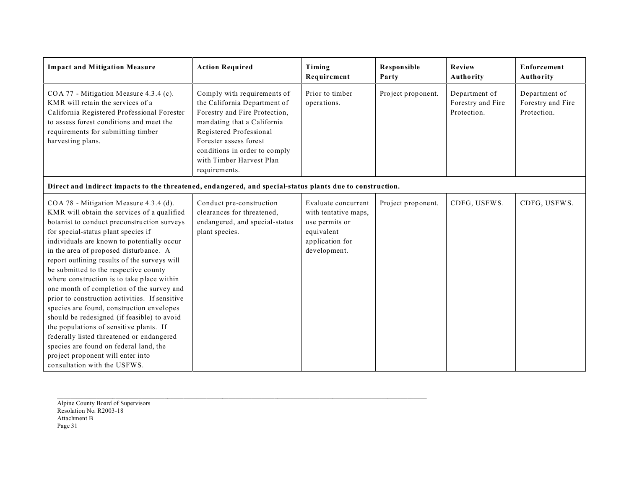| <b>Impact and Mitigation Measure</b>                                                                                                                                                                                                                                                                                                                                                                                                                                                                                                                                                                                                                                                                                                                                                                         | <b>Action Required</b>                                                                                                                                                                                                                                         | Timing<br>Requirement                                                                                          | Responsible<br>Party | Review<br>Authority                               | Enforcement<br>Authority                          |
|--------------------------------------------------------------------------------------------------------------------------------------------------------------------------------------------------------------------------------------------------------------------------------------------------------------------------------------------------------------------------------------------------------------------------------------------------------------------------------------------------------------------------------------------------------------------------------------------------------------------------------------------------------------------------------------------------------------------------------------------------------------------------------------------------------------|----------------------------------------------------------------------------------------------------------------------------------------------------------------------------------------------------------------------------------------------------------------|----------------------------------------------------------------------------------------------------------------|----------------------|---------------------------------------------------|---------------------------------------------------|
| COA 77 - Mitigation Measure 4.3.4 (c).<br>KMR will retain the services of a<br>California Registered Professional Forester<br>to assess forest conditions and meet the<br>requirements for submitting timber<br>harvesting plans.                                                                                                                                                                                                                                                                                                                                                                                                                                                                                                                                                                            | Comply with requirements of<br>the California Department of<br>Forestry and Fire Protection,<br>mandating that a California<br>Registered Professional<br>Forester assess forest<br>conditions in order to comply<br>with Timber Harvest Plan<br>requirements. | Prior to timber<br>operations.                                                                                 | Project proponent.   | Department of<br>Forestry and Fire<br>Protection. | Department of<br>Forestry and Fire<br>Protection. |
| Direct and indirect impacts to the threatened, endangered, and special-status plants due to construction.                                                                                                                                                                                                                                                                                                                                                                                                                                                                                                                                                                                                                                                                                                    |                                                                                                                                                                                                                                                                |                                                                                                                |                      |                                                   |                                                   |
| COA 78 - Mitigation Measure 4.3.4 (d).<br>KMR will obtain the services of a qualified<br>botanist to conduct preconstruction surveys<br>for special-status plant species if<br>individuals are known to potentially occur<br>in the area of proposed disturbance. A<br>report outlining results of the surveys will<br>be submitted to the respective county<br>where construction is to take place within<br>one month of completion of the survey and<br>prior to construction activities. If sensitive<br>species are found, construction envelopes<br>should be redesigned (if feasible) to avoid<br>the populations of sensitive plants. If<br>federally listed threatened or endangered<br>species are found on federal land, the<br>project proponent will enter into<br>consultation with the USFWS. | Conduct pre-construction<br>clearances for threatened,<br>endangered, and special-status<br>plant species.                                                                                                                                                     | Evaluate concurrent<br>with tentative maps,<br>use permits or<br>equivalent<br>application for<br>development. | Project proponent.   | CDFG, USFWS.                                      | CDFG, USFWS.                                      |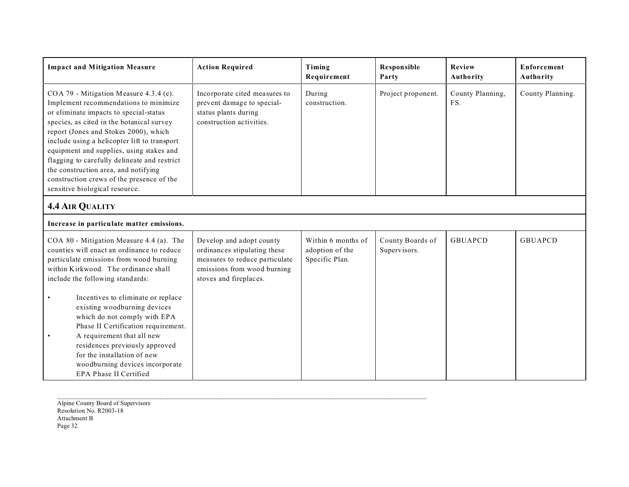| <b>Impact and Mitigation Measure</b>                                                                                                                                                                                                                                                                                                                                                                                                                                               | <b>Action Required</b>                                                                                                                              | Timing<br>Requirement                                   | <b>Responsible</b><br>Party      | Review<br>Authority     | Enforcement<br><b>Authority</b> |  |  |
|------------------------------------------------------------------------------------------------------------------------------------------------------------------------------------------------------------------------------------------------------------------------------------------------------------------------------------------------------------------------------------------------------------------------------------------------------------------------------------|-----------------------------------------------------------------------------------------------------------------------------------------------------|---------------------------------------------------------|----------------------------------|-------------------------|---------------------------------|--|--|
| COA 79 - Mitigation Measure 4.3.4 (e).<br>Implement recommendations to minimize<br>or eliminate impacts to special-status<br>species, as cited in the botanical survey<br>report (Jones and Stokes 2000), which<br>include using a helicopter lift to transport<br>equipment and supplies, using stakes and<br>flagging to carefully delineate and restrict<br>the construction area, and notifying<br>construction crews of the presence of the<br>sensitive biological resource. | Incorporate cited measures to<br>prevent damage to special-<br>status plants during<br>construction activities.                                     | During<br>construction.                                 | Project proponent.               | County Planning,<br>FS. | County Planning.                |  |  |
| <b>4.4 AIR QUALITY</b>                                                                                                                                                                                                                                                                                                                                                                                                                                                             |                                                                                                                                                     |                                                         |                                  |                         |                                 |  |  |
| Increase in particulate matter emissions.                                                                                                                                                                                                                                                                                                                                                                                                                                          |                                                                                                                                                     |                                                         |                                  |                         |                                 |  |  |
| COA 80 - Mitigation Measure 4.4 (a). The<br>counties will enact an ordinance to reduce<br>particulate emissions from wood burning<br>within Kirkwood. The ordinance shall<br>include the following standards:                                                                                                                                                                                                                                                                      | Develop and adopt county<br>ordinances stipulating these<br>measures to reduce particulate<br>emissions from wood burning<br>stoves and fireplaces. | Within 6 months of<br>adoption of the<br>Specific Plan. | County Boards of<br>Supervisors. | <b>GBUAPCD</b>          | <b>GBUAPCD</b>                  |  |  |
| Incentives to eliminate or replace<br>existing woodburning devices<br>which do not comply with EPA<br>Phase II Certification requirement.                                                                                                                                                                                                                                                                                                                                          |                                                                                                                                                     |                                                         |                                  |                         |                                 |  |  |
| A requirement that all new<br>residences previously approved<br>for the installation of new<br>woodburning devices incorporate<br>EPA Phase II Certified                                                                                                                                                                                                                                                                                                                           |                                                                                                                                                     |                                                         |                                  |                         |                                 |  |  |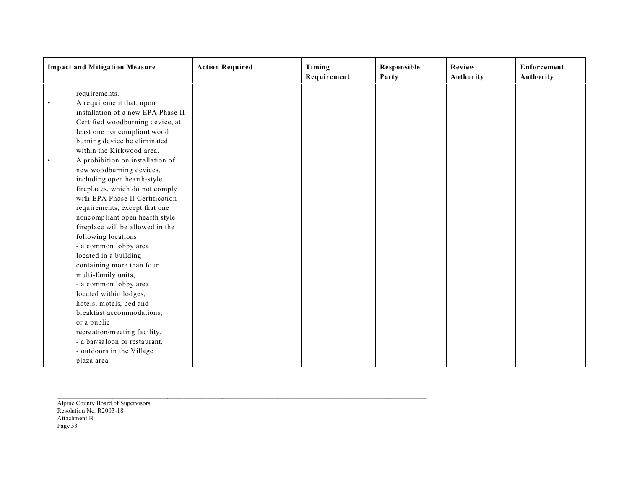| <b>Impact and Mitigation Measure</b> | <b>Action Required</b> | Timing<br>Requirement | Responsible<br>Party | Review<br>Authority | Enforcement<br>Authority |
|--------------------------------------|------------------------|-----------------------|----------------------|---------------------|--------------------------|
| requirements.                        |                        |                       |                      |                     |                          |
| A requirement that, upon             |                        |                       |                      |                     |                          |
| installation of a new EPA Phase II   |                        |                       |                      |                     |                          |
| Certified woodburning device, at     |                        |                       |                      |                     |                          |
| least one noncompliant wood          |                        |                       |                      |                     |                          |
| burning device be eliminated         |                        |                       |                      |                     |                          |
| within the Kirkwood area.            |                        |                       |                      |                     |                          |
| A prohibition on installation of     |                        |                       |                      |                     |                          |
| new woodburning devices,             |                        |                       |                      |                     |                          |
| including open hearth-style          |                        |                       |                      |                     |                          |
| fireplaces, which do not comply      |                        |                       |                      |                     |                          |
| with EPA Phase II Certification      |                        |                       |                      |                     |                          |
| requirements, except that one        |                        |                       |                      |                     |                          |
| noncompliant open hearth style       |                        |                       |                      |                     |                          |
| fireplace will be allowed in the     |                        |                       |                      |                     |                          |
| following locations:                 |                        |                       |                      |                     |                          |
| - a common lobby area                |                        |                       |                      |                     |                          |
| located in a building                |                        |                       |                      |                     |                          |
| containing more than four            |                        |                       |                      |                     |                          |
| multi-family units,                  |                        |                       |                      |                     |                          |
| - a common lobby area                |                        |                       |                      |                     |                          |
| located within lodges,               |                        |                       |                      |                     |                          |
| hotels, motels, bed and              |                        |                       |                      |                     |                          |
| breakfast accommodations,            |                        |                       |                      |                     |                          |
| or a public                          |                        |                       |                      |                     |                          |
| recreation/meeting facility,         |                        |                       |                      |                     |                          |
| - a bar/saloon or restaurant,        |                        |                       |                      |                     |                          |
| - outdoors in the Village            |                        |                       |                      |                     |                          |
| plaza area.                          |                        |                       |                      |                     |                          |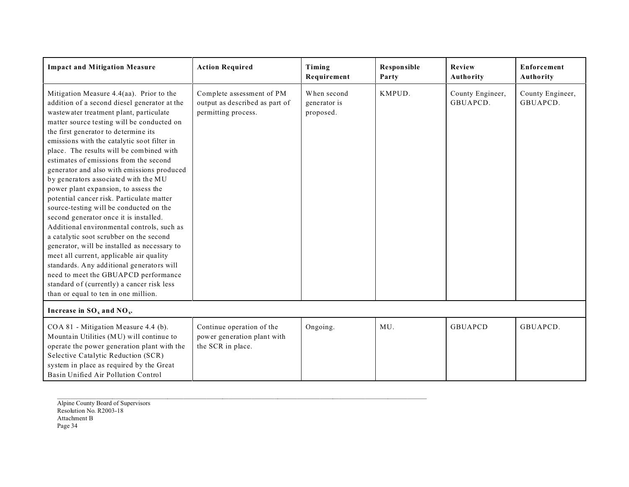| <b>Impact and Mitigation Measure</b>                                                                                                                                                                                                                                                                                                                                                                                                                                                                                                                                                                                                                                                                                                                                                                                                                                                                                                                                                                                              | <b>Action Required</b>                                                             | Timing<br>Requirement                    | Responsible<br>Party | Review<br>Authority          | Enforcement<br>Authority     |
|-----------------------------------------------------------------------------------------------------------------------------------------------------------------------------------------------------------------------------------------------------------------------------------------------------------------------------------------------------------------------------------------------------------------------------------------------------------------------------------------------------------------------------------------------------------------------------------------------------------------------------------------------------------------------------------------------------------------------------------------------------------------------------------------------------------------------------------------------------------------------------------------------------------------------------------------------------------------------------------------------------------------------------------|------------------------------------------------------------------------------------|------------------------------------------|----------------------|------------------------------|------------------------------|
| Mitigation Measure 4.4(aa). Prior to the<br>addition of a second diesel generator at the<br>wastewater treatment plant, particulate<br>matter source testing will be conducted on<br>the first generator to determine its<br>emissions with the catalytic soot filter in<br>place. The results will be combined with<br>estimates of emissions from the second<br>generator and also with emissions produced<br>by generators associated with the MU<br>power plant expansion, to assess the<br>potential cancer risk. Particulate matter<br>source-testing will be conducted on the<br>second generator once it is installed.<br>Additional environmental controls, such as<br>a catalytic soot scrubber on the second<br>generator, will be installed as necessary to<br>meet all current, applicable air quality<br>standards. Any additional generators will<br>need to meet the GBUAPCD performance<br>standard of (currently) a cancer risk less<br>than or equal to ten in one million.<br>Increase in $SO_x$ and $NO_y$ . | Complete assessment of PM<br>output as described as part of<br>permitting process. | When second<br>generator is<br>proposed. | KMPUD.               | County Engineer,<br>GBUAPCD. | County Engineer,<br>GBUAPCD. |
| COA 81 - Mitigation Measure 4.4 (b).<br>Mountain Utilities (MU) will continue to<br>operate the power generation plant with the<br>Selective Catalytic Reduction (SCR)<br>system in place as required by the Great<br>Basin Unified Air Pollution Control                                                                                                                                                                                                                                                                                                                                                                                                                                                                                                                                                                                                                                                                                                                                                                         | Continue operation of the<br>power generation plant with<br>the SCR in place.      | Ongoing.                                 | MU.                  | <b>GBUAPCD</b>               | GBUAPCD.                     |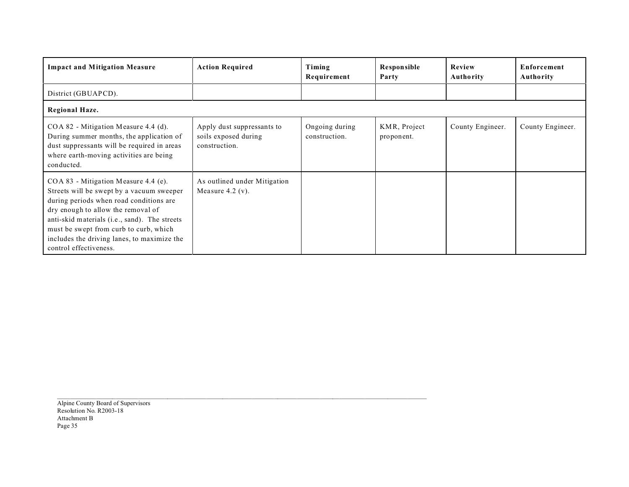| <b>Impact and Mitigation Measure</b>                                                                                                                                                                                                                                                                                                     | <b>Action Required</b>                                              | Timing<br>Requirement           | <b>Responsible</b><br>Party | Review<br>Authority | Enforcement<br>Authority |
|------------------------------------------------------------------------------------------------------------------------------------------------------------------------------------------------------------------------------------------------------------------------------------------------------------------------------------------|---------------------------------------------------------------------|---------------------------------|-----------------------------|---------------------|--------------------------|
| District (GBUAPCD).                                                                                                                                                                                                                                                                                                                      |                                                                     |                                 |                             |                     |                          |
| Regional Haze.                                                                                                                                                                                                                                                                                                                           |                                                                     |                                 |                             |                     |                          |
| COA 82 - Mitigation Measure 4.4 (d).<br>During summer months, the application of<br>dust suppressants will be required in areas<br>where earth-moving activities are being<br>conducted.                                                                                                                                                 | Apply dust suppressants to<br>soils exposed during<br>construction. | Ongoing during<br>construction. | KMR, Project<br>proponent.  | County Engineer.    | County Engineer.         |
| $COA 83$ - Mitigation Measure 4.4 (e).<br>Streets will be swept by a vacuum sweeper<br>during periods when road conditions are<br>dry enough to allow the removal of<br>anti-skid materials (i.e., sand). The streets<br>must be swept from curb to curb, which<br>includes the driving lanes, to maximize the<br>control effectiveness. | As outlined under Mitigation<br>Measure $4.2$ (v).                  |                                 |                             |                     |                          |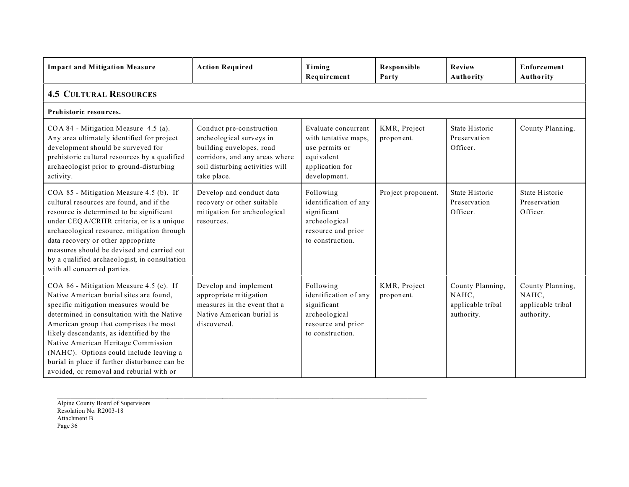| <b>Impact and Mitigation Measure</b>                                                                                                                                                                                                                                                                                                                                                                                                           | <b>Action Required</b>                                                                                                                                               | Timing<br>Requirement                                                                                          | Responsible<br>Party       | <b>Review</b><br>Authority                                   | <b>Enforcement</b><br>Authority                              |  |  |  |  |
|------------------------------------------------------------------------------------------------------------------------------------------------------------------------------------------------------------------------------------------------------------------------------------------------------------------------------------------------------------------------------------------------------------------------------------------------|----------------------------------------------------------------------------------------------------------------------------------------------------------------------|----------------------------------------------------------------------------------------------------------------|----------------------------|--------------------------------------------------------------|--------------------------------------------------------------|--|--|--|--|
| <b>4.5 CULTURAL RESOURCES</b>                                                                                                                                                                                                                                                                                                                                                                                                                  |                                                                                                                                                                      |                                                                                                                |                            |                                                              |                                                              |  |  |  |  |
| Prehistoric resources.                                                                                                                                                                                                                                                                                                                                                                                                                         |                                                                                                                                                                      |                                                                                                                |                            |                                                              |                                                              |  |  |  |  |
| COA 84 - Mitigation Measure 4.5 (a).<br>Any area ultimately identified for project<br>development should be surveyed for<br>prehistoric cultural resources by a qualified<br>archaeologist prior to ground-disturbing<br>activity.                                                                                                                                                                                                             | Conduct pre-construction<br>archeological surveys in<br>building envelopes, road<br>corridors, and any areas where<br>soil disturbing activities will<br>take place. | Evaluate concurrent<br>with tentative maps,<br>use permits or<br>equivalent<br>application for<br>development. | KMR, Project<br>proponent. | State Historic<br>Preservation<br>Officer.                   | County Planning.                                             |  |  |  |  |
| COA 85 - Mitigation Measure 4.5 (b). If<br>cultural resources are found, and if the<br>resource is determined to be significant<br>under CEQA/CRHR criteria, or is a unique<br>archaeological resource, mitigation through<br>data recovery or other appropriate<br>measures should be devised and carried out<br>by a qualified archaeologist, in consultation<br>with all concerned parties.                                                 | Develop and conduct data<br>recovery or other suitable<br>mitigation for archeological<br>resources.                                                                 | Following<br>identification of any<br>significant<br>archeological<br>resource and prior<br>to construction.   | Project proponent.         | State Historic<br>Preservation<br>Officer.                   | State Historic<br>Preservation<br>Officer.                   |  |  |  |  |
| COA 86 - Mitigation Measure 4.5 (c). If<br>Native American burial sites are found,<br>specific mitigation measures would be<br>determined in consultation with the Native<br>American group that comprises the most<br>likely descendants, as identified by the<br>Native American Heritage Commission<br>(NAHC). Options could include leaving a<br>burial in place if further disturbance can be<br>avoided, or removal and reburial with or | Develop and implement<br>appropriate mitigation<br>measures in the event that a<br>Native American burial is<br>discovered.                                          | Following<br>identification of any<br>significant<br>archeological<br>resource and prior<br>to construction.   | KMR, Project<br>proponent. | County Planning,<br>NAHC,<br>applicable tribal<br>authority. | County Planning,<br>NAHC,<br>applicable tribal<br>authority. |  |  |  |  |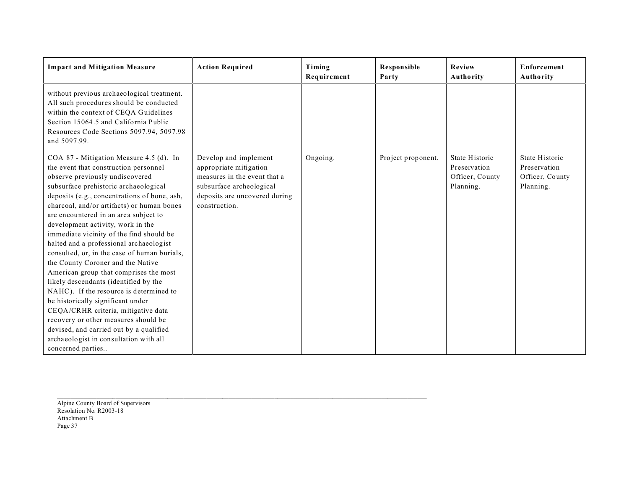| <b>Impact and Mitigation Measure</b>                                                                                                                                                                                                                                                                                                                                                                                                                                                                                                                                                                                                                                                                                                                                                                                                                                             | <b>Action Required</b>                                                                                                                                        | Timing<br>Requirement | <b>Responsible</b><br>Party | Review<br>Authority                                            | <b>Enforcement</b><br>Authority                                |
|----------------------------------------------------------------------------------------------------------------------------------------------------------------------------------------------------------------------------------------------------------------------------------------------------------------------------------------------------------------------------------------------------------------------------------------------------------------------------------------------------------------------------------------------------------------------------------------------------------------------------------------------------------------------------------------------------------------------------------------------------------------------------------------------------------------------------------------------------------------------------------|---------------------------------------------------------------------------------------------------------------------------------------------------------------|-----------------------|-----------------------------|----------------------------------------------------------------|----------------------------------------------------------------|
| without previous archaeological treatment.<br>All such procedures should be conducted<br>within the context of CEQA Guidelines<br>Section 15064.5 and California Public<br>Resources Code Sections 5097.94, 5097.98<br>and 5097.99.                                                                                                                                                                                                                                                                                                                                                                                                                                                                                                                                                                                                                                              |                                                                                                                                                               |                       |                             |                                                                |                                                                |
| COA 87 - Mitigation Measure 4.5 (d). In<br>the event that construction personnel<br>observe previously undiscovered<br>subsurface prehistoric archaeological<br>deposits (e.g., concentrations of bone, ash,<br>charcoal, and/or artifacts) or human bones<br>are encountered in an area subject to<br>development activity, work in the<br>immediate vicinity of the find should be<br>halted and a professional archaeologist<br>consulted, or, in the case of human burials,<br>the County Coroner and the Native<br>American group that comprises the most<br>likely descendants (identified by the<br>NAHC). If the resource is determined to<br>be historically significant under<br>CEQA/CRHR criteria, mitigative data<br>recovery or other measures should be<br>devised, and carried out by a qualified<br>archaeologist in consultation with all<br>concerned parties | Develop and implement<br>appropriate mitigation<br>measures in the event that a<br>subsurface archeological<br>deposits are uncovered during<br>construction. | Ongoing.              | Project proponent.          | State Historic<br>Preservation<br>Officer, County<br>Planning. | State Historic<br>Preservation<br>Officer, County<br>Planning. |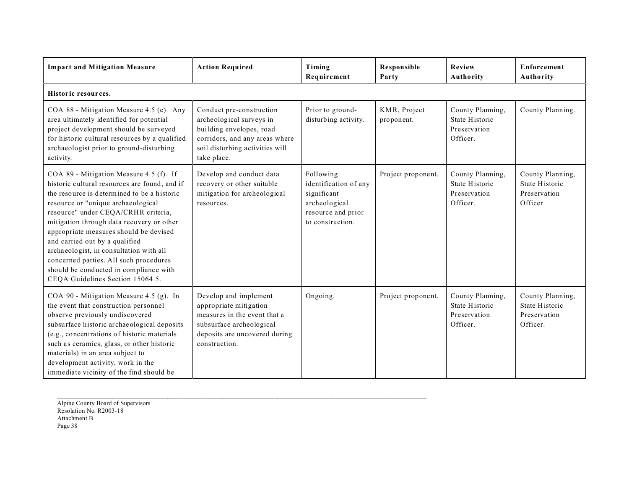| <b>Impact and Mitigation Measure</b>                                                                                                                                                                                                                                                                                                                                                                                                                                                                             | <b>Action Required</b>                                                                                                                                               | Timing<br>Requirement                                                                                        | Responsible<br>Party       | Review<br>Authority                                            | Enforcement<br>Authority                                       |  |  |  |  |  |
|------------------------------------------------------------------------------------------------------------------------------------------------------------------------------------------------------------------------------------------------------------------------------------------------------------------------------------------------------------------------------------------------------------------------------------------------------------------------------------------------------------------|----------------------------------------------------------------------------------------------------------------------------------------------------------------------|--------------------------------------------------------------------------------------------------------------|----------------------------|----------------------------------------------------------------|----------------------------------------------------------------|--|--|--|--|--|
| Historic resources.                                                                                                                                                                                                                                                                                                                                                                                                                                                                                              |                                                                                                                                                                      |                                                                                                              |                            |                                                                |                                                                |  |  |  |  |  |
| COA 88 - Mitigation Measure 4.5 (e). Any<br>area ultimately identified for potential<br>project development should be surveyed<br>for historic cultural resources by a qualified<br>archaeologist prior to ground-disturbing<br>activity.                                                                                                                                                                                                                                                                        | Conduct pre-construction<br>archeological surveys in<br>building envelopes, road<br>corridors, and any areas where<br>soil disturbing activities will<br>take place. | Prior to ground-<br>disturbing activity.                                                                     | KMR, Project<br>proponent. | County Planning,<br>State Historic<br>Preservation<br>Officer. | County Planning.                                               |  |  |  |  |  |
| COA 89 - Mitigation Measure 4.5 (f). If<br>historic cultural resources are found, and if<br>the resource is determined to be a historic<br>resource or "unique archaeological<br>resource" under CEQA/CRHR criteria,<br>mitigation through data recovery or other<br>appropriate measures should be devised<br>and carried out by a qualified<br>archaeologist, in consultation with all<br>concerned parties. All such procedures<br>should be conducted in compliance with<br>CEQA Guidelines Section 15064.5. | Develop and conduct data<br>recovery or other suitable<br>mitigation for archeological<br>resources.                                                                 | Following<br>identification of any<br>significant<br>archeological<br>resource and prior<br>to construction. | Project proponent.         | County Planning,<br>State Historic<br>Preservation<br>Officer. | County Planning,<br>State Historic<br>Preservation<br>Officer. |  |  |  |  |  |
| COA 90 - Mitigation Measure 4.5 (g). In<br>the event that construction personnel<br>observe previously undiscovered<br>subsurface historic archaeological deposits<br>(e.g., concentrations of historic materials<br>such as ceramics, glass, or other historic<br>materials) in an area subject to<br>development activity, work in the<br>immediate vicinity of the find should be                                                                                                                             | Develop and implement<br>appropriate mitigation<br>measures in the event that a<br>subsurface archeological<br>deposits are uncovered during<br>construction.        | Ongoing.                                                                                                     | Project proponent.         | County Planning,<br>State Historic<br>Preservation<br>Officer. | County Planning,<br>State Historic<br>Preservation<br>Officer. |  |  |  |  |  |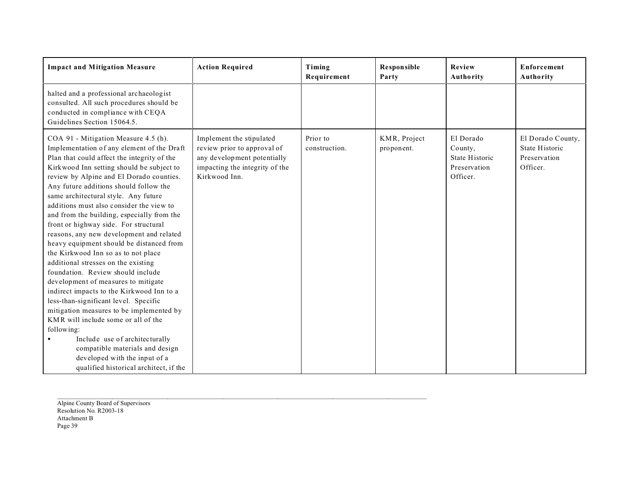| <b>Impact and Mitigation Measure</b>                                                                                                                                                                                                                                                                                                                                                                                                                                                                                                                                                                                                                                                                                                                                                                                                                                                                                                                                                                                                     | <b>Action Required</b>                                                                                                                    | Timing<br>Requirement     | <b>Responsible</b><br>Party | Review<br>Authority                                                | Enforcement<br>Authority                                        |
|------------------------------------------------------------------------------------------------------------------------------------------------------------------------------------------------------------------------------------------------------------------------------------------------------------------------------------------------------------------------------------------------------------------------------------------------------------------------------------------------------------------------------------------------------------------------------------------------------------------------------------------------------------------------------------------------------------------------------------------------------------------------------------------------------------------------------------------------------------------------------------------------------------------------------------------------------------------------------------------------------------------------------------------|-------------------------------------------------------------------------------------------------------------------------------------------|---------------------------|-----------------------------|--------------------------------------------------------------------|-----------------------------------------------------------------|
| halted and a professional archaeologist<br>consulted. All such procedures should be<br>conducted in compliance with CEQA<br>Guidelines Section 15064.5.                                                                                                                                                                                                                                                                                                                                                                                                                                                                                                                                                                                                                                                                                                                                                                                                                                                                                  |                                                                                                                                           |                           |                             |                                                                    |                                                                 |
| COA 91 - Mitigation Measure 4.5 (h).<br>Implementation of any element of the Draft<br>Plan that could affect the integrity of the<br>Kirkwood Inn setting should be subject to<br>review by Alpine and El Dorado counties.<br>Any future additions should follow the<br>same architectural style. Any future<br>additions must also consider the view to<br>and from the building, especially from the<br>front or highway side. For structural<br>reasons, any new development and related<br>heavy equipment should be distanced from<br>the Kirkwood Inn so as to not place<br>additional stresses on the existing<br>foundation. Review should include<br>development of measures to mitigate<br>indirect impacts to the Kirkwood Inn to a<br>less-than-significant level. Specific<br>mitigation measures to be implemented by<br>KMR will include some or all of the<br>following:<br>Include use of architecturally<br>compatible materials and design<br>developed with the input of a<br>qualified historical architect, if the | Implement the stipulated<br>review prior to approval of<br>any development potentially<br>impacting the integrity of the<br>Kirkwood Inn. | Prior to<br>construction. | KMR, Project<br>proponent.  | El Dorado<br>County,<br>State Historic<br>Preservation<br>Officer. | El Dorado County,<br>State Historic<br>Preservation<br>Officer. |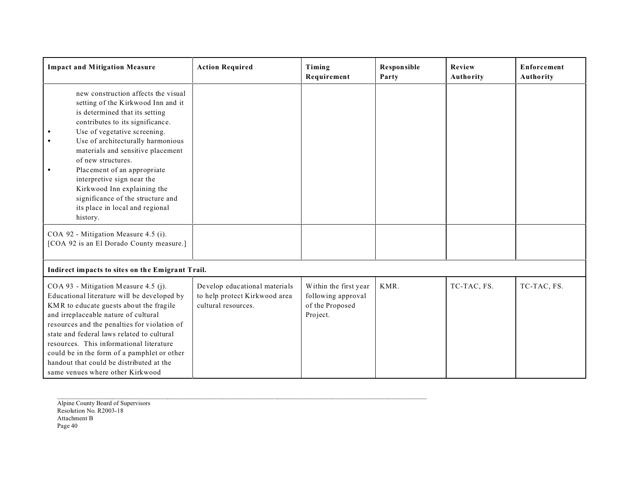| <b>Impact and Mitigation Measure</b>                                                                                                                                                                                                                                                                                                                                                                                                                                                      | <b>Action Required</b>                                                                | Timing<br>Requirement                                                      | Responsible<br>Party | Review<br>Authority | <b>Enforcement</b><br><b>Authority</b> |
|-------------------------------------------------------------------------------------------------------------------------------------------------------------------------------------------------------------------------------------------------------------------------------------------------------------------------------------------------------------------------------------------------------------------------------------------------------------------------------------------|---------------------------------------------------------------------------------------|----------------------------------------------------------------------------|----------------------|---------------------|----------------------------------------|
| new construction affects the visual<br>setting of the Kirkwood Inn and it<br>is determined that its setting<br>contributes to its significance.<br>Use of vegetative screening.<br>Use of architecturally harmonious<br>$\bullet$<br>materials and sensitive placement<br>of new structures.<br>Placement of an appropriate<br>$\bullet$<br>interpretive sign near the<br>Kirkwood Inn explaining the<br>significance of the structure and<br>its place in local and regional<br>history. |                                                                                       |                                                                            |                      |                     |                                        |
| COA 92 - Mitigation Measure 4.5 (i).<br>[COA 92 is an El Dorado County measure.]                                                                                                                                                                                                                                                                                                                                                                                                          |                                                                                       |                                                                            |                      |                     |                                        |
| Indirect impacts to sites on the Emigrant Trail.                                                                                                                                                                                                                                                                                                                                                                                                                                          |                                                                                       |                                                                            |                      |                     |                                        |
| COA 93 - Mitigation Measure 4.5 (j).<br>Educational literature will be developed by<br>KMR to educate guests about the fragile<br>and irreplaceable nature of cultural<br>resources and the penalties for violation of<br>state and federal laws related to cultural<br>resources. This informational literature<br>could be in the form of a pamphlet or other<br>handout that could be distributed at the<br>same venues where other Kirkwood                                           | Develop educational materials<br>to help protect Kirkwood area<br>cultural resources. | Within the first year<br>following approval<br>of the Proposed<br>Project. | KMR.                 | TC-TAC, FS.         | TC-TAC, FS.                            |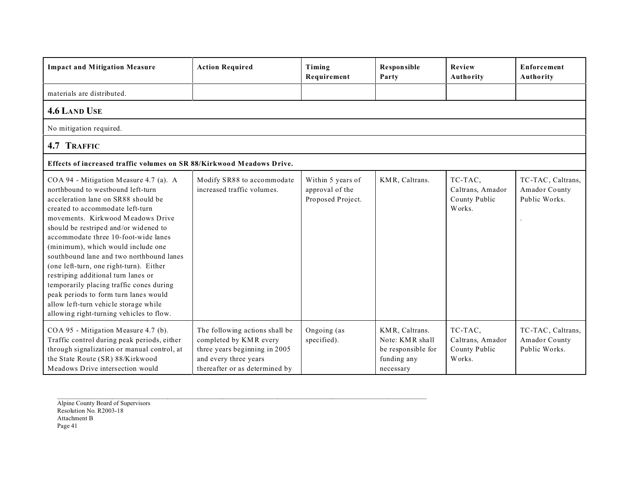| <b>Impact and Mitigation Measure</b>                                                                                                                                                                                                                                                                                                                                                                                                                                                                                                                                                                                       | <b>Action Required</b>                                                                                                                               | Timing<br>Requirement                                     | <b>Responsible</b><br>Party                                                         | Review<br>Authority                                    | <b>Enforcement</b><br>Authority                     |
|----------------------------------------------------------------------------------------------------------------------------------------------------------------------------------------------------------------------------------------------------------------------------------------------------------------------------------------------------------------------------------------------------------------------------------------------------------------------------------------------------------------------------------------------------------------------------------------------------------------------------|------------------------------------------------------------------------------------------------------------------------------------------------------|-----------------------------------------------------------|-------------------------------------------------------------------------------------|--------------------------------------------------------|-----------------------------------------------------|
| materials are distributed.                                                                                                                                                                                                                                                                                                                                                                                                                                                                                                                                                                                                 |                                                                                                                                                      |                                                           |                                                                                     |                                                        |                                                     |
| <b>4.6 LAND USE</b>                                                                                                                                                                                                                                                                                                                                                                                                                                                                                                                                                                                                        |                                                                                                                                                      |                                                           |                                                                                     |                                                        |                                                     |
| No mitigation required.                                                                                                                                                                                                                                                                                                                                                                                                                                                                                                                                                                                                    |                                                                                                                                                      |                                                           |                                                                                     |                                                        |                                                     |
| 4.7 TRAFFIC                                                                                                                                                                                                                                                                                                                                                                                                                                                                                                                                                                                                                |                                                                                                                                                      |                                                           |                                                                                     |                                                        |                                                     |
| Effects of increased traffic volumes on SR 88/Kirkwood Meadows Drive.                                                                                                                                                                                                                                                                                                                                                                                                                                                                                                                                                      |                                                                                                                                                      |                                                           |                                                                                     |                                                        |                                                     |
| COA 94 - Mitigation Measure 4.7 (a). A<br>northbound to westbound left-turn<br>acceleration lane on SR88 should be<br>created to accommodate left-turn<br>movements. Kirkwood Meadows Drive<br>should be restriped and/or widened to<br>accommodate three 10-foot-wide lanes<br>(minimum), which would include one<br>southbound lane and two northbound lanes<br>(one left-turn, one right-turn). Either<br>restriping additional turn lanes or<br>temporarily placing traffic cones during<br>peak periods to form turn lanes would<br>allow left-turn vehicle storage while<br>allowing right-turning vehicles to flow. | Modify SR88 to accommodate<br>increased traffic volumes.                                                                                             | Within 5 years of<br>approval of the<br>Proposed Project. | KMR, Caltrans.                                                                      | TC-TAC,<br>Caltrans, Amador<br>County Public<br>Works. | TC-TAC, Caltrans,<br>Amador County<br>Public Works. |
| COA 95 - Mitigation Measure 4.7 (b).<br>Traffic control during peak periods, either<br>through signalization or manual control, at<br>the State Route (SR) 88/Kirkwood<br>Meadows Drive intersection would                                                                                                                                                                                                                                                                                                                                                                                                                 | The following actions shall be<br>completed by KMR every<br>three years beginning in 2005<br>and every three years<br>thereafter or as determined by | Ongoing (as<br>specified).                                | KMR, Caltrans.<br>Note: KMR shall<br>be responsible for<br>funding any<br>necessary | TC-TAC,<br>Caltrans, Amador<br>County Public<br>Works. | TC-TAC, Caltrans,<br>Amador County<br>Public Works. |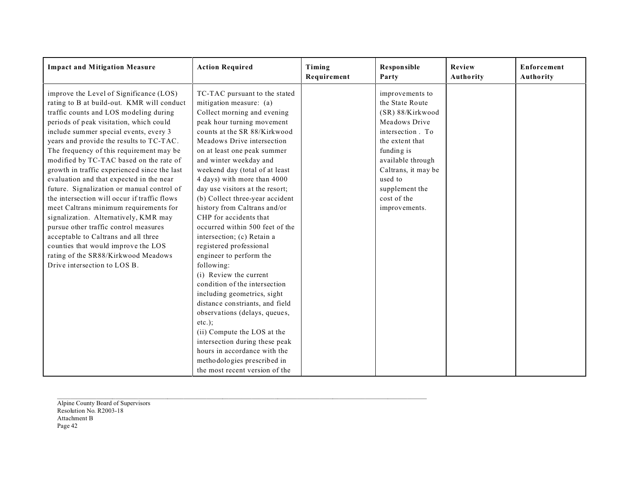| <b>Impact and Mitigation Measure</b>                                                                                                                                                                                                                                                                                                                                                                                                                                                                                                                                                                                                                                                                                                                                                                                                | <b>Action Required</b>                                                                                                                                                                                                                                                                                                                                                                                                                                                                                                                                                                                                                                                                                                                                                                                                                                                                                                         | Timing<br>Requirement | <b>Responsible</b><br>Party                                                                                                                                                                                                           | Review<br>Authority | <b>Enforcement</b><br><b>Authority</b> |
|-------------------------------------------------------------------------------------------------------------------------------------------------------------------------------------------------------------------------------------------------------------------------------------------------------------------------------------------------------------------------------------------------------------------------------------------------------------------------------------------------------------------------------------------------------------------------------------------------------------------------------------------------------------------------------------------------------------------------------------------------------------------------------------------------------------------------------------|--------------------------------------------------------------------------------------------------------------------------------------------------------------------------------------------------------------------------------------------------------------------------------------------------------------------------------------------------------------------------------------------------------------------------------------------------------------------------------------------------------------------------------------------------------------------------------------------------------------------------------------------------------------------------------------------------------------------------------------------------------------------------------------------------------------------------------------------------------------------------------------------------------------------------------|-----------------------|---------------------------------------------------------------------------------------------------------------------------------------------------------------------------------------------------------------------------------------|---------------------|----------------------------------------|
| improve the Level of Significance (LOS)<br>rating to B at build-out. KMR will conduct<br>traffic counts and LOS modeling during<br>periods of peak visitation, which could<br>include summer special events, every 3<br>years and provide the results to TC-TAC.<br>The frequency of this requirement may be<br>modified by TC-TAC based on the rate of<br>growth in traffic experienced since the last<br>evaluation and that expected in the near<br>future. Signalization or manual control of<br>the intersection will occur if traffic flows<br>meet Caltrans minimum requirements for<br>signalization. Alternatively, KMR may<br>pursue other traffic control measures<br>acceptable to Caltrans and all three<br>counties that would improve the LOS<br>rating of the SR88/Kirkwood Meadows<br>Drive intersection to LOS B. | TC-TAC pursuant to the stated<br>mitigation measure: (a)<br>Collect morning and evening<br>peak hour turning movement<br>counts at the SR 88/Kirkwood<br>Meadows Drive intersection<br>on at least one peak summer<br>and winter weekday and<br>weekend day (total of at least<br>4 days) with more than 4000<br>day use visitors at the resort;<br>(b) Collect three-year accident<br>history from Caltrans and/or<br>CHP for accidents that<br>occurred within 500 feet of the<br>intersection; (c) Retain a<br>registered professional<br>engineer to perform the<br>following:<br>(i) Review the current<br>condition of the intersection<br>including geometrics, sight<br>distance constriants, and field<br>observations (delays, queues,<br>$etc.$ :<br>(ii) Compute the LOS at the<br>intersection during these peak<br>hours in accordance with the<br>methodologies prescribed in<br>the most recent version of the |                       | improvements to<br>the State Route<br>(SR) 88/Kirkwood<br>Meadows Drive<br>intersection. To<br>the extent that<br>funding is<br>available through<br>Caltrans, it may be<br>used to<br>supplement the<br>cost of the<br>improvements. |                     |                                        |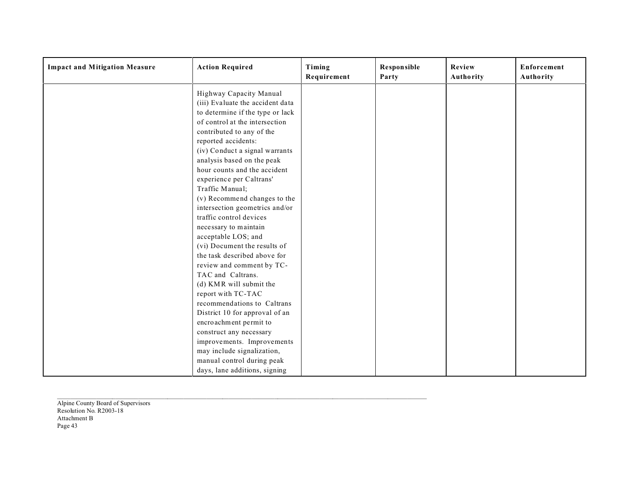| <b>Impact and Mitigation Measure</b> | <b>Action Required</b>                                                                                                                                                                                                                                                                                                                                                                                                                                                                                                                                                                                                                                                                                                                                                                                                                 | Timing<br>Requirement | <b>Responsible</b><br>Party | Review<br>Authority | Enforcement<br>Authority |
|--------------------------------------|----------------------------------------------------------------------------------------------------------------------------------------------------------------------------------------------------------------------------------------------------------------------------------------------------------------------------------------------------------------------------------------------------------------------------------------------------------------------------------------------------------------------------------------------------------------------------------------------------------------------------------------------------------------------------------------------------------------------------------------------------------------------------------------------------------------------------------------|-----------------------|-----------------------------|---------------------|--------------------------|
|                                      | Highway Capacity Manual<br>(iii) Evaluate the accident data<br>to determine if the type or lack<br>of control at the intersection<br>contributed to any of the<br>reported accidents:<br>(iv) Conduct a signal warrants<br>analysis based on the peak<br>hour counts and the accident<br>experience per Caltrans'<br>Traffic Manual;<br>(v) Recommend changes to the<br>intersection geometrics and/or<br>traffic control devices<br>necessary to maintain<br>acceptable LOS; and<br>(vi) Document the results of<br>the task described above for<br>review and comment by TC-<br>TAC and Caltrans.<br>(d) KMR will submit the<br>report with TC-TAC<br>recommendations to Caltrans<br>District 10 for approval of an<br>encroachment permit to<br>construct any necessary<br>improvements. Improvements<br>may include signalization, |                       |                             |                     |                          |
|                                      | manual control during peak<br>days, lane additions, signing                                                                                                                                                                                                                                                                                                                                                                                                                                                                                                                                                                                                                                                                                                                                                                            |                       |                             |                     |                          |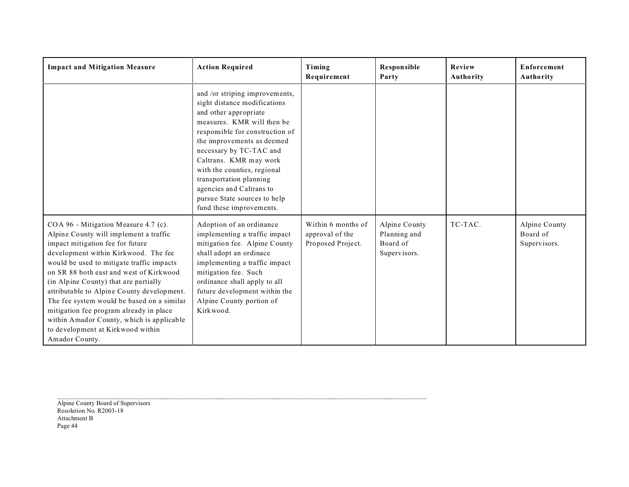| <b>Impact and Mitigation Measure</b>                                                                                                                                                                                                                                                                                                                                                                                                                                                                                                   | <b>Action Required</b>                                                                                                                                                                                                                                                                                                                                                                        | Timing<br>Requirement                                      | <b>Responsible</b><br>Party                               | Review<br>Authority | <b>Enforcement</b><br>Authority           |
|----------------------------------------------------------------------------------------------------------------------------------------------------------------------------------------------------------------------------------------------------------------------------------------------------------------------------------------------------------------------------------------------------------------------------------------------------------------------------------------------------------------------------------------|-----------------------------------------------------------------------------------------------------------------------------------------------------------------------------------------------------------------------------------------------------------------------------------------------------------------------------------------------------------------------------------------------|------------------------------------------------------------|-----------------------------------------------------------|---------------------|-------------------------------------------|
|                                                                                                                                                                                                                                                                                                                                                                                                                                                                                                                                        | and /or striping improvements,<br>sight distance modifications<br>and other appropriate<br>measures. KMR will then be<br>responsible for construction of<br>the improvements as deemed<br>necessary by TC-TAC and<br>Caltrans. KMR may work<br>with the counties, regional<br>transportation planning<br>agencies and Caltrans to<br>pursue State sources to help<br>fund these improvements. |                                                            |                                                           |                     |                                           |
| COA 96 - Mitigation Measure 4.7 (c).<br>Alpine County will implement a traffic<br>impact mitigation fee for future<br>development within Kirkwood. The fee<br>would be used to mitigate traffic impacts<br>on SR 88 both east and west of Kirkwood<br>(in Alpine County) that are partially<br>attributable to Alpine County development.<br>The fee system would be based on a similar<br>mitigation fee program already in place<br>within Amador County, which is applicable<br>to development at Kirkwood within<br>Amador County. | Adoption of an ordinance<br>implementing a traffic impact<br>mitigation fee. Alpine County<br>shall adopt an ordinace<br>implementing a traffic impact<br>mitigation fee. Such<br>ordinance shall apply to all<br>future development within the<br>Alpine County portion of<br>Kirkwood.                                                                                                      | Within 6 months of<br>approval of the<br>Proposed Project. | Alpine County<br>Planning and<br>Board of<br>Supervisors. | TC-TAC.             | Alpine County<br>Board of<br>Supervisors. |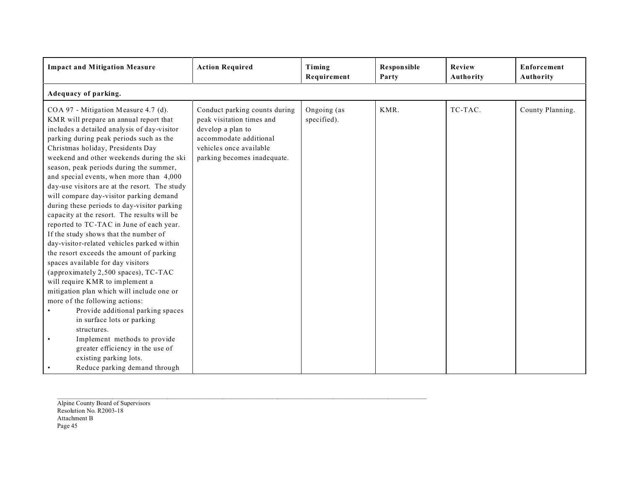| <b>Impact and Mitigation Measure</b>                                                                                                                                                                                                                                                                                                                                                                                                                                                                                                                                                                                                                                                                                                                                                                                                                                                                                                                                                                                                                                                                                                       | <b>Action Required</b>                                                                                                                                              | Timing<br>Requirement      | <b>Responsible</b><br>Party | Review<br>Authority | Enforcement<br>Authority |  |  |  |
|--------------------------------------------------------------------------------------------------------------------------------------------------------------------------------------------------------------------------------------------------------------------------------------------------------------------------------------------------------------------------------------------------------------------------------------------------------------------------------------------------------------------------------------------------------------------------------------------------------------------------------------------------------------------------------------------------------------------------------------------------------------------------------------------------------------------------------------------------------------------------------------------------------------------------------------------------------------------------------------------------------------------------------------------------------------------------------------------------------------------------------------------|---------------------------------------------------------------------------------------------------------------------------------------------------------------------|----------------------------|-----------------------------|---------------------|--------------------------|--|--|--|
| Adequacy of parking.                                                                                                                                                                                                                                                                                                                                                                                                                                                                                                                                                                                                                                                                                                                                                                                                                                                                                                                                                                                                                                                                                                                       |                                                                                                                                                                     |                            |                             |                     |                          |  |  |  |
| COA 97 - Mitigation Measure 4.7 (d).<br>KMR will prepare an annual report that<br>includes a detailed analysis of day-visitor<br>parking during peak periods such as the<br>Christmas holiday, Presidents Day<br>weekend and other weekends during the ski<br>season, peak periods during the summer,<br>and special events, when more than 4,000<br>day-use visitors are at the resort. The study<br>will compare day-visitor parking demand<br>during these periods to day-visitor parking<br>capacity at the resort. The results will be<br>reported to TC-TAC in June of each year.<br>If the study shows that the number of<br>day-visitor-related vehicles parked within<br>the resort exceeds the amount of parking<br>spaces available for day visitors<br>(approximately 2,500 spaces), TC-TAC<br>will require KMR to implement a<br>mitigation plan which will include one or<br>more of the following actions:<br>Provide additional parking spaces<br>in surface lots or parking<br>structures.<br>Implement methods to provide<br>greater efficiency in the use of<br>existing parking lots.<br>Reduce parking demand through | Conduct parking counts during<br>peak visitation times and<br>develop a plan to<br>accommodate additional<br>vehicles once available<br>parking becomes inadequate. | Ongoing (as<br>specified). | KMR.                        | TC-TAC.             | County Planning.         |  |  |  |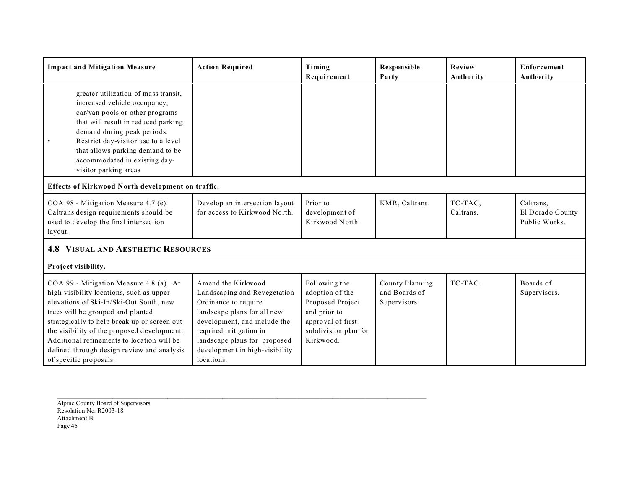| <b>Impact and Mitigation Measure</b>                                                                                                                                                                                                                                                                                                                                                     | <b>Action Required</b>                                                                                                                                                                                                                              | Timing<br>Requirement                                                                                                          | <b>Responsible</b><br>Party                      | <b>Review</b><br><b>Authority</b> | <b>Enforcement</b><br><b>Authority</b>         |  |  |  |
|------------------------------------------------------------------------------------------------------------------------------------------------------------------------------------------------------------------------------------------------------------------------------------------------------------------------------------------------------------------------------------------|-----------------------------------------------------------------------------------------------------------------------------------------------------------------------------------------------------------------------------------------------------|--------------------------------------------------------------------------------------------------------------------------------|--------------------------------------------------|-----------------------------------|------------------------------------------------|--|--|--|
| greater utilization of mass transit,<br>increased vehicle occupancy,<br>car/van pools or other programs<br>that will result in reduced parking<br>demand during peak periods.<br>Restrict day-visitor use to a level<br>that allows parking demand to be<br>accommodated in existing day-<br>visitor parking areas                                                                       |                                                                                                                                                                                                                                                     |                                                                                                                                |                                                  |                                   |                                                |  |  |  |
| Effects of Kirkwood North development on traffic.                                                                                                                                                                                                                                                                                                                                        |                                                                                                                                                                                                                                                     |                                                                                                                                |                                                  |                                   |                                                |  |  |  |
| COA 98 - Mitigation Measure 4.7 (e).<br>Caltrans design requirements should be<br>used to develop the final intersection<br>layout.                                                                                                                                                                                                                                                      | Develop an intersection layout<br>for access to Kirkwood North.                                                                                                                                                                                     | Prior to<br>development of<br>Kirkwood North.                                                                                  | KMR, Caltrans.                                   | TC-TAC,<br>Caltrans.              | Caltrans,<br>El Dorado County<br>Public Works. |  |  |  |
| <b>4.8 VISUAL AND AESTHETIC RESOURCES</b>                                                                                                                                                                                                                                                                                                                                                |                                                                                                                                                                                                                                                     |                                                                                                                                |                                                  |                                   |                                                |  |  |  |
| Project visibility.                                                                                                                                                                                                                                                                                                                                                                      |                                                                                                                                                                                                                                                     |                                                                                                                                |                                                  |                                   |                                                |  |  |  |
| COA 99 - Mitigation Measure 4.8 (a). At<br>high-visibility locations, such as upper<br>elevations of Ski-In/Ski-Out South, new<br>trees will be grouped and planted<br>strategically to help break up or screen out<br>the visibility of the proposed development.<br>Additional refinements to location will be<br>defined through design review and analysis<br>of specific proposals. | Amend the Kirkwood<br>Landscaping and Revegetation<br>Ordinance to require<br>landscape plans for all new<br>development, and include the<br>required mitigation in<br>landscape plans for proposed<br>development in high-visibility<br>locations. | Following the<br>adoption of the<br>Proposed Project<br>and prior to<br>approval of first<br>subdivision plan for<br>Kirkwood. | County Planning<br>and Boards of<br>Supervisors. | TC-TAC.                           | Boards of<br>Supervisors.                      |  |  |  |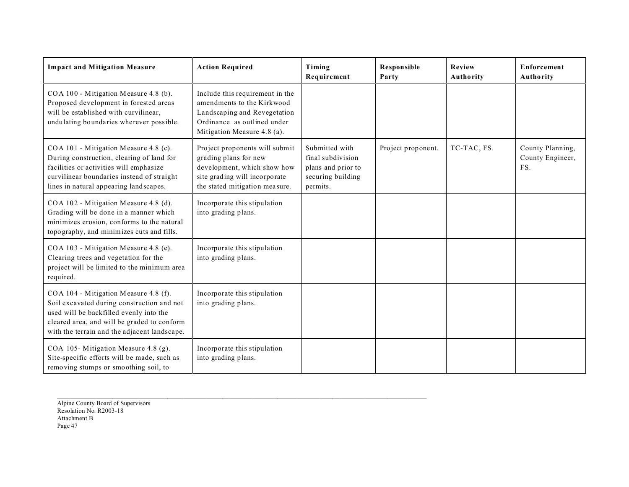| <b>Impact and Mitigation Measure</b>                                                                                                                                                                                          | <b>Action Required</b>                                                                                                                                      | Timing<br>Requirement                                                                      | Responsible<br>Party | Review<br>Authority | <b>Enforcement</b><br>Authority             |
|-------------------------------------------------------------------------------------------------------------------------------------------------------------------------------------------------------------------------------|-------------------------------------------------------------------------------------------------------------------------------------------------------------|--------------------------------------------------------------------------------------------|----------------------|---------------------|---------------------------------------------|
| COA 100 - Mitigation Measure 4.8 (b).<br>Proposed development in forested areas<br>will be established with curvilinear,<br>undulating boundaries wherever possible.                                                          | Include this requirement in the<br>amendments to the Kirkwood<br>Landscaping and Revegetation<br>Ordinance as outlined under<br>Mitigation Measure 4.8 (a). |                                                                                            |                      |                     |                                             |
| COA 101 - Mitigation Measure 4.8 (c).<br>During construction, clearing of land for<br>facilities or activities will emphasize<br>curvilinear boundaries instead of straight<br>lines in natural appearing landscapes.         | Project proponents will submit<br>grading plans for new<br>development, which show how<br>site grading will incorporate<br>the stated mitigation measure.   | Submitted with<br>final subdivision<br>plans and prior to<br>securing building<br>permits. | Project proponent.   | TC-TAC, FS.         | County Planning,<br>County Engineer,<br>FS. |
| COA 102 - Mitigation Measure 4.8 (d).<br>Grading will be done in a manner which<br>minimizes erosion, conforms to the natural<br>topography, and minimizes cuts and fills.                                                    | Incorporate this stipulation<br>into grading plans.                                                                                                         |                                                                                            |                      |                     |                                             |
| COA 103 - Mitigation Measure 4.8 (e).<br>Clearing trees and vegetation for the<br>project will be limited to the minimum area<br>required.                                                                                    | Incorporate this stipulation<br>into grading plans.                                                                                                         |                                                                                            |                      |                     |                                             |
| COA 104 - Mitigation Measure 4.8 (f).<br>Soil excavated during construction and not<br>used will be backfilled evenly into the<br>cleared area, and will be graded to conform<br>with the terrain and the adjacent landscape. | Incorporate this stipulation<br>into grading plans.                                                                                                         |                                                                                            |                      |                     |                                             |
| COA 105-Mitigation Measure 4.8 (g).<br>Site-specific efforts will be made, such as<br>removing stumps or smoothing soil, to                                                                                                   | Incorporate this stipulation<br>into grading plans.                                                                                                         |                                                                                            |                      |                     |                                             |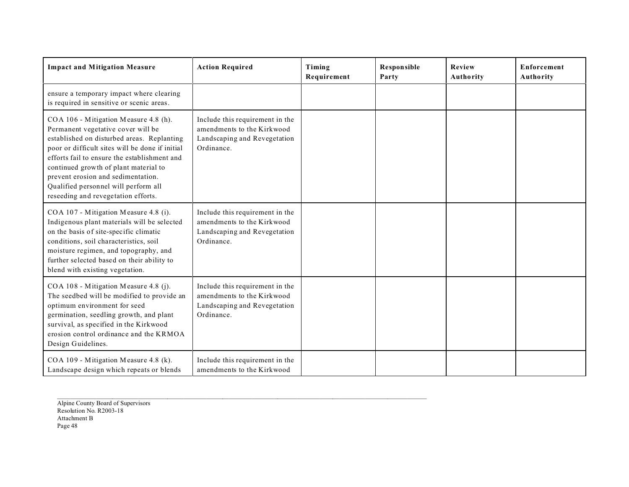| <b>Impact and Mitigation Measure</b>                                                                                                                                                                                                                                                                                                                                                       | <b>Action Required</b>                                                                                      | Timing<br>Requirement | Responsible<br>Party | Review<br>Authority | <b>Enforcement</b><br>Authority |
|--------------------------------------------------------------------------------------------------------------------------------------------------------------------------------------------------------------------------------------------------------------------------------------------------------------------------------------------------------------------------------------------|-------------------------------------------------------------------------------------------------------------|-----------------------|----------------------|---------------------|---------------------------------|
| ensure a temporary impact where clearing<br>is required in sensitive or scenic areas.                                                                                                                                                                                                                                                                                                      |                                                                                                             |                       |                      |                     |                                 |
| COA 106 - Mitigation Measure 4.8 (h).<br>Permanent vegetative cover will be<br>established on disturbed areas. Replanting<br>poor or difficult sites will be done if initial<br>efforts fail to ensure the establishment and<br>continued growth of plant material to<br>prevent erosion and sedimentation.<br>Qualified personnel will perform all<br>reseeding and revegetation efforts. | Include this requirement in the<br>amendments to the Kirkwood<br>Landscaping and Revegetation<br>Ordinance. |                       |                      |                     |                                 |
| COA 107 - Mitigation Measure 4.8 (i).<br>Indigenous plant materials will be selected<br>on the basis of site-specific climatic<br>conditions, soil characteristics, soil<br>moisture regimen, and topography, and<br>further selected based on their ability to<br>blend with existing vegetation.                                                                                         | Include this requirement in the<br>amendments to the Kirkwood<br>Landscaping and Revegetation<br>Ordinance. |                       |                      |                     |                                 |
| COA 108 - Mitigation Measure 4.8 (j).<br>The seedbed will be modified to provide an<br>optimum environment for seed<br>germination, seedling growth, and plant<br>survival, as specified in the Kirkwood<br>erosion control ordinance and the KRMOA<br>Design Guidelines.                                                                                                                  | Include this requirement in the<br>amendments to the Kirkwood<br>Landscaping and Revegetation<br>Ordinance. |                       |                      |                     |                                 |
| COA 109 - Mitigation Measure 4.8 (k).<br>Landscape design which repeats or blends                                                                                                                                                                                                                                                                                                          | Include this requirement in the<br>amendments to the Kirkwood                                               |                       |                      |                     |                                 |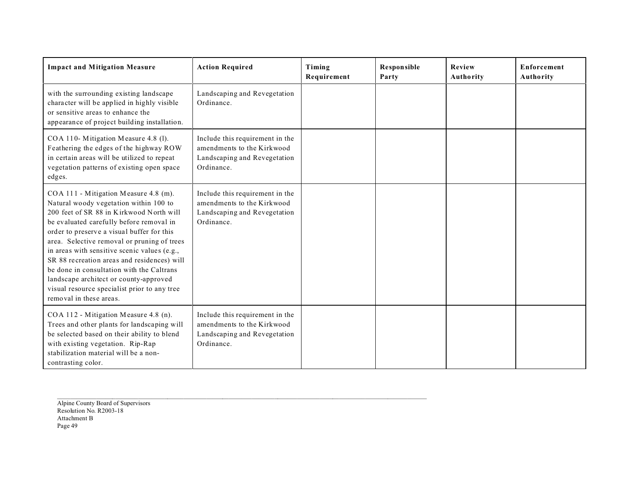| <b>Impact and Mitigation Measure</b>                                                                                                                                                                                                                                                                                                                                                                                                                                                                                                  | <b>Action Required</b>                                                                                      | Timing<br>Requirement | <b>Responsible</b><br>Party | <b>Review</b><br>Authority | <b>Enforcement</b><br>Authority |
|---------------------------------------------------------------------------------------------------------------------------------------------------------------------------------------------------------------------------------------------------------------------------------------------------------------------------------------------------------------------------------------------------------------------------------------------------------------------------------------------------------------------------------------|-------------------------------------------------------------------------------------------------------------|-----------------------|-----------------------------|----------------------------|---------------------------------|
| with the surrounding existing landscape<br>character will be applied in highly visible<br>or sensitive areas to enhance the<br>appearance of project building installation.                                                                                                                                                                                                                                                                                                                                                           | Landscaping and Revegetation<br>Ordinance.                                                                  |                       |                             |                            |                                 |
| COA 110- Mitigation Measure 4.8 (1).<br>Feathering the edges of the highway ROW<br>in certain areas will be utilized to repeat<br>vegetation patterns of existing open space<br>edges.                                                                                                                                                                                                                                                                                                                                                | Include this requirement in the<br>amendments to the Kirkwood<br>Landscaping and Revegetation<br>Ordinance. |                       |                             |                            |                                 |
| COA 111 - Mitigation Measure 4.8 (m).<br>Natural woody vegetation within 100 to<br>200 feet of SR 88 in Kirkwood North will<br>be evaluated carefully before removal in<br>order to preserve a visual buffer for this<br>area. Selective removal or pruning of trees<br>in areas with sensitive scenic values (e.g.,<br>SR 88 recreation areas and residences) will<br>be done in consultation with the Caltrans<br>landscape architect or county-approved<br>visual resource specialist prior to any tree<br>removal in these areas. | Include this requirement in the<br>amendments to the Kirkwood<br>Landscaping and Revegetation<br>Ordinance. |                       |                             |                            |                                 |
| COA 112 - Mitigation Measure 4.8 (n).<br>Trees and other plants for landscaping will<br>be selected based on their ability to blend<br>with existing vegetation. Rip-Rap<br>stabilization material will be a non-<br>contrasting color.                                                                                                                                                                                                                                                                                               | Include this requirement in the<br>amendments to the Kirkwood<br>Landscaping and Revegetation<br>Ordinance. |                       |                             |                            |                                 |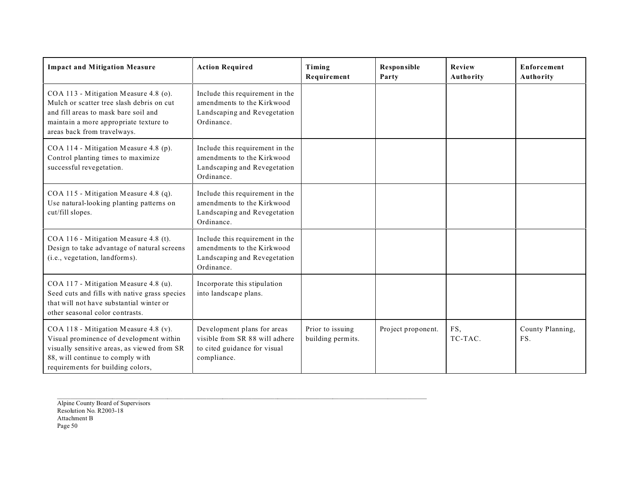| <b>Impact and Mitigation Measure</b>                                                                                                                                                                     | <b>Action Required</b>                                                                                       | Timing<br>Requirement                 | Responsible<br>Party | Review<br>Authority | <b>Enforcement</b><br><b>Authority</b> |
|----------------------------------------------------------------------------------------------------------------------------------------------------------------------------------------------------------|--------------------------------------------------------------------------------------------------------------|---------------------------------------|----------------------|---------------------|----------------------------------------|
| COA 113 - Mitigation Measure 4.8 (o).<br>Mulch or scatter tree slash debris on cut<br>and fill areas to mask bare soil and<br>maintain a more appropriate texture to<br>areas back from travelways.      | Include this requirement in the<br>amendments to the Kirkwood<br>Landscaping and Revegetation<br>Ordinance.  |                                       |                      |                     |                                        |
| COA 114 - Mitigation Measure 4.8 (p).<br>Control planting times to maximize<br>successful revegetation.                                                                                                  | Include this requirement in the<br>amendments to the Kirkwood<br>Landscaping and Revegetation<br>Ordinance.  |                                       |                      |                     |                                        |
| COA 115 - Mitigation Measure 4.8 (q).<br>Use natural-looking planting patterns on<br>cut/fill slopes.                                                                                                    | Include this requirement in the<br>amendments to the Kirkwood<br>Landscaping and Revegetation<br>Ordinance.  |                                       |                      |                     |                                        |
| COA 116 - Mitigation Measure 4.8 (t).<br>Design to take advantage of natural screens<br>(i.e., vegetation, landforms).                                                                                   | Include this requirement in the<br>amendments to the Kirkwood<br>Landscaping and Revegetation<br>Ordinance.  |                                       |                      |                     |                                        |
| COA 117 - Mitigation Measure 4.8 (u).<br>Seed cuts and fills with native grass species<br>that will not have substantial winter or<br>other seasonal color contrasts.                                    | Incorporate this stipulation<br>into landscape plans.                                                        |                                       |                      |                     |                                        |
| COA 118 - Mitigation Measure 4.8 (v).<br>Visual prominence of development within<br>visually sensitive areas, as viewed from SR<br>88, will continue to comply with<br>requirements for building colors, | Development plans for areas<br>visible from SR 88 will adhere<br>to cited guidance for visual<br>compliance. | Prior to issuing<br>building permits. | Project proponent.   | FS,<br>TC-TAC.      | County Planning,<br>FS.                |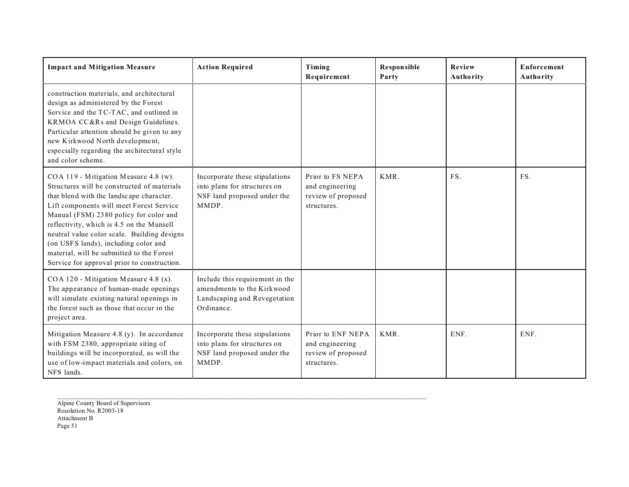| <b>Impact and Mitigation Measure</b>                                                                                                                                                                                                                                                                                                                                                                                                                   | <b>Action Required</b>                                                                                      | Timing<br>Requirement                                                     | Responsible<br>Party | Review<br>Authority | <b>Enforcement</b><br>Authority |
|--------------------------------------------------------------------------------------------------------------------------------------------------------------------------------------------------------------------------------------------------------------------------------------------------------------------------------------------------------------------------------------------------------------------------------------------------------|-------------------------------------------------------------------------------------------------------------|---------------------------------------------------------------------------|----------------------|---------------------|---------------------------------|
| construction materials, and architectural<br>design as administered by the Forest<br>Service and the TC-TAC, and outlined in<br>KRMOA CC&Rs and Design Guidelines.<br>Particular attention should be given to any<br>new Kirkwood North development,<br>especially regarding the architectural style<br>and color scheme.                                                                                                                              |                                                                                                             |                                                                           |                      |                     |                                 |
| COA 119 - Mitigation Measure 4.8 (w).<br>Structures will be constructed of materials<br>that blend with the landscape character.<br>Lift components will meet Forest Service<br>Manual (FSM) 2380 policy for color and<br>reflectivity, which is 4.5 on the Munsell<br>neutral value color scale. Building designs<br>(on USFS lands), including color and<br>material, will be submitted to the Forest<br>Service for approval prior to construction. | Incorporate these stipulations<br>into plans for structures on<br>NSF land proposed under the<br>MMDP.      | Prior to FS NEPA<br>and engineering<br>review of proposed<br>structures.  | KMR.                 | FS.                 | FS.                             |
| COA 120 - Mitigation Measure 4.8 (x).<br>The appearance of human-made openings<br>will simulate existing natural openings in<br>the forest such as those that occur in the<br>project area.                                                                                                                                                                                                                                                            | Include this requirement in the<br>amendments to the Kirkwood<br>Landscaping and Revegetation<br>Ordinance. |                                                                           |                      |                     |                                 |
| Mitigation Measure 4.8 (y). In accordance<br>with FSM 2380, appropriate siting of<br>buildings will be incorporated, as will the<br>use of low-impact materials and colors, on<br>NFS lands.                                                                                                                                                                                                                                                           | Incorporate these stipulations<br>into plans for structures on<br>NSF land proposed under the<br>MMDP.      | Prior to ENF NEPA<br>and engineering<br>review of proposed<br>structures. | KMR.                 | ENF.                | ENF.                            |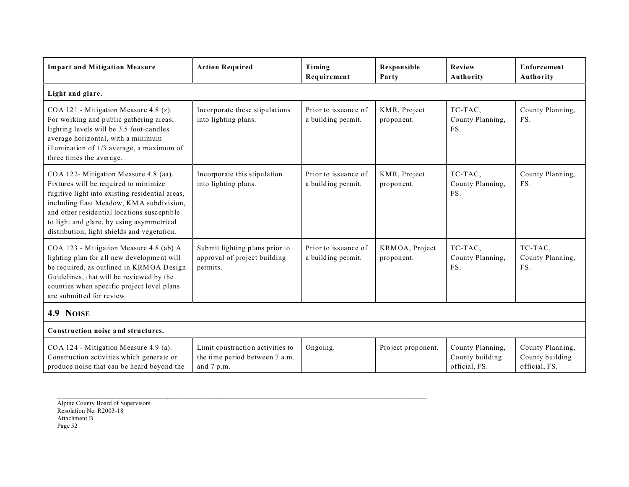| <b>Impact and Mitigation Measure</b>                                                                                                                                                                                                                                                                                    | <b>Action Required</b>                                                           | Timing<br>Requirement                      | <b>Responsible</b><br>Party  | Review<br>Authority                                  | Enforcement<br>Authority                             |
|-------------------------------------------------------------------------------------------------------------------------------------------------------------------------------------------------------------------------------------------------------------------------------------------------------------------------|----------------------------------------------------------------------------------|--------------------------------------------|------------------------------|------------------------------------------------------|------------------------------------------------------|
| Light and glare.                                                                                                                                                                                                                                                                                                        |                                                                                  |                                            |                              |                                                      |                                                      |
| COA 121 - Mitigation Measure 4.8 (z).<br>For working and public gathering areas,<br>lighting levels will be 3.5 foot-candles<br>average horizontal, with a minimum<br>illumination of 1/3 average, a maximum of<br>three times the average.                                                                             | Incorporate these stipulations<br>into lighting plans.                           | Prior to issuance of<br>a building permit. | KMR, Project<br>proponent.   | TC-TAC,<br>County Planning,<br>FS.                   | County Planning,<br>FS.                              |
| COA 122- Mitigation Measure 4.8 (aa).<br>Fixtures will be required to minimize<br>fugitive light into existing residential areas,<br>including East Meadow, KMA subdivision,<br>and other residential locations susceptible<br>to light and glare, by using asymmetrical<br>distribution, light shields and vegetation. | Incorporate this stipulation<br>into lighting plans.                             | Prior to issuance of<br>a building permit. | KMR, Project<br>proponent.   | TC-TAC,<br>County Planning,<br>FS.                   | County Planning,<br>FS.                              |
| COA 123 - Mitigation Measure 4.8 (ab) A<br>lighting plan for all new development will<br>be required, as outlined in KRMOA Design<br>Guidelines, that will be reviewed by the<br>counties when specific project level plans<br>are submitted for review.                                                                | Submit lighting plans prior to<br>approval of project building<br>permits.       | Prior to issuance of<br>a building permit. | KRMOA, Project<br>proponent. | TC-TAC,<br>County Planning,<br>FS.                   | TC-TAC,<br>County Planning,<br>FS.                   |
| 4.9 NOISE                                                                                                                                                                                                                                                                                                               |                                                                                  |                                            |                              |                                                      |                                                      |
| Construction noise and structures.                                                                                                                                                                                                                                                                                      |                                                                                  |                                            |                              |                                                      |                                                      |
| COA 124 - Mitigation Measure 4.9 (a).<br>Construction activities which generate or<br>produce noise that can be heard beyond the                                                                                                                                                                                        | Limit construction activities to<br>the time period between 7 a.m.<br>and 7 p.m. | Ongoing.                                   | Project proponent.           | County Planning,<br>County building<br>official, FS. | County Planning,<br>County building<br>official, FS. |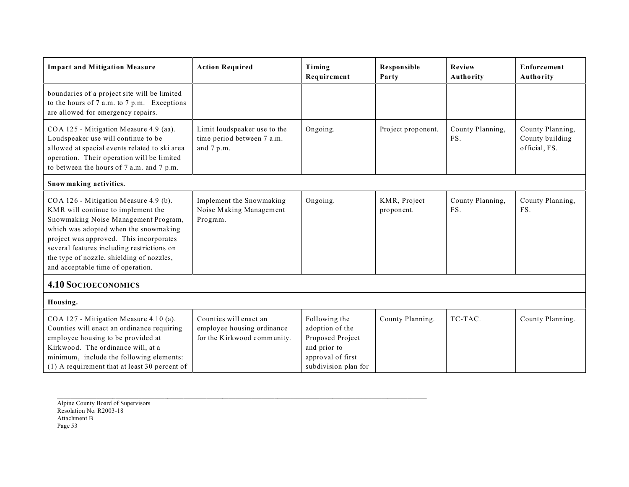| <b>Impact and Mitigation Measure</b>                                                                                                                                                                                                                                                                                                    | <b>Action Required</b>                                                              | Timing<br>Requirement                                                                                             | Responsible<br>Party       | Review<br>Authority     | Enforcement<br><b>Authority</b>                      |
|-----------------------------------------------------------------------------------------------------------------------------------------------------------------------------------------------------------------------------------------------------------------------------------------------------------------------------------------|-------------------------------------------------------------------------------------|-------------------------------------------------------------------------------------------------------------------|----------------------------|-------------------------|------------------------------------------------------|
| boundaries of a project site will be limited<br>to the hours of 7 a.m. to 7 p.m. Exceptions<br>are allowed for emergency repairs.                                                                                                                                                                                                       |                                                                                     |                                                                                                                   |                            |                         |                                                      |
| COA 125 - Mitigation Measure 4.9 (aa).<br>Loudspeaker use will continue to be<br>allowed at special events related to ski area<br>operation. Their operation will be limited<br>to between the hours of 7 a.m. and 7 p.m.                                                                                                               | Limit loudspeaker use to the<br>time period between 7 a.m.<br>and 7 p.m.            | Ongoing.                                                                                                          | Project proponent.         | County Planning,<br>FS. | County Planning,<br>County building<br>official, FS. |
| Snow making activities.                                                                                                                                                                                                                                                                                                                 |                                                                                     |                                                                                                                   |                            |                         |                                                      |
| COA 126 - Mitigation Measure 4.9 (b).<br>KMR will continue to implement the<br>Snowmaking Noise Management Program,<br>which was adopted when the snowmaking<br>project was approved. This incorporates<br>several features including restrictions on<br>the type of nozzle, shielding of nozzles,<br>and acceptable time of operation. | Implement the Snowmaking<br>Noise Making Management<br>Program.                     | Ongoing.                                                                                                          | KMR, Project<br>proponent. | County Planning,<br>FS. | County Planning,<br>FS.                              |
| <b>4.10 SOCIOECONOMICS</b>                                                                                                                                                                                                                                                                                                              |                                                                                     |                                                                                                                   |                            |                         |                                                      |
| Housing.                                                                                                                                                                                                                                                                                                                                |                                                                                     |                                                                                                                   |                            |                         |                                                      |
| COA 127 - Mitigation Measure 4.10 (a).<br>Counties will enact an ordinance requiring<br>employee housing to be provided at<br>Kirkwood. The ordinance will, at a<br>minimum, include the following elements:<br>(1) A requirement that at least 30 percent of                                                                           | Counties will enact an<br>employee housing ordinance<br>for the Kirkwood community. | Following the<br>adoption of the<br>Proposed Project<br>and prior to<br>approval of first<br>subdivision plan for | County Planning.           | TC-TAC.                 | County Planning.                                     |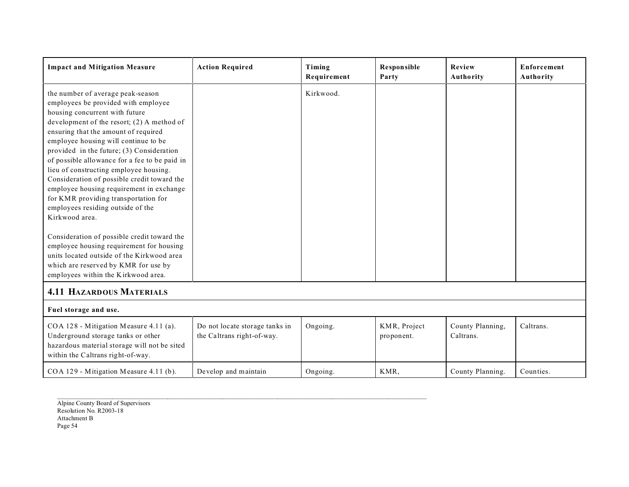| <b>Impact and Mitigation Measure</b>                                                                                                                                                                                                                                                                                                                                                                                                                                                                                                                                         | <b>Action Required</b>                                       | Timing<br>Requirement | <b>Responsible</b><br>Party | Review<br>Authority           | <b>Enforcement</b><br><b>Authority</b> |
|------------------------------------------------------------------------------------------------------------------------------------------------------------------------------------------------------------------------------------------------------------------------------------------------------------------------------------------------------------------------------------------------------------------------------------------------------------------------------------------------------------------------------------------------------------------------------|--------------------------------------------------------------|-----------------------|-----------------------------|-------------------------------|----------------------------------------|
| the number of average peak-season<br>employees be provided with employee<br>housing concurrent with future<br>development of the resort; $(2)$ A method of<br>ensuring that the amount of required<br>employee housing will continue to be<br>provided in the future; (3) Consideration<br>of possible allowance for a fee to be paid in<br>lieu of constructing employee housing.<br>Consideration of possible credit toward the<br>employee housing requirement in exchange<br>for KMR providing transportation for<br>employees residing outside of the<br>Kirkwood area. |                                                              | Kirkwood.             |                             |                               |                                        |
| Consideration of possible credit toward the<br>employee housing requirement for housing<br>units located outside of the Kirkwood area<br>which are reserved by KMR for use by<br>employees within the Kirkwood area.                                                                                                                                                                                                                                                                                                                                                         |                                                              |                       |                             |                               |                                        |
| <b>4.11 HAZARDOUS MATERIALS</b>                                                                                                                                                                                                                                                                                                                                                                                                                                                                                                                                              |                                                              |                       |                             |                               |                                        |
| Fuel storage and use.                                                                                                                                                                                                                                                                                                                                                                                                                                                                                                                                                        |                                                              |                       |                             |                               |                                        |
| COA 128 - Mitigation Measure 4.11 (a).<br>Underground storage tanks or other<br>hazardous material storage will not be sited<br>within the Caltrans right-of-way.                                                                                                                                                                                                                                                                                                                                                                                                            | Do not locate storage tanks in<br>the Caltrans right-of-way. | Ongoing.              | KMR, Project<br>proponent.  | County Planning,<br>Caltrans. | Caltrans.                              |
| COA 129 - Mitigation Measure 4.11 (b).                                                                                                                                                                                                                                                                                                                                                                                                                                                                                                                                       | Develop and maintain                                         | Ongoing.              | KMR,                        | County Planning.              | Counties.                              |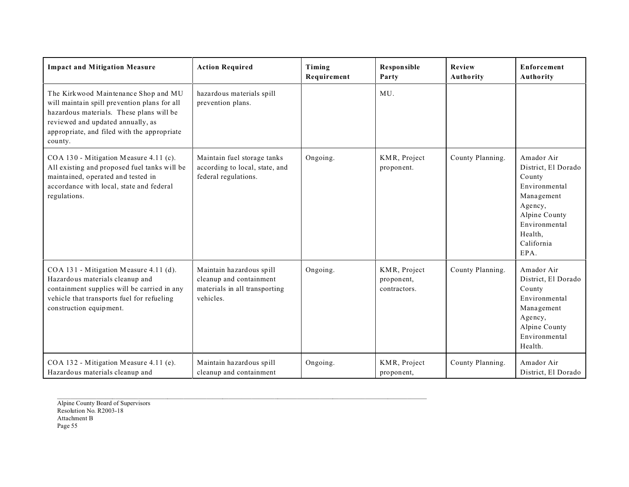| <b>Impact and Mitigation Measure</b>                                                                                                                                                                                            | <b>Action Required</b>                                                                            | Timing<br>Requirement | <b>Responsible</b><br>Party                | Review<br>Authority | <b>Enforcement</b><br><b>Authority</b>                                                                                                                   |
|---------------------------------------------------------------------------------------------------------------------------------------------------------------------------------------------------------------------------------|---------------------------------------------------------------------------------------------------|-----------------------|--------------------------------------------|---------------------|----------------------------------------------------------------------------------------------------------------------------------------------------------|
| The Kirkwood Maintenance Shop and MU<br>will maintain spill prevention plans for all<br>hazardous materials. These plans will be<br>reviewed and updated annually, as<br>appropriate, and filed with the appropriate<br>county. | hazardous materials spill<br>prevention plans.                                                    |                       | MU.                                        |                     |                                                                                                                                                          |
| COA 130 - Mitigation Measure 4.11 (c).<br>All existing and proposed fuel tanks will be<br>maintained, operated and tested in<br>accordance with local, state and federal<br>regulations.                                        | Maintain fuel storage tanks<br>according to local, state, and<br>federal regulations.             | Ongoing.              | KMR, Project<br>proponent.                 | County Planning.    | Amador Air<br>District, El Dorado<br>County<br>Environmental<br>Management<br>Agency,<br>Alpine County<br>Environmental<br>Health,<br>California<br>EPA. |
| COA 131 - Mitigation Measure 4.11 (d).<br>Hazardous materials cleanup and<br>containment supplies will be carried in any<br>vehicle that transports fuel for refueling<br>construction equipment.                               | Maintain hazardous spill<br>cleanup and containment<br>materials in all transporting<br>vehicles. | Ongoing.              | KMR, Project<br>proponent,<br>contractors. | County Planning.    | Amador Air<br>District, El Dorado<br>County<br>Environmental<br>Management<br>Agency,<br>Alpine County<br>Environmental<br>Health.                       |
| COA 132 - Mitigation Measure 4.11 (e).<br>Hazardous materials cleanup and                                                                                                                                                       | Maintain hazardous spill<br>cleanup and containment                                               | Ongoing.              | KMR, Project<br>proponent,                 | County Planning.    | Amador Air<br>District, El Dorado                                                                                                                        |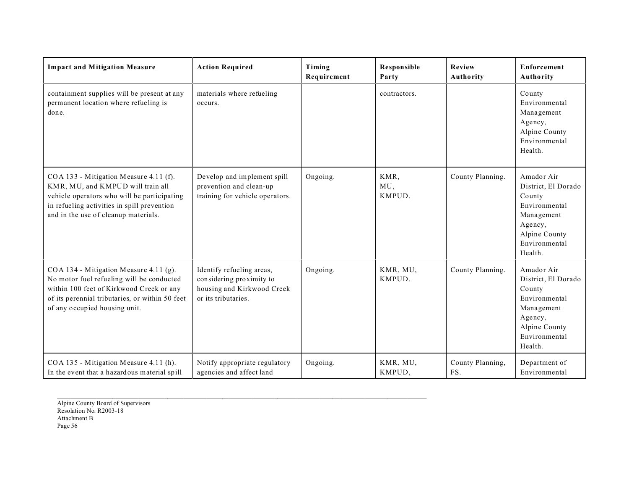| <b>Impact and Mitigation Measure</b>                                                                                                                                                                                | <b>Action Required</b>                                                                                     | Timing<br>Requirement | Responsible<br>Party  | Review<br>Authority     | Enforcement<br>Authority                                                                                                           |
|---------------------------------------------------------------------------------------------------------------------------------------------------------------------------------------------------------------------|------------------------------------------------------------------------------------------------------------|-----------------------|-----------------------|-------------------------|------------------------------------------------------------------------------------------------------------------------------------|
| containment supplies will be present at any<br>permanent location where refueling is<br>done.                                                                                                                       | materials where refueling<br>occurs.                                                                       |                       | contractors.          |                         | County<br>Environmental<br>Management<br>Agency,<br>Alpine County<br>Environmental<br>Health.                                      |
| COA 133 - Mitigation Measure 4.11 (f).<br>KMR, MU, and KMPUD will train all<br>vehicle operators who will be participating<br>in refueling activities in spill prevention<br>and in the use of cleanup materials.   | Develop and implement spill<br>prevention and clean-up<br>training for vehicle operators.                  | Ongoing.              | KMR,<br>MU,<br>KMPUD. | County Planning.        | Amador Air<br>District, El Dorado<br>County<br>Environmental<br>Management<br>Agency,<br>Alpine County<br>Environmental<br>Health. |
| COA 134 - Mitigation Measure 4.11 (g).<br>No motor fuel refueling will be conducted<br>within 100 feet of Kirkwood Creek or any<br>of its perennial tributaries, or within 50 feet<br>of any occupied housing unit. | Identify refueling areas,<br>considering proximity to<br>housing and Kirkwood Creek<br>or its tributaries. | Ongoing.              | KMR, MU,<br>KMPUD.    | County Planning.        | Amador Air<br>District, El Dorado<br>County<br>Environmental<br>Management<br>Agency,<br>Alpine County<br>Environmental<br>Health. |
| COA 135 - Mitigation Measure 4.11 (h).<br>In the event that a hazardous material spill                                                                                                                              | Notify appropriate regulatory<br>agencies and affect land                                                  | Ongoing.              | KMR, MU,<br>KMPUD,    | County Planning,<br>FS. | Department of<br>Environmental                                                                                                     |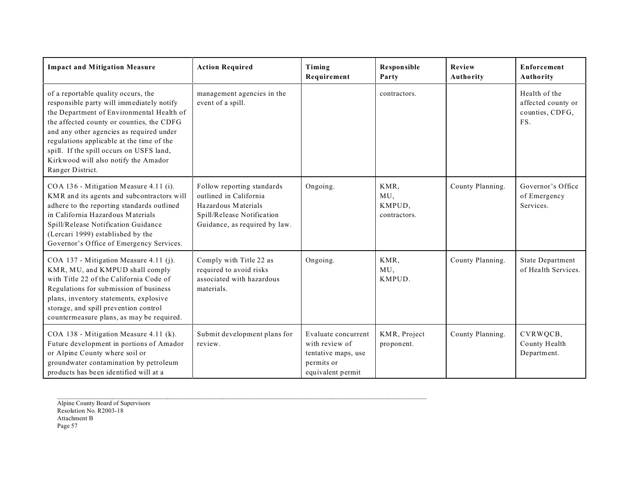| <b>Impact and Mitigation Measure</b>                                                                                                                                                                                                                                                                                                                                        | <b>Action Required</b>                                                                                                                     | Timing<br>Requirement                                                                           | Responsible<br>Party                  | Review<br>Authority | Enforcement<br>Authority                                      |
|-----------------------------------------------------------------------------------------------------------------------------------------------------------------------------------------------------------------------------------------------------------------------------------------------------------------------------------------------------------------------------|--------------------------------------------------------------------------------------------------------------------------------------------|-------------------------------------------------------------------------------------------------|---------------------------------------|---------------------|---------------------------------------------------------------|
| of a reportable quality occurs, the<br>responsible party will immediately notify<br>the Department of Environmental Health of<br>the affected county or counties, the CDFG<br>and any other agencies as required under<br>regulations applicable at the time of the<br>spill. If the spill occurs on USFS land,<br>Kirkwood will also notify the Amador<br>Ranger District. | management agencies in the<br>event of a spill.                                                                                            |                                                                                                 | contractors.                          |                     | Health of the<br>affected county or<br>counties, CDFG,<br>FS. |
| COA 136 - Mitigation Measure 4.11 (i).<br>KMR and its agents and subcontractors will<br>adhere to the reporting standards outlined<br>in California Hazardous Materials<br>Spill/Release Notification Guidance<br>(Lercari 1999) established by the<br>Governor's Office of Emergency Services.                                                                             | Follow reporting standards<br>outlined in California<br>Hazardous Materials<br>Spill/Release Notification<br>Guidance, as required by law. | Ongoing.                                                                                        | KMR,<br>MU,<br>KMPUD,<br>contractors. | County Planning.    | Governor's Office<br>of Emergency<br>Services.                |
| COA 137 - Mitigation Measure 4.11 (j).<br>KMR, MU, and KMPUD shall comply<br>with Title 22 of the California Code of<br>Regulations for submission of business<br>plans, inventory statements, explosive<br>storage, and spill prevention control<br>countermeasure plans, as may be required.                                                                              | Comply with Title 22 as<br>required to avoid risks<br>associated with hazardous<br>materials.                                              | Ongoing.                                                                                        | KMR,<br>MU,<br>KMPUD.                 | County Planning.    | <b>State Department</b><br>of Health Services.                |
| COA 138 - Mitigation Measure 4.11 (k).<br>Future development in portions of Amador<br>or Alpine County where soil or<br>groundwater contamination by petroleum<br>products has been identified will at a                                                                                                                                                                    | Submit development plans for<br>review.                                                                                                    | Evaluate concurrent<br>with review of<br>tentative maps, use<br>permits or<br>equivalent permit | KMR, Project<br>proponent.            | County Planning.    | CVRWQCB,<br>County Health<br>Department.                      |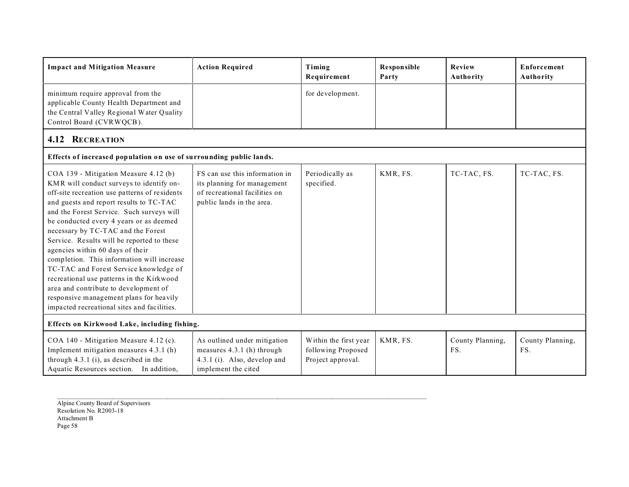| <b>Impact and Mitigation Measure</b>                                                                                                                                                                                                                                                                                                                                                                                                                                                                                                                                                                                                                                  | <b>Action Required</b>                                                                                                      | Timing<br>Requirement                                            | Responsible<br>Party | Review<br>Authority     | <b>Enforcement</b><br>Authority |
|-----------------------------------------------------------------------------------------------------------------------------------------------------------------------------------------------------------------------------------------------------------------------------------------------------------------------------------------------------------------------------------------------------------------------------------------------------------------------------------------------------------------------------------------------------------------------------------------------------------------------------------------------------------------------|-----------------------------------------------------------------------------------------------------------------------------|------------------------------------------------------------------|----------------------|-------------------------|---------------------------------|
| minimum require approval from the<br>applicable County Health Department and<br>the Central Valley Regional Water Quality<br>Control Board (CVRWQCB).                                                                                                                                                                                                                                                                                                                                                                                                                                                                                                                 |                                                                                                                             | for development.                                                 |                      |                         |                                 |
| <b>4.12 RECREATION</b>                                                                                                                                                                                                                                                                                                                                                                                                                                                                                                                                                                                                                                                |                                                                                                                             |                                                                  |                      |                         |                                 |
| Effects of increased population on use of surrounding public lands.                                                                                                                                                                                                                                                                                                                                                                                                                                                                                                                                                                                                   |                                                                                                                             |                                                                  |                      |                         |                                 |
| COA 139 - Mitigation Measure 4.12 (b)<br>KMR will conduct surveys to identify on-<br>off-site recreation use patterns of residents<br>and guests and report results to TC-TAC<br>and the Forest Service. Such surveys will<br>be conducted every 4 years or as deemed<br>necessary by TC-TAC and the Forest<br>Service. Results will be reported to these<br>agencies within 60 days of their<br>completion. This information will increase<br>TC-TAC and Forest Service knowledge of<br>recreational use patterns in the Kirkwood<br>area and contribute to development of<br>responsive management plans for heavily<br>impacted recreational sites and facilities. | FS can use this information in<br>its planning for management<br>of recreational facilities on<br>public lands in the area. | Periodically as<br>specified.                                    | KMR, FS.             | TC-TAC, FS.             | TC-TAC, FS.                     |
| Effects on Kirkwood Lake, including fishing.                                                                                                                                                                                                                                                                                                                                                                                                                                                                                                                                                                                                                          |                                                                                                                             |                                                                  |                      |                         |                                 |
| COA 140 - Mitigation Measure 4.12 (c).<br>Implement mitigation measures 4.3.1 (h)<br>through $4.3.1$ (i), as described in the<br>Aquatic Resources section. In addition,                                                                                                                                                                                                                                                                                                                                                                                                                                                                                              | As outlined under mitigation<br>measures 4.3.1 (h) through<br>4.3.1 (i). Also, develop and<br>implement the cited           | Within the first year<br>following Proposed<br>Project approval. | KMR, FS.             | County Planning,<br>FS. | County Planning,<br>FS.         |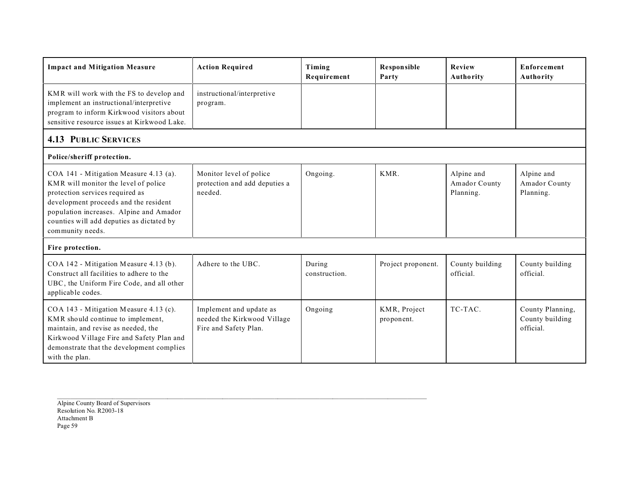| <b>Impact and Mitigation Measure</b>                                                                                                                                                                                                                                   | <b>Action Required</b>                                                          | Timing<br>Requirement   | <b>Responsible</b><br>Party | <b>Review</b><br>Authority               | <b>Enforcement</b><br>Authority                  |
|------------------------------------------------------------------------------------------------------------------------------------------------------------------------------------------------------------------------------------------------------------------------|---------------------------------------------------------------------------------|-------------------------|-----------------------------|------------------------------------------|--------------------------------------------------|
| KMR will work with the FS to develop and<br>implement an instructional/interpretive<br>program to inform Kirkwood visitors about<br>sensitive resource issues at Kirkwood Lake.                                                                                        | instructional/interpretive<br>program.                                          |                         |                             |                                          |                                                  |
| <b>4.13 PUBLIC SERVICES</b>                                                                                                                                                                                                                                            |                                                                                 |                         |                             |                                          |                                                  |
| Police/sheriff protection.                                                                                                                                                                                                                                             |                                                                                 |                         |                             |                                          |                                                  |
| COA 141 - Mitigation Measure 4.13 (a).<br>KMR will monitor the level of police<br>protection services required as<br>development proceeds and the resident<br>population increases. Alpine and Amador<br>counties will add deputies as dictated by<br>community needs. | Monitor level of police<br>protection and add deputies a<br>needed.             | Ongoing.                | KMR.                        | Alpine and<br>Amador County<br>Planning. | Alpine and<br>Amador County<br>Planning.         |
| Fire protection.                                                                                                                                                                                                                                                       |                                                                                 |                         |                             |                                          |                                                  |
| COA 142 - Mitigation Measure 4.13 (b).<br>Construct all facilities to adhere to the<br>UBC, the Uniform Fire Code, and all other<br>applicable codes.                                                                                                                  | Adhere to the UBC.                                                              | During<br>construction. | Project proponent.          | County building<br>official.             | County building<br>official.                     |
| COA 143 - Mitigation Measure 4.13 (c).<br>KMR should continue to implement,<br>maintain, and revise as needed, the<br>Kirkwood Village Fire and Safety Plan and<br>demonstrate that the development complies<br>with the plan.                                         | Implement and update as<br>needed the Kirkwood Village<br>Fire and Safety Plan. | Ongoing                 | KMR, Project<br>proponent.  | TC-TAC.                                  | County Planning,<br>County building<br>official. |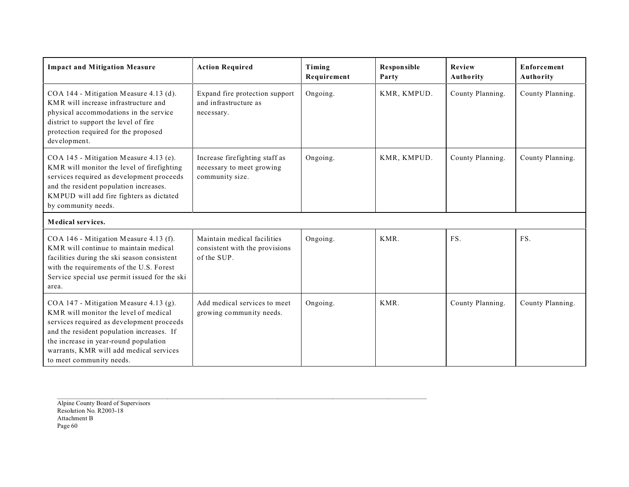| <b>Impact and Mitigation Measure</b>                                                                                                                                                                                                                                                      | <b>Action Required</b>                                                         | Timing<br>Requirement | <b>Responsible</b><br>Party | Review<br>Authority | Enforcement<br>Authority |
|-------------------------------------------------------------------------------------------------------------------------------------------------------------------------------------------------------------------------------------------------------------------------------------------|--------------------------------------------------------------------------------|-----------------------|-----------------------------|---------------------|--------------------------|
| COA 144 - Mitigation Measure 4.13 (d).<br>KMR will increase infrastructure and<br>physical accommodations in the service<br>district to support the level of fire<br>protection required for the proposed<br>development.                                                                 | Expand fire protection support<br>and infrastructure as<br>necessary.          | Ongoing.              | KMR, KMPUD.                 | County Planning.    | County Planning.         |
| COA 145 - Mitigation Measure 4.13 (e).<br>KMR will monitor the level of firefighting<br>services required as development proceeds<br>and the resident population increases.<br>KMPUD will add fire fighters as dictated<br>by community needs.                                            | Increase firefighting staff as<br>necessary to meet growing<br>community size. | Ongoing.              | KMR, KMPUD.                 | County Planning.    | County Planning.         |
| Medical services.                                                                                                                                                                                                                                                                         |                                                                                |                       |                             |                     |                          |
| COA 146 - Mitigation Measure 4.13 (f).<br>KMR will continue to maintain medical<br>facilities during the ski season consistent<br>with the requirements of the U.S. Forest<br>Service special use permit issued for the ski<br>area.                                                      | Maintain medical facilities<br>consistent with the provisions<br>of the SUP.   | Ongoing.              | KMR.                        | FS.                 | FS.                      |
| COA 147 - Mitigation Measure 4.13 (g).<br>KMR will monitor the level of medical<br>services required as development proceeds<br>and the resident population increases. If<br>the increase in year-round population<br>warrants, KMR will add medical services<br>to meet community needs. | Add medical services to meet<br>growing community needs.                       | Ongoing.              | KMR.                        | County Planning.    | County Planning.         |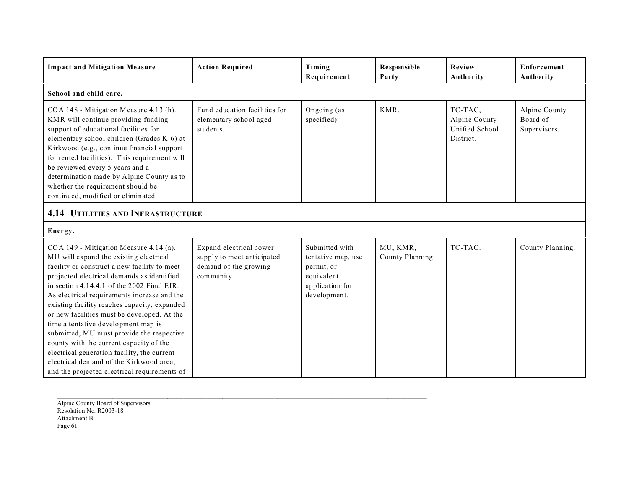| <b>Impact and Mitigation Measure</b>                                                                                                                                                                                                                                                                                                                                                                                                                                                                                                                                                                                                                  | <b>Action Required</b>                                                                       | Timing<br>Requirement                                                                               | <b>Responsible</b><br>Party  | <b>Review</b><br>Authority                              | <b>Enforcement</b><br>Authority           |  |
|-------------------------------------------------------------------------------------------------------------------------------------------------------------------------------------------------------------------------------------------------------------------------------------------------------------------------------------------------------------------------------------------------------------------------------------------------------------------------------------------------------------------------------------------------------------------------------------------------------------------------------------------------------|----------------------------------------------------------------------------------------------|-----------------------------------------------------------------------------------------------------|------------------------------|---------------------------------------------------------|-------------------------------------------|--|
| School and child care.                                                                                                                                                                                                                                                                                                                                                                                                                                                                                                                                                                                                                                |                                                                                              |                                                                                                     |                              |                                                         |                                           |  |
| COA 148 - Mitigation Measure 4.13 (h).<br>KMR will continue providing funding<br>support of educational facilities for<br>elementary school children (Grades K-6) at<br>Kirkwood (e.g., continue financial support<br>for rented facilities). This requirement will<br>be reviewed every 5 years and a<br>determination made by Alpine County as to<br>whether the requirement should be<br>continued, modified or eliminated.                                                                                                                                                                                                                        | Fund education facilities for<br>elementary school aged<br>students.                         | Ongoing (as<br>specified).                                                                          | KMR.                         | TC-TAC,<br>Alpine County<br>Unified School<br>District. | Alpine County<br>Board of<br>Supervisors. |  |
| <b>4.14 UTILITIES AND INFRASTRUCTURE</b>                                                                                                                                                                                                                                                                                                                                                                                                                                                                                                                                                                                                              |                                                                                              |                                                                                                     |                              |                                                         |                                           |  |
| Energy.                                                                                                                                                                                                                                                                                                                                                                                                                                                                                                                                                                                                                                               |                                                                                              |                                                                                                     |                              |                                                         |                                           |  |
| COA 149 - Mitigation Measure 4.14 (a).<br>MU will expand the existing electrical<br>facility or construct a new facility to meet<br>projected electrical demands as identified<br>in section $4.14.4.1$ of the 2002 Final EIR.<br>As electrical requirements increase and the<br>existing facility reaches capacity, expanded<br>or new facilities must be developed. At the<br>time a tentative development map is<br>submitted, MU must provide the respective<br>county with the current capacity of the<br>electrical generation facility, the current<br>electrical demand of the Kirkwood area,<br>and the projected electrical requirements of | Expand electrical power<br>supply to meet anticipated<br>demand of the growing<br>community. | Submitted with<br>tentative map, use<br>permit, or<br>equivalent<br>application for<br>development. | MU, KMR,<br>County Planning. | TC-TAC.                                                 | County Planning.                          |  |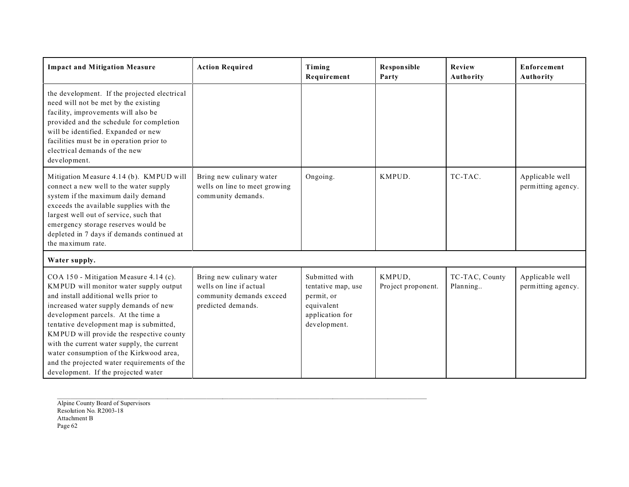| <b>Impact and Mitigation Measure</b>                                                                                                                                                                                                                                                                                                                                                                                                                                           | <b>Action Required</b>                                                                                | Timing<br>Requirement                                                                               | <b>Responsible</b><br>Party  | <b>Review</b><br>Authority | <b>Enforcement</b><br>Authority       |
|--------------------------------------------------------------------------------------------------------------------------------------------------------------------------------------------------------------------------------------------------------------------------------------------------------------------------------------------------------------------------------------------------------------------------------------------------------------------------------|-------------------------------------------------------------------------------------------------------|-----------------------------------------------------------------------------------------------------|------------------------------|----------------------------|---------------------------------------|
| the development. If the projected electrical<br>need will not be met by the existing<br>facility, improvements will also be<br>provided and the schedule for completion<br>will be identified. Expanded or new<br>facilities must be in operation prior to<br>electrical demands of the new<br>development.                                                                                                                                                                    |                                                                                                       |                                                                                                     |                              |                            |                                       |
| Mitigation Measure 4.14 (b). KMPUD will<br>connect a new well to the water supply<br>system if the maximum daily demand<br>exceeds the available supplies with the<br>largest well out of service, such that<br>emergency storage reserves would be<br>depleted in 7 days if demands continued at<br>the maximum rate.                                                                                                                                                         | Bring new culinary water<br>wells on line to meet growing<br>community demands.                       | Ongoing.                                                                                            | KMPUD.                       | TC-TAC.                    | Applicable well<br>permitting agency. |
| Water supply.                                                                                                                                                                                                                                                                                                                                                                                                                                                                  |                                                                                                       |                                                                                                     |                              |                            |                                       |
| COA 150 - Mitigation Measure 4.14 (c).<br>KMPUD will monitor water supply output<br>and install additional wells prior to<br>increased water supply demands of new<br>development parcels. At the time a<br>tentative development map is submitted,<br>KMPUD will provide the respective county<br>with the current water supply, the current<br>water consumption of the Kirkwood area,<br>and the projected water requirements of the<br>development. If the projected water | Bring new culinary water<br>wells on line if actual<br>community demands exceed<br>predicted demands. | Submitted with<br>tentative map, use<br>permit, or<br>equivalent<br>application for<br>development. | KMPUD,<br>Project proponent. | TC-TAC, County<br>Planning | Applicable well<br>permitting agency. |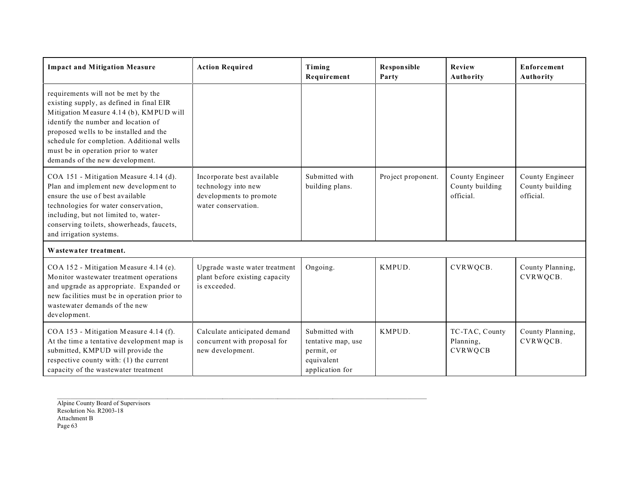| <b>Impact and Mitigation Measure</b>                                                                                                                                                                                                                                                                                               | <b>Action Required</b>                                                                              | Timing<br>Requirement                                                               | <b>Responsible</b><br>Party | Review<br>Authority                             | <b>Enforcement</b><br>Authority                 |
|------------------------------------------------------------------------------------------------------------------------------------------------------------------------------------------------------------------------------------------------------------------------------------------------------------------------------------|-----------------------------------------------------------------------------------------------------|-------------------------------------------------------------------------------------|-----------------------------|-------------------------------------------------|-------------------------------------------------|
| requirements will not be met by the<br>existing supply, as defined in final EIR<br>Mitigation Measure 4.14 (b), KMPUD will<br>identify the number and location of<br>proposed wells to be installed and the<br>schedule for completion. Additional wells<br>must be in operation prior to water<br>demands of the new development. |                                                                                                     |                                                                                     |                             |                                                 |                                                 |
| COA 151 - Mitigation Measure 4.14 (d).<br>Plan and implement new development to<br>ensure the use of best available<br>technologies for water conservation,<br>including, but not limited to, water-<br>conserving toilets, showerheads, faucets,<br>and irrigation systems.                                                       | Incorporate best available<br>technology into new<br>developments to promote<br>water conservation. | Submitted with<br>building plans.                                                   | Project proponent.          | County Engineer<br>County building<br>official. | County Engineer<br>County building<br>official. |
| Wastewater treatment.                                                                                                                                                                                                                                                                                                              |                                                                                                     |                                                                                     |                             |                                                 |                                                 |
| COA 152 - Mitigation Measure 4.14 (e).<br>Monitor wastewater treatment operations<br>and upgrade as appropriate. Expanded or<br>new facilities must be in operation prior to<br>wastewater demands of the new<br>development.                                                                                                      | Upgrade waste water treatment<br>plant before existing capacity<br>is exceeded.                     | Ongoing.                                                                            | KMPUD.                      | CVRWQCB.                                        | County Planning,<br>CVRWQCB.                    |
| COA 153 - Mitigation Measure 4.14 (f).<br>At the time a tentative development map is<br>submitted, KMPUD will provide the<br>respective county with: (1) the current<br>capacity of the wastewater treatment                                                                                                                       | Calculate anticipated demand<br>concurrent with proposal for<br>new development.                    | Submitted with<br>tentative map, use<br>permit, or<br>equivalent<br>application for | KMPUD.                      | TC-TAC, County<br>Planning,<br>CVRWQCB          | County Planning,<br>CVRWQCB.                    |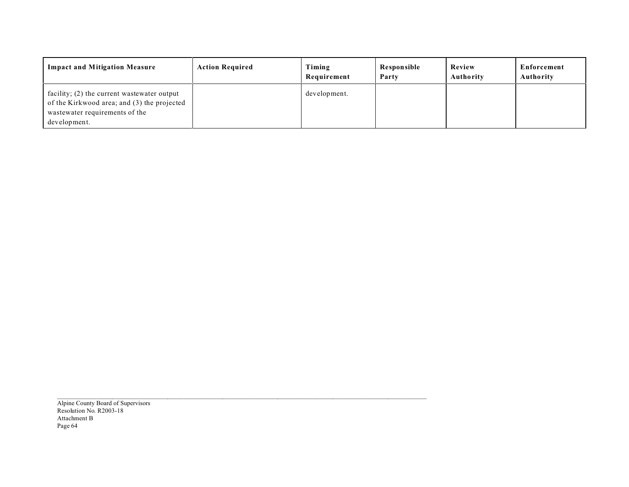| <b>Impact and Mitigation Measure</b>                                                                                                         | <b>Action Required</b> | Timing<br>Requirement | Responsible<br>Party | Review<br>Authority | Enforcement<br>Authority |
|----------------------------------------------------------------------------------------------------------------------------------------------|------------------------|-----------------------|----------------------|---------------------|--------------------------|
| facility; (2) the current wastewater output<br>of the Kirkwood area; and (3) the projected<br>wastewater requirements of the<br>development. |                        | development.          |                      |                     |                          |